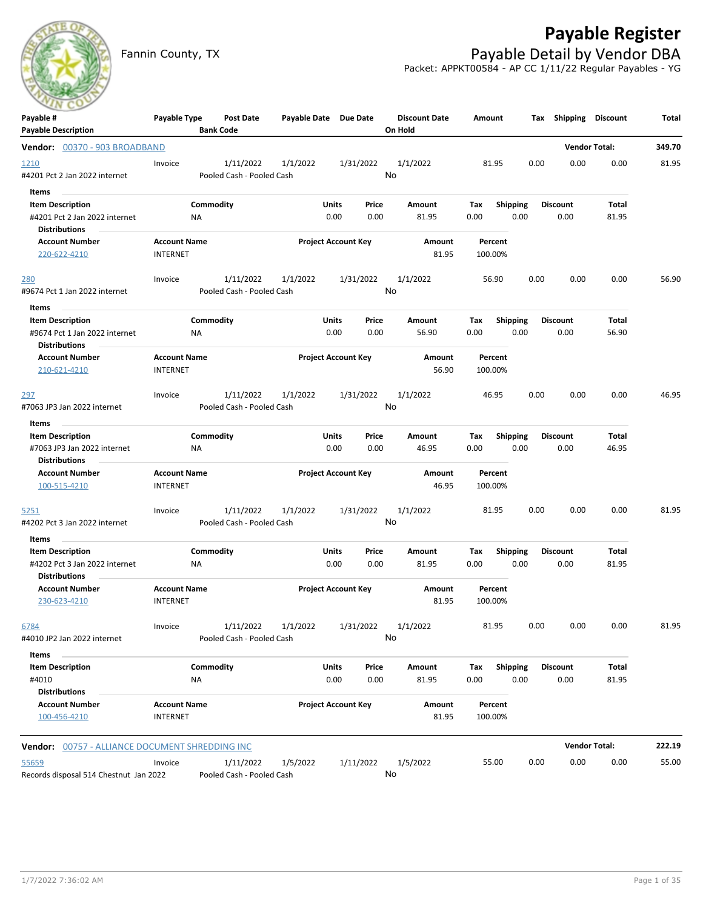

# **Payable Register**

Fannin County, TX **Payable Detail by Vendor DBA** Packet: APPKT00584 - AP CC 1/11/22 Regular Payables - YG

| Payable #<br><b>Payable Description</b>                | Payable Type        | Post Date<br><b>Bank Code</b> | Payable Date Due Date     |                            |           | <b>Discount Date</b><br>On Hold | Amount  |                 |      | Tax Shipping Discount |                      | Total  |
|--------------------------------------------------------|---------------------|-------------------------------|---------------------------|----------------------------|-----------|---------------------------------|---------|-----------------|------|-----------------------|----------------------|--------|
| Vendor: 00370 - 903 BROADBAND                          |                     |                               |                           |                            |           |                                 |         |                 |      |                       | <b>Vendor Total:</b> | 349.70 |
| 1210                                                   | Invoice             | 1/11/2022                     | 1/1/2022                  |                            | 1/31/2022 | 1/1/2022                        | 81.95   |                 | 0.00 | 0.00                  | 0.00                 | 81.95  |
| #4201 Pct 2 Jan 2022 internet                          |                     |                               | Pooled Cash - Pooled Cash |                            |           | No                              |         |                 |      |                       |                      |        |
| Items                                                  |                     |                               |                           |                            |           |                                 |         |                 |      |                       |                      |        |
| <b>Item Description</b>                                |                     | Commodity                     |                           | Units                      | Price     | Amount                          | Tax     | <b>Shipping</b> |      | <b>Discount</b>       | Total                |        |
| #4201 Pct 2 Jan 2022 internet                          | <b>NA</b>           |                               |                           | 0.00                       | 0.00      | 81.95                           | 0.00    | 0.00            |      | 0.00                  | 81.95                |        |
| <b>Distributions</b>                                   |                     |                               |                           |                            |           |                                 |         |                 |      |                       |                      |        |
| <b>Account Number</b>                                  | <b>Account Name</b> |                               |                           | <b>Project Account Key</b> |           | Amount                          | Percent |                 |      |                       |                      |        |
| 220-622-4210                                           | <b>INTERNET</b>     |                               |                           |                            |           | 81.95                           | 100.00% |                 |      |                       |                      |        |
| <u>280</u>                                             | Invoice             | 1/11/2022                     | 1/1/2022                  |                            | 1/31/2022 | 1/1/2022                        | 56.90   |                 | 0.00 | 0.00                  | 0.00                 | 56.90  |
| #9674 Pct 1 Jan 2022 internet                          |                     |                               | Pooled Cash - Pooled Cash |                            |           | No                              |         |                 |      |                       |                      |        |
| Items                                                  |                     |                               |                           |                            |           |                                 |         |                 |      |                       |                      |        |
| <b>Item Description</b>                                |                     | Commodity                     |                           | Units                      | Price     | Amount                          | Tax     | Shipping        |      | <b>Discount</b>       | Total                |        |
| #9674 Pct 1 Jan 2022 internet                          | ΝA                  |                               |                           | 0.00                       | 0.00      | 56.90                           | 0.00    | 0.00            |      | 0.00                  | 56.90                |        |
| <b>Distributions</b>                                   |                     |                               |                           |                            |           |                                 |         |                 |      |                       |                      |        |
| <b>Account Number</b>                                  | <b>Account Name</b> |                               |                           | <b>Project Account Key</b> |           | Amount                          | Percent |                 |      |                       |                      |        |
| 210-621-4210                                           | <b>INTERNET</b>     |                               |                           |                            |           | 56.90                           | 100.00% |                 |      |                       |                      |        |
| 297                                                    | Invoice             | 1/11/2022                     | 1/1/2022                  |                            | 1/31/2022 | 1/1/2022                        | 46.95   |                 | 0.00 | 0.00                  | 0.00                 | 46.95  |
| #7063 JP3 Jan 2022 internet                            |                     |                               | Pooled Cash - Pooled Cash |                            |           | No                              |         |                 |      |                       |                      |        |
| Items                                                  |                     |                               |                           |                            |           |                                 |         |                 |      |                       |                      |        |
| <b>Item Description</b>                                |                     | Commodity                     |                           | Units                      | Price     | Amount                          | Tax     | <b>Shipping</b> |      | <b>Discount</b>       | Total                |        |
| #7063 JP3 Jan 2022 internet                            | NA                  |                               |                           | 0.00                       | 0.00      | 46.95                           | 0.00    | 0.00            |      | 0.00                  | 46.95                |        |
| <b>Distributions</b>                                   |                     |                               |                           |                            |           |                                 |         |                 |      |                       |                      |        |
| <b>Account Number</b>                                  | <b>Account Name</b> |                               |                           | <b>Project Account Key</b> |           | Amount                          | Percent |                 |      |                       |                      |        |
| 100-515-4210                                           | <b>INTERNET</b>     |                               |                           |                            |           | 46.95                           | 100.00% |                 |      |                       |                      |        |
| 5251                                                   | Invoice             | 1/11/2022                     | 1/1/2022                  |                            | 1/31/2022 | 1/1/2022                        | 81.95   |                 | 0.00 | 0.00                  | 0.00                 | 81.95  |
| #4202 Pct 3 Jan 2022 internet                          |                     |                               | Pooled Cash - Pooled Cash |                            |           | No                              |         |                 |      |                       |                      |        |
| Items                                                  |                     |                               |                           |                            |           |                                 |         |                 |      |                       |                      |        |
| <b>Item Description</b>                                |                     | Commodity                     |                           | Units                      | Price     | Amount                          | Tax     | <b>Shipping</b> |      | <b>Discount</b>       | Total                |        |
| #4202 Pct 3 Jan 2022 internet                          | NA                  |                               |                           | 0.00                       | 0.00      | 81.95                           | 0.00    | 0.00            |      | 0.00                  | 81.95                |        |
| <b>Distributions</b><br><b>Account Number</b>          | <b>Account Name</b> |                               |                           | <b>Project Account Key</b> |           | Amount                          | Percent |                 |      |                       |                      |        |
| 230-623-4210                                           | <b>INTERNET</b>     |                               |                           |                            |           | 81.95                           | 100.00% |                 |      |                       |                      |        |
| 6784                                                   | Invoice             | 1/11/2022                     | 1/1/2022                  |                            | 1/31/2022 | 1/1/2022                        | 81.95   |                 | 0.00 | 0.00                  | 0.00                 | 81.95  |
| #4010 JP2 Jan 2022 internet                            |                     |                               | Pooled Cash - Pooled Cash |                            |           | No                              |         |                 |      |                       |                      |        |
| Items                                                  |                     |                               |                           |                            |           |                                 |         |                 |      |                       |                      |        |
| <b>Item Description</b>                                |                     | Commodity                     |                           | Units                      | Price     | Amount                          | Tax     | <b>Shipping</b> |      | <b>Discount</b>       | Total                |        |
| #4010                                                  | NA                  |                               |                           | 0.00                       | 0.00      | 81.95                           | 0.00    | 0.00            |      | 0.00                  | 81.95                |        |
| <b>Distributions</b>                                   |                     |                               |                           |                            |           |                                 |         |                 |      |                       |                      |        |
| <b>Account Number</b>                                  | <b>Account Name</b> |                               |                           | <b>Project Account Key</b> |           | Amount                          | Percent |                 |      |                       |                      |        |
| 100-456-4210                                           | <b>INTERNET</b>     |                               |                           |                            |           | 81.95                           | 100.00% |                 |      |                       |                      |        |
| <b>Vendor: 00757 - ALLIANCE DOCUMENT SHREDDING INC</b> |                     |                               |                           |                            |           |                                 |         |                 |      |                       | <b>Vendor Total:</b> | 222.19 |
| 55659                                                  | Invoice             | 1/11/2022                     | 1/5/2022                  |                            | 1/11/2022 | 1/5/2022                        | 55.00   |                 | 0.00 | 0.00                  | 0.00                 | 55.00  |
| Records disposal 514 Chestnut Jan 2022                 |                     |                               | Pooled Cash - Pooled Cash |                            |           | No                              |         |                 |      |                       |                      |        |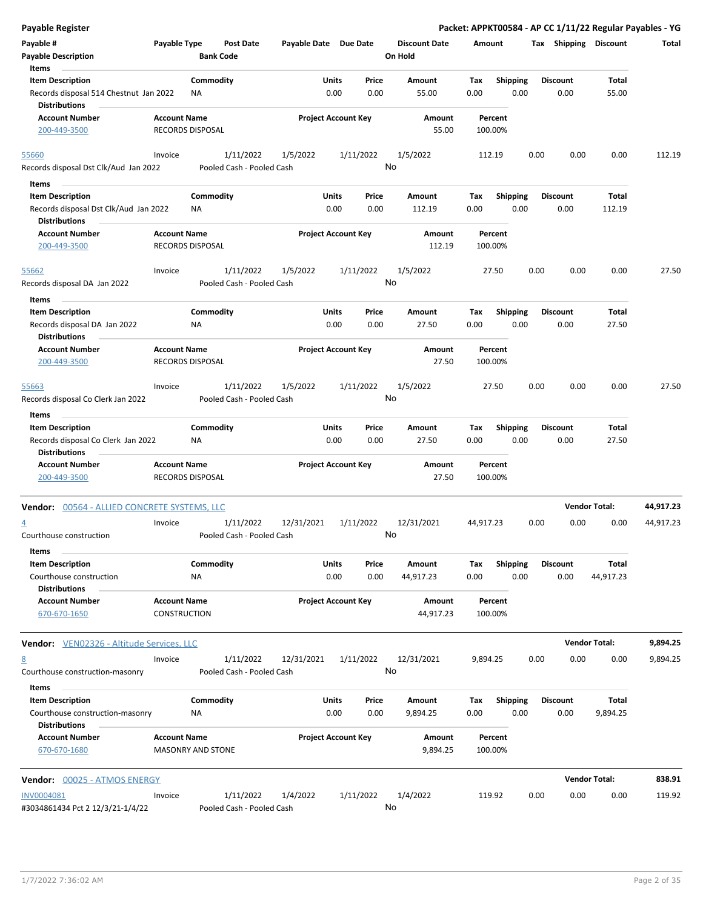| <b>Payable Register</b>                                                                   |                                                 |                  |                                        |                       |                            |                 |                                 |             |                         |      |                         |                      | Packet: APPKT00584 - AP CC 1/11/22 Regular Payables - YG |
|-------------------------------------------------------------------------------------------|-------------------------------------------------|------------------|----------------------------------------|-----------------------|----------------------------|-----------------|---------------------------------|-------------|-------------------------|------|-------------------------|----------------------|----------------------------------------------------------|
| Payable #<br><b>Payable Description</b>                                                   | Payable Type                                    | <b>Bank Code</b> | <b>Post Date</b>                       | Payable Date Due Date |                            |                 | <b>Discount Date</b><br>On Hold | Amount      |                         |      | Tax Shipping Discount   |                      | Total                                                    |
| Items                                                                                     |                                                 |                  |                                        |                       |                            |                 |                                 |             |                         |      |                         |                      |                                                          |
| <b>Item Description</b><br>Records disposal 514 Chestnut Jan 2022<br><b>Distributions</b> |                                                 | Commodity<br>ΝA  |                                        |                       | Units<br>0.00              | Price<br>0.00   | Amount<br>55.00                 | Tax<br>0.00 | <b>Shipping</b><br>0.00 |      | <b>Discount</b><br>0.00 | Total<br>55.00       |                                                          |
| <b>Account Number</b><br>200-449-3500                                                     | <b>Account Name</b><br>RECORDS DISPOSAL         |                  |                                        |                       | <b>Project Account Key</b> |                 | Amount<br>55.00                 | 100.00%     | Percent                 |      |                         |                      |                                                          |
|                                                                                           |                                                 |                  |                                        |                       |                            |                 |                                 |             |                         |      |                         |                      |                                                          |
| 55660<br>Records disposal Dst Clk/Aud Jan 2022                                            | Invoice                                         |                  | 1/11/2022<br>Pooled Cash - Pooled Cash | 1/5/2022              |                            | 1/11/2022<br>No | 1/5/2022                        | 112.19      |                         | 0.00 | 0.00                    | 0.00                 | 112.19                                                   |
| Items                                                                                     |                                                 |                  |                                        |                       |                            |                 |                                 |             |                         |      |                         |                      |                                                          |
| <b>Item Description</b>                                                                   |                                                 | Commodity        |                                        |                       | Units                      | Price           | Amount                          | Tax         | Shipping                |      | <b>Discount</b>         | Total                |                                                          |
| Records disposal Dst Clk/Aud Jan 2022<br><b>Distributions</b>                             |                                                 | ΝA               |                                        |                       | 0.00                       | 0.00            | 112.19                          | 0.00        | 0.00                    |      | 0.00                    | 112.19               |                                                          |
| <b>Account Number</b><br>200-449-3500                                                     | <b>Account Name</b><br>RECORDS DISPOSAL         |                  |                                        |                       | <b>Project Account Key</b> |                 | Amount<br>112.19                | 100.00%     | Percent                 |      |                         |                      |                                                          |
| 55662                                                                                     | Invoice                                         |                  | 1/11/2022                              | 1/5/2022              |                            | 1/11/2022       | 1/5/2022                        | 27.50       |                         | 0.00 | 0.00                    | 0.00                 | 27.50                                                    |
| Records disposal DA Jan 2022                                                              |                                                 |                  | Pooled Cash - Pooled Cash              |                       |                            | No              |                                 |             |                         |      |                         |                      |                                                          |
| Items<br><b>Item Description</b>                                                          |                                                 | Commodity        |                                        |                       | Units                      | Price           | <b>Amount</b>                   | Tax         | <b>Shipping</b>         |      | <b>Discount</b>         | Total                |                                                          |
| Records disposal DA Jan 2022<br><b>Distributions</b>                                      |                                                 | ΝA               |                                        |                       | 0.00                       | 0.00            | 27.50                           | 0.00        | 0.00                    |      | 0.00                    | 27.50                |                                                          |
| <b>Account Number</b><br>200-449-3500                                                     | <b>Account Name</b><br><b>RECORDS DISPOSAL</b>  |                  |                                        |                       | <b>Project Account Key</b> |                 | Amount<br>27.50                 | 100.00%     | Percent                 |      |                         |                      |                                                          |
| 55663<br>Records disposal Co Clerk Jan 2022                                               | Invoice                                         |                  | 1/11/2022<br>Pooled Cash - Pooled Cash | 1/5/2022              |                            | 1/11/2022<br>No | 1/5/2022                        |             | 27.50                   | 0.00 | 0.00                    | 0.00                 | 27.50                                                    |
| Items                                                                                     |                                                 |                  |                                        |                       |                            |                 |                                 |             |                         |      |                         |                      |                                                          |
| <b>Item Description</b>                                                                   |                                                 | Commodity        |                                        |                       | Units                      | Price           | Amount                          | Tax         | <b>Shipping</b>         |      | <b>Discount</b>         | Total                |                                                          |
| Records disposal Co Clerk Jan 2022<br><b>Distributions</b>                                |                                                 | <b>NA</b>        |                                        |                       | 0.00                       | 0.00            | 27.50                           | 0.00        | 0.00                    |      | 0.00                    | 27.50                |                                                          |
| <b>Account Number</b><br>200-449-3500                                                     | <b>Account Name</b><br><b>RECORDS DISPOSAL</b>  |                  |                                        |                       | <b>Project Account Key</b> |                 | Amount<br>27.50                 | 100.00%     | Percent                 |      |                         |                      |                                                          |
| Vendor: 00564 - ALLIED CONCRETE SYSTEMS, LLC                                              |                                                 |                  |                                        |                       |                            |                 |                                 |             |                         |      |                         | <b>Vendor Total:</b> | 44,917.23                                                |
| $\overline{4}$<br>Courthouse construction                                                 | Invoice                                         |                  | 1/11/2022<br>Pooled Cash - Pooled Cash | 12/31/2021            |                            | 1/11/2022<br>No | 12/31/2021                      | 44,917.23   |                         | 0.00 | 0.00                    | 0.00                 | 44,917.23                                                |
| Items                                                                                     |                                                 |                  |                                        |                       |                            |                 |                                 |             |                         |      |                         |                      |                                                          |
| <b>Item Description</b>                                                                   |                                                 | Commodity        |                                        |                       | <b>Units</b>               | Price           | Amount                          | Tax         | <b>Shipping</b>         |      | Discount                | Total                |                                                          |
| Courthouse construction<br><b>Distributions</b>                                           |                                                 | <b>NA</b>        |                                        |                       | 0.00                       | 0.00            | 44,917.23                       | 0.00        | 0.00                    |      | 0.00                    | 44,917.23            |                                                          |
| <b>Account Number</b><br>670-670-1650                                                     | <b>Account Name</b><br><b>CONSTRUCTION</b>      |                  |                                        |                       | <b>Project Account Key</b> |                 | Amount<br>44,917.23             | 100.00%     | Percent                 |      |                         |                      |                                                          |
| <b>Vendor:</b> VEN02326 - Altitude Services, LLC                                          |                                                 |                  |                                        |                       |                            |                 |                                 |             |                         |      |                         | <b>Vendor Total:</b> | 9,894.25                                                 |
| 8<br>Courthouse construction-masonry                                                      | Invoice                                         |                  | 1/11/2022<br>Pooled Cash - Pooled Cash | 12/31/2021            |                            | 1/11/2022<br>No | 12/31/2021                      | 9,894.25    |                         | 0.00 | 0.00                    | 0.00                 | 9,894.25                                                 |
| Items                                                                                     |                                                 |                  |                                        |                       |                            |                 |                                 |             |                         |      |                         |                      |                                                          |
| <b>Item Description</b><br>Courthouse construction-masonry                                |                                                 | Commodity<br>ΝA  |                                        |                       | Units<br>0.00              | Price<br>0.00   | Amount<br>9,894.25              | Тах<br>0.00 | <b>Shipping</b><br>0.00 |      | <b>Discount</b><br>0.00 | Total<br>9,894.25    |                                                          |
| <b>Distributions</b><br><b>Account Number</b><br>670-670-1680                             | <b>Account Name</b><br><b>MASONRY AND STONE</b> |                  |                                        |                       | <b>Project Account Key</b> |                 | Amount<br>9,894.25              | 100.00%     | Percent                 |      |                         |                      |                                                          |
| <b>Vendor: 00025 - ATMOS ENERGY</b>                                                       |                                                 |                  |                                        |                       |                            |                 |                                 |             |                         |      |                         | <b>Vendor Total:</b> | 838.91                                                   |
| INV0004081<br>#3034861434 Pct 2 12/3/21-1/4/22                                            | Invoice                                         |                  | 1/11/2022<br>Pooled Cash - Pooled Cash | 1/4/2022              |                            | 1/11/2022<br>No | 1/4/2022                        | 119.92      |                         | 0.00 | 0.00                    | 0.00                 | 119.92                                                   |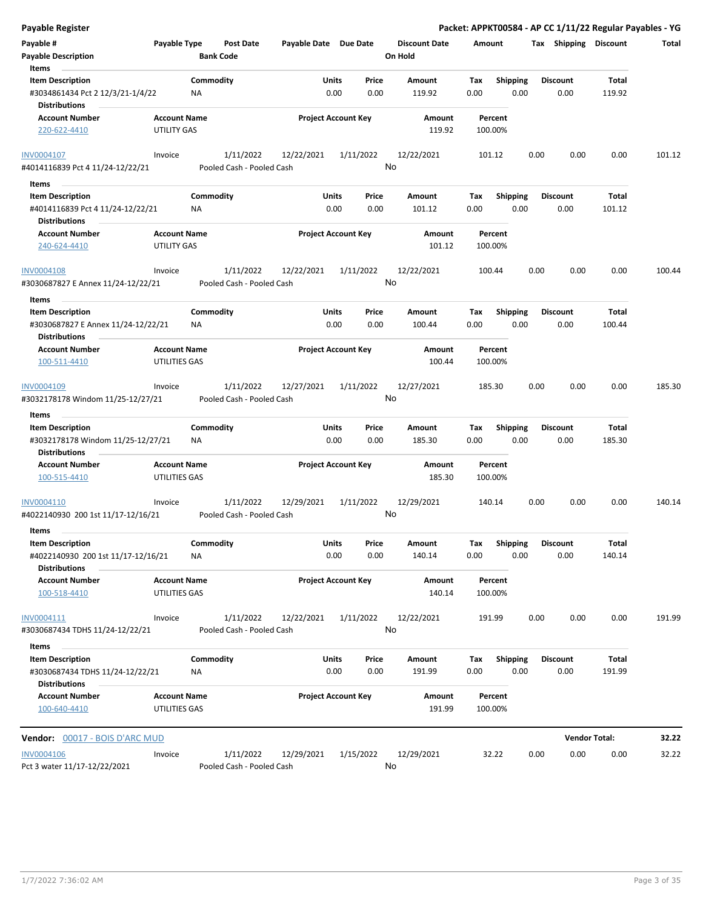| <b>Payable Register</b>                                                                      |                                      |                        |                                        |                            |           |               |                                 |                    |                         |      |                         | Packet: APPKT00584 - AP CC 1/11/22 Regular Payables - YG |        |
|----------------------------------------------------------------------------------------------|--------------------------------------|------------------------|----------------------------------------|----------------------------|-----------|---------------|---------------------------------|--------------------|-------------------------|------|-------------------------|----------------------------------------------------------|--------|
| Payable #<br><b>Payable Description</b>                                                      | Payable Type                         | <b>Bank Code</b>       | <b>Post Date</b>                       | Payable Date Due Date      |           |               | <b>Discount Date</b><br>On Hold | Amount             |                         |      | Tax Shipping Discount   |                                                          | Total  |
| Items<br><b>Item Description</b><br>#3034861434 Pct 2 12/3/21-1/4/22<br><b>Distributions</b> |                                      | Commodity<br><b>NA</b> |                                        | Units                      | 0.00      | Price<br>0.00 | Amount<br>119.92                | Tax<br>0.00        | <b>Shipping</b><br>0.00 |      | <b>Discount</b><br>0.00 | Total<br>119.92                                          |        |
| <b>Account Number</b><br>220-622-4410                                                        | <b>Account Name</b><br>UTILITY GAS   |                        |                                        | <b>Project Account Key</b> |           |               | Amount<br>119.92                | Percent<br>100.00% |                         |      |                         |                                                          |        |
| INV0004107                                                                                   | Invoice                              |                        | 1/11/2022                              | 12/22/2021                 | 1/11/2022 |               | 12/22/2021                      | 101.12             |                         | 0.00 | 0.00                    | 0.00                                                     | 101.12 |
| #4014116839 Pct 4 11/24-12/22/21                                                             |                                      |                        | Pooled Cash - Pooled Cash              |                            |           |               | No                              |                    |                         |      |                         |                                                          |        |
| Items                                                                                        |                                      |                        |                                        |                            |           |               |                                 |                    |                         |      |                         |                                                          |        |
| <b>Item Description</b><br>#4014116839 Pct 4 11/24-12/22/21<br><b>Distributions</b>          |                                      | Commodity<br><b>NA</b> |                                        | Units                      | 0.00      | Price<br>0.00 | Amount<br>101.12                | Tax<br>0.00        | <b>Shipping</b><br>0.00 |      | <b>Discount</b><br>0.00 | Total<br>101.12                                          |        |
| <b>Account Number</b><br>240-624-4410                                                        | <b>Account Name</b><br>UTILITY GAS   |                        |                                        | <b>Project Account Key</b> |           |               | Amount<br>101.12                | Percent<br>100.00% |                         |      |                         |                                                          |        |
| <b>INV0004108</b><br>#3030687827 E Annex 11/24-12/22/21                                      | Invoice                              |                        | 1/11/2022<br>Pooled Cash - Pooled Cash | 12/22/2021                 | 1/11/2022 |               | 12/22/2021<br>No                | 100.44             |                         | 0.00 | 0.00                    | 0.00                                                     | 100.44 |
| Items                                                                                        |                                      |                        |                                        |                            |           |               |                                 |                    |                         |      |                         |                                                          |        |
| <b>Item Description</b><br>#3030687827 E Annex 11/24-12/22/21<br><b>Distributions</b>        |                                      | Commodity<br>ΝA        |                                        | Units                      | 0.00      | Price<br>0.00 | Amount<br>100.44                | Tax<br>0.00        | <b>Shipping</b><br>0.00 |      | <b>Discount</b><br>0.00 | Total<br>100.44                                          |        |
| <b>Account Number</b><br>100-511-4410                                                        | <b>Account Name</b><br>UTILITIES GAS |                        |                                        | <b>Project Account Key</b> |           |               | Amount<br>100.44                | Percent<br>100.00% |                         |      |                         |                                                          |        |
| INV0004109<br>#3032178178 Windom 11/25-12/27/21                                              | Invoice                              |                        | 1/11/2022<br>Pooled Cash - Pooled Cash | 12/27/2021                 | 1/11/2022 |               | 12/27/2021<br>No                | 185.30             |                         | 0.00 | 0.00                    | 0.00                                                     | 185.30 |
| Items                                                                                        |                                      |                        |                                        |                            |           |               |                                 |                    |                         |      |                         |                                                          |        |
| <b>Item Description</b><br>#3032178178 Windom 11/25-12/27/21<br><b>Distributions</b>         |                                      | Commodity<br>ΝA        |                                        | Units                      | 0.00      | Price<br>0.00 | Amount<br>185.30                | Tax<br>0.00        | <b>Shipping</b><br>0.00 |      | <b>Discount</b><br>0.00 | Total<br>185.30                                          |        |
| <b>Account Number</b><br>100-515-4410                                                        | <b>Account Name</b><br>UTILITIES GAS |                        |                                        | <b>Project Account Key</b> |           |               | <b>Amount</b><br>185.30         | Percent<br>100.00% |                         |      |                         |                                                          |        |
| INV0004110<br>#4022140930 200 1st 11/17-12/16/21                                             | Invoice                              |                        | 1/11/2022<br>Pooled Cash - Pooled Cash | 12/29/2021                 | 1/11/2022 |               | 12/29/2021<br>No                | 140.14             |                         | 0.00 | 0.00                    | 0.00                                                     | 140.14 |
| Items                                                                                        |                                      |                        |                                        |                            |           |               |                                 |                    |                         |      |                         |                                                          |        |
| <b>Item Description</b><br>#4022140930 200 1st 11/17-12/16/21                                |                                      | Commodity<br>NA        |                                        | Units                      | 0.00      | Price<br>0.00 | Amount<br>140.14                | Tax<br>0.00        | Shipping<br>0.00        |      | <b>Discount</b><br>0.00 | Total<br>140.14                                          |        |
| <b>Distributions</b><br><b>Account Number</b><br>100-518-4410                                | <b>Account Name</b><br>UTILITIES GAS |                        |                                        | <b>Project Account Key</b> |           |               | Amount<br>140.14                | Percent<br>100.00% |                         |      |                         |                                                          |        |
| INV0004111<br>#3030687434 TDHS 11/24-12/22/21                                                | Invoice                              |                        | 1/11/2022<br>Pooled Cash - Pooled Cash | 12/22/2021                 | 1/11/2022 |               | 12/22/2021<br>No                | 191.99             |                         | 0.00 | 0.00                    | 0.00                                                     | 191.99 |
| Items                                                                                        |                                      |                        |                                        |                            |           |               |                                 |                    |                         |      |                         |                                                          |        |
| <b>Item Description</b><br>#3030687434 TDHS 11/24-12/22/21<br><b>Distributions</b>           |                                      | Commodity<br>NA        |                                        | Units                      | 0.00      | Price<br>0.00 | Amount<br>191.99                | Tax<br>0.00        | <b>Shipping</b><br>0.00 |      | <b>Discount</b><br>0.00 | Total<br>191.99                                          |        |
| <b>Account Number</b><br>100-640-4410                                                        | <b>Account Name</b><br>UTILITIES GAS |                        |                                        | <b>Project Account Key</b> |           |               | Amount<br>191.99                | Percent<br>100.00% |                         |      |                         |                                                          |        |
| <b>Vendor: 00017 - BOIS D'ARC MUD</b>                                                        |                                      |                        |                                        |                            |           |               |                                 |                    |                         |      |                         | <b>Vendor Total:</b>                                     | 32.22  |
| <b>INV0004106</b><br>Pct 3 water 11/17-12/22/2021                                            | Invoice                              |                        | 1/11/2022<br>Pooled Cash - Pooled Cash | 12/29/2021                 | 1/15/2022 |               | 12/29/2021<br>No                | 32.22              |                         | 0.00 | 0.00                    | 0.00                                                     | 32.22  |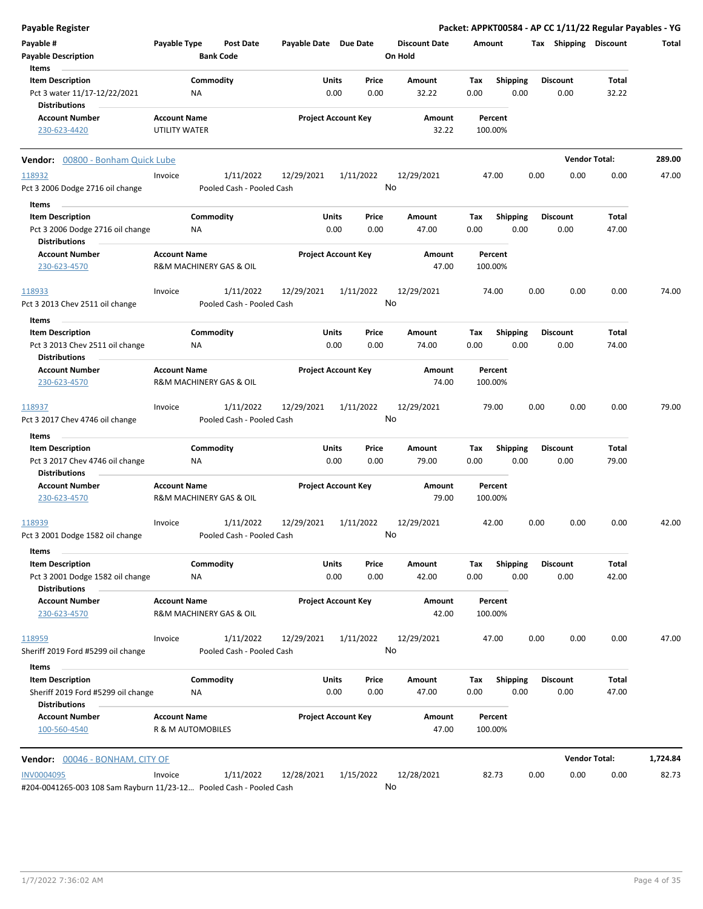| <b>Payable Register</b>                                                                  |                     |                         |                                        |                            |               |                 |                                 |             |                         |      |                       | Packet: APPKT00584 - AP CC 1/11/22 Regular Payables - YG |          |
|------------------------------------------------------------------------------------------|---------------------|-------------------------|----------------------------------------|----------------------------|---------------|-----------------|---------------------------------|-------------|-------------------------|------|-----------------------|----------------------------------------------------------|----------|
| Payable #<br><b>Payable Description</b>                                                  | Payable Type        | <b>Bank Code</b>        | Post Date                              | Payable Date Due Date      |               |                 | <b>Discount Date</b><br>On Hold | Amount      |                         |      | Tax Shipping Discount |                                                          | Total    |
| Items                                                                                    |                     |                         |                                        |                            |               |                 |                                 |             |                         |      | <b>Discount</b>       |                                                          |          |
| <b>Item Description</b><br>Pct 3 water 11/17-12/22/2021                                  |                     | Commodity<br>ΝA         |                                        |                            | Units<br>0.00 | Price<br>0.00   | Amount<br>32.22                 | Tax<br>0.00 | <b>Shipping</b><br>0.00 |      | 0.00                  | Total<br>32.22                                           |          |
| <b>Distributions</b>                                                                     |                     |                         |                                        |                            |               |                 |                                 |             |                         |      |                       |                                                          |          |
| <b>Account Number</b>                                                                    | <b>Account Name</b> |                         |                                        | <b>Project Account Key</b> |               |                 | Amount                          |             | Percent                 |      |                       |                                                          |          |
| 230-623-4420                                                                             | UTILITY WATER       |                         |                                        |                            |               |                 | 32.22                           | 100.00%     |                         |      |                       |                                                          |          |
| Vendor: 00800 - Bonham Quick Lube                                                        |                     |                         |                                        |                            |               |                 |                                 |             |                         |      |                       | <b>Vendor Total:</b>                                     | 289.00   |
| 118932                                                                                   | Invoice             |                         | 1/11/2022                              | 12/29/2021                 |               | 1/11/2022       | 12/29/2021                      |             | 47.00                   | 0.00 | 0.00                  | 0.00                                                     | 47.00    |
| Pct 3 2006 Dodge 2716 oil change                                                         |                     |                         | Pooled Cash - Pooled Cash              |                            |               | No              |                                 |             |                         |      |                       |                                                          |          |
| Items                                                                                    |                     |                         |                                        |                            |               |                 |                                 |             |                         |      |                       |                                                          |          |
| <b>Item Description</b>                                                                  |                     | Commodity               |                                        |                            | Units         | Price           | Amount                          | Tax         | <b>Shipping</b>         |      | <b>Discount</b>       | Total                                                    |          |
| Pct 3 2006 Dodge 2716 oil change<br><b>Distributions</b>                                 |                     | ΝA                      |                                        |                            | 0.00          | 0.00            | 47.00                           | 0.00        | 0.00                    |      | 0.00                  | 47.00                                                    |          |
| <b>Account Number</b>                                                                    | <b>Account Name</b> |                         |                                        | <b>Project Account Key</b> |               |                 | Amount                          |             | Percent                 |      |                       |                                                          |          |
| 230-623-4570                                                                             |                     | R&M MACHINERY GAS & OIL |                                        |                            |               |                 | 47.00                           | 100.00%     |                         |      |                       |                                                          |          |
| 118933                                                                                   | Invoice             |                         | 1/11/2022                              | 12/29/2021                 |               | 1/11/2022       | 12/29/2021                      |             | 74.00                   | 0.00 | 0.00                  | 0.00                                                     | 74.00    |
| Pct 3 2013 Chev 2511 oil change                                                          |                     |                         | Pooled Cash - Pooled Cash              |                            |               | No              |                                 |             |                         |      |                       |                                                          |          |
| Items                                                                                    |                     |                         |                                        |                            |               |                 |                                 |             |                         |      |                       |                                                          |          |
| <b>Item Description</b>                                                                  |                     | Commodity               |                                        |                            | Units         | Price           | Amount                          | Tax         | <b>Shipping</b>         |      | <b>Discount</b>       | Total                                                    |          |
| Pct 3 2013 Chev 2511 oil change                                                          |                     | NA.                     |                                        |                            | 0.00          | 0.00            | 74.00                           | 0.00        | 0.00                    |      | 0.00                  | 74.00                                                    |          |
| <b>Distributions</b>                                                                     |                     |                         |                                        |                            |               |                 |                                 |             |                         |      |                       |                                                          |          |
| <b>Account Number</b><br>230-623-4570                                                    | <b>Account Name</b> | R&M MACHINERY GAS & OIL |                                        | <b>Project Account Key</b> |               |                 | Amount<br>74.00                 | 100.00%     | Percent                 |      |                       |                                                          |          |
| 118937                                                                                   | Invoice             |                         | 1/11/2022                              | 12/29/2021                 |               | 1/11/2022       | 12/29/2021                      |             | 79.00                   | 0.00 | 0.00                  | 0.00                                                     | 79.00    |
| Pct 3 2017 Chev 4746 oil change                                                          |                     |                         | Pooled Cash - Pooled Cash              |                            |               | No              |                                 |             |                         |      |                       |                                                          |          |
| Items                                                                                    |                     |                         |                                        |                            |               |                 |                                 |             |                         |      |                       |                                                          |          |
| <b>Item Description</b>                                                                  |                     | Commodity               |                                        |                            | Units         | Price           | Amount                          | Tax         | <b>Shipping</b>         |      | <b>Discount</b>       | Total                                                    |          |
| Pct 3 2017 Chev 4746 oil change                                                          |                     | ΝA                      |                                        |                            | 0.00          | 0.00            | 79.00                           | 0.00        | 0.00                    |      | 0.00                  | 79.00                                                    |          |
| <b>Distributions</b>                                                                     |                     |                         |                                        |                            |               |                 |                                 |             |                         |      |                       |                                                          |          |
| <b>Account Number</b>                                                                    | <b>Account Name</b> |                         |                                        | <b>Project Account Key</b> |               |                 | Amount                          |             | Percent                 |      |                       |                                                          |          |
| 230-623-4570                                                                             |                     | R&M MACHINERY GAS & OIL |                                        |                            |               |                 | 79.00                           | 100.00%     |                         |      |                       |                                                          |          |
| 118939                                                                                   | Invoice             |                         | 1/11/2022                              | 12/29/2021                 |               | 1/11/2022       | 12/29/2021                      |             | 42.00                   | 0.00 | 0.00                  | 0.00                                                     | 42.00    |
| Pct 3 2001 Dodge 1582 oil change                                                         |                     |                         | Pooled Cash - Pooled Cash              |                            |               | No              |                                 |             |                         |      |                       |                                                          |          |
| Items                                                                                    |                     |                         |                                        |                            |               |                 |                                 |             |                         |      |                       |                                                          |          |
| <b>Item Description</b>                                                                  |                     | Commodity               |                                        |                            | Units         | Price           | Amount                          | Tax         | <b>Shipping</b>         |      | <b>Discount</b>       | Total                                                    |          |
| Pct 3 2001 Dodge 1582 oil change                                                         |                     | NA                      |                                        |                            | 0.00          | 0.00            | 42.00                           | 0.00        | 0.00                    |      | 0.00                  | 42.00                                                    |          |
| <b>Distributions</b>                                                                     |                     |                         |                                        |                            |               |                 |                                 |             |                         |      |                       |                                                          |          |
| <b>Account Number</b><br>230-623-4570                                                    | <b>Account Name</b> | R&M MACHINERY GAS & OIL |                                        | <b>Project Account Key</b> |               |                 | Amount<br>42.00                 | 100.00%     | Percent                 |      |                       |                                                          |          |
|                                                                                          |                     |                         |                                        |                            |               |                 |                                 |             |                         |      |                       |                                                          |          |
| 118959<br>Sheriff 2019 Ford #5299 oil change                                             | Invoice             |                         | 1/11/2022<br>Pooled Cash - Pooled Cash | 12/29/2021                 |               | 1/11/2022<br>No | 12/29/2021                      |             | 47.00                   | 0.00 | 0.00                  | 0.00                                                     | 47.00    |
|                                                                                          |                     |                         |                                        |                            |               |                 |                                 |             |                         |      |                       |                                                          |          |
| Items                                                                                    |                     |                         |                                        |                            |               |                 |                                 |             |                         |      | <b>Discount</b>       |                                                          |          |
| <b>Item Description</b><br>Sheriff 2019 Ford #5299 oil change                            |                     | Commodity<br>NA         |                                        |                            | Units<br>0.00 | Price<br>0.00   | Amount<br>47.00                 | Tax<br>0.00 | <b>Shipping</b><br>0.00 |      | 0.00                  | Total<br>47.00                                           |          |
| <b>Distributions</b>                                                                     |                     |                         |                                        |                            |               |                 |                                 |             |                         |      |                       |                                                          |          |
| <b>Account Number</b><br>100-560-4540                                                    | <b>Account Name</b> | R & M AUTOMOBILES       |                                        | <b>Project Account Key</b> |               |                 | Amount<br>47.00                 | 100.00%     | Percent                 |      |                       |                                                          |          |
|                                                                                          |                     |                         |                                        |                            |               |                 |                                 |             |                         |      |                       |                                                          |          |
| Vendor: 00046 - BONHAM, CITY OF                                                          |                     |                         |                                        |                            |               |                 |                                 |             |                         |      |                       | <b>Vendor Total:</b>                                     | 1,724.84 |
| <b>INV0004095</b><br>#204-0041265-003 108 Sam Rayburn 11/23-12 Pooled Cash - Pooled Cash | Invoice             |                         | 1/11/2022                              | 12/28/2021                 |               | 1/15/2022<br>No | 12/28/2021                      |             | 82.73                   | 0.00 | 0.00                  | 0.00                                                     | 82.73    |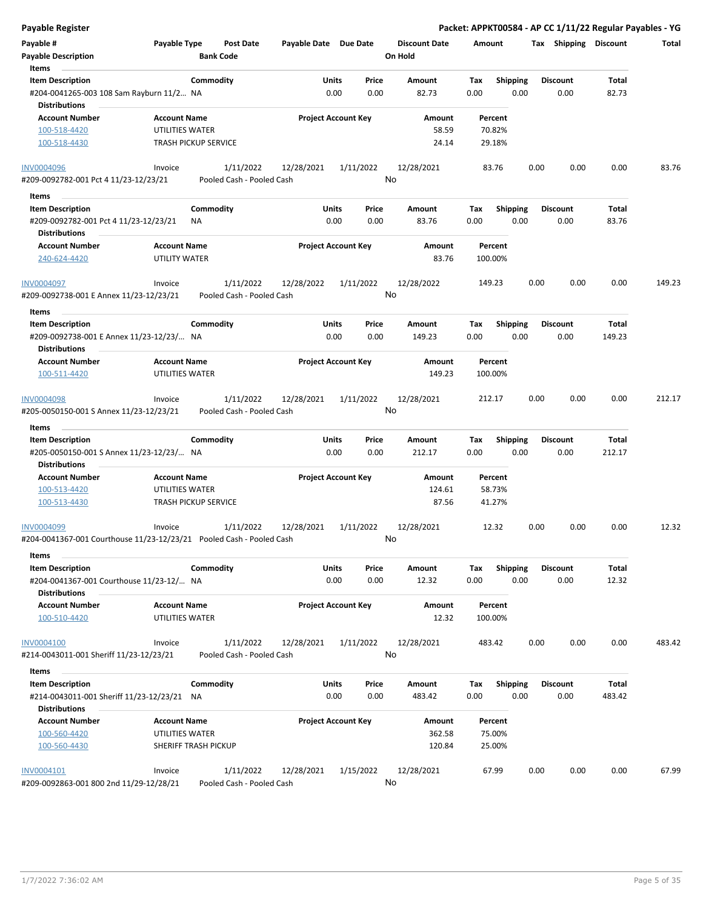| Payable Register                                                        |                                                |                                        |                       |                                |         |                      |             |                         |      |                         | Packet: APPKT00584 - AP CC 1/11/22 Regular Payables - YG |        |
|-------------------------------------------------------------------------|------------------------------------------------|----------------------------------------|-----------------------|--------------------------------|---------|----------------------|-------------|-------------------------|------|-------------------------|----------------------------------------------------------|--------|
| Payable #<br><b>Payable Description</b>                                 | Payable Type<br><b>Bank Code</b>               | Post Date                              | Payable Date Due Date |                                | On Hold | <b>Discount Date</b> | Amount      |                         |      | Tax Shipping Discount   |                                                          | Total  |
| Items                                                                   |                                                |                                        |                       |                                |         |                      |             |                         |      |                         |                                                          |        |
| <b>Item Description</b><br>#204-0041265-003 108 Sam Rayburn 11/2 NA     | Commodity                                      |                                        |                       | Price<br>Units<br>0.00<br>0.00 |         | Amount<br>82.73      | Tax<br>0.00 | <b>Shipping</b><br>0.00 |      | <b>Discount</b><br>0.00 | Total<br>82.73                                           |        |
| <b>Distributions</b>                                                    |                                                |                                        |                       |                                |         |                      |             |                         |      |                         |                                                          |        |
| <b>Account Number</b>                                                   | <b>Account Name</b>                            |                                        |                       | <b>Project Account Key</b>     |         | Amount               |             | Percent                 |      |                         |                                                          |        |
| 100-518-4420<br>100-518-4430                                            | UTILITIES WATER<br><b>TRASH PICKUP SERVICE</b> |                                        |                       |                                |         | 58.59<br>24.14       |             | 70.82%<br>29.18%        |      |                         |                                                          |        |
| <b>INV0004096</b>                                                       | Invoice                                        | 1/11/2022                              | 12/28/2021            | 1/11/2022                      |         | 12/28/2021           |             | 83.76                   | 0.00 | 0.00                    | 0.00                                                     | 83.76  |
| #209-0092782-001 Pct 4 11/23-12/23/21                                   |                                                | Pooled Cash - Pooled Cash              |                       |                                | No      |                      |             |                         |      |                         |                                                          |        |
| Items                                                                   |                                                |                                        |                       |                                |         |                      |             |                         |      |                         |                                                          |        |
| <b>Item Description</b>                                                 | Commodity                                      |                                        |                       | <b>Units</b><br>Price          |         | Amount               | Tax         | <b>Shipping</b>         |      | <b>Discount</b>         | Total                                                    |        |
| #209-0092782-001 Pct 4 11/23-12/23/21<br><b>Distributions</b>           | ΝA                                             |                                        |                       | 0.00<br>0.00                   |         | 83.76                | 0.00        | 0.00                    |      | 0.00                    | 83.76                                                    |        |
| <b>Account Number</b>                                                   | <b>Account Name</b>                            |                                        |                       | <b>Project Account Key</b>     |         | Amount               |             | Percent                 |      |                         |                                                          |        |
| 240-624-4420                                                            | UTILITY WATER                                  |                                        |                       |                                |         | 83.76                | 100.00%     |                         |      |                         |                                                          |        |
| INV0004097                                                              | Invoice                                        | 1/11/2022                              | 12/28/2022            | 1/11/2022                      |         | 12/28/2022           | 149.23      |                         | 0.00 | 0.00                    | 0.00                                                     | 149.23 |
| #209-0092738-001 E Annex 11/23-12/23/21                                 |                                                | Pooled Cash - Pooled Cash              |                       |                                | No      |                      |             |                         |      |                         |                                                          |        |
| Items                                                                   |                                                |                                        |                       |                                |         |                      |             |                         |      |                         |                                                          |        |
| <b>Item Description</b><br>#209-0092738-001 E Annex 11/23-12/23/ NA     | Commodity                                      |                                        |                       | Units<br>Price<br>0.00<br>0.00 |         | Amount<br>149.23     | Tax<br>0.00 | <b>Shipping</b><br>0.00 |      | <b>Discount</b><br>0.00 | Total<br>149.23                                          |        |
| <b>Distributions</b><br><b>Account Number</b>                           | <b>Account Name</b>                            |                                        |                       |                                |         |                      |             | Percent                 |      |                         |                                                          |        |
| 100-511-4420                                                            | <b>UTILITIES WATER</b>                         |                                        |                       | <b>Project Account Key</b>     |         | Amount<br>149.23     | 100.00%     |                         |      |                         |                                                          |        |
| INV0004098<br>#205-0050150-001 S Annex 11/23-12/23/21                   | Invoice                                        | 1/11/2022<br>Pooled Cash - Pooled Cash | 12/28/2021            | 1/11/2022                      | No      | 12/28/2021           | 212.17      |                         | 0.00 | 0.00                    | 0.00                                                     | 212.17 |
| Items                                                                   |                                                |                                        |                       |                                |         |                      |             |                         |      |                         |                                                          |        |
| <b>Item Description</b>                                                 | Commodity                                      |                                        | Units                 | Price                          |         | Amount               | Tax         | <b>Shipping</b>         |      | <b>Discount</b>         | Total                                                    |        |
| #205-0050150-001 S Annex 11/23-12/23/ NA<br><b>Distributions</b>        |                                                |                                        |                       | 0.00<br>0.00                   |         | 212.17               | 0.00        | 0.00                    |      | 0.00                    | 212.17                                                   |        |
| <b>Account Number</b>                                                   | <b>Account Name</b>                            |                                        |                       | <b>Project Account Key</b>     |         | Amount               |             | Percent                 |      |                         |                                                          |        |
| 100-513-4420                                                            | UTILITIES WATER                                |                                        |                       |                                |         | 124.61               |             | 58.73%                  |      |                         |                                                          |        |
| 100-513-4430                                                            | <b>TRASH PICKUP SERVICE</b>                    |                                        |                       |                                |         | 87.56                |             | 41.27%                  |      |                         |                                                          |        |
| INV0004099                                                              | Invoice                                        | 1/11/2022                              | 12/28/2021            | 1/11/2022                      |         | 12/28/2021           |             | 12.32                   | 0.00 | 0.00                    | 0.00                                                     | 12.32  |
| #204-0041367-001 Courthouse 11/23-12/23/21    Pooled Cash - Pooled Cash |                                                |                                        |                       |                                | No      |                      |             |                         |      |                         |                                                          |        |
| Items                                                                   |                                                |                                        |                       |                                |         |                      |             |                         |      |                         |                                                          |        |
| <b>Item Description</b><br>#204-0041367-001 Courthouse 11/23-12/ NA     | Commodity                                      |                                        |                       | Units<br>Price<br>0.00<br>0.00 |         | Amount<br>12.32      | Tax<br>0.00 | <b>Shipping</b><br>0.00 |      | <b>Discount</b><br>0.00 | Total<br>12.32                                           |        |
| <b>Distributions</b><br><b>Account Number</b>                           | <b>Account Name</b>                            |                                        |                       | <b>Project Account Key</b>     |         | Amount               |             | Percent                 |      |                         |                                                          |        |
| 100-510-4420                                                            | UTILITIES WATER                                |                                        |                       |                                |         | 12.32                | 100.00%     |                         |      |                         |                                                          |        |
| <b>INV0004100</b><br>#214-0043011-001 Sheriff 11/23-12/23/21            | Invoice                                        | 1/11/2022<br>Pooled Cash - Pooled Cash | 12/28/2021            | 1/11/2022                      | No      | 12/28/2021           | 483.42      |                         | 0.00 | 0.00                    | 0.00                                                     | 483.42 |
| Items                                                                   |                                                |                                        |                       |                                |         |                      |             |                         |      |                         |                                                          |        |
| <b>Item Description</b>                                                 | Commodity                                      |                                        |                       | <b>Units</b><br>Price          |         | Amount               | Tax         | Shipping                |      | <b>Discount</b>         | Total                                                    |        |
| #214-0043011-001 Sheriff 11/23-12/23/21 NA<br><b>Distributions</b>      |                                                |                                        |                       | 0.00<br>0.00                   |         | 483.42               | 0.00        | 0.00                    |      | 0.00                    | 483.42                                                   |        |
| <b>Account Number</b>                                                   | <b>Account Name</b>                            |                                        |                       | <b>Project Account Key</b>     |         | Amount               |             | Percent                 |      |                         |                                                          |        |
| 100-560-4420                                                            | UTILITIES WATER                                |                                        |                       |                                |         | 362.58               |             | 75.00%                  |      |                         |                                                          |        |
| 100-560-4430                                                            | SHERIFF TRASH PICKUP                           |                                        |                       |                                |         | 120.84               |             | 25.00%                  |      |                         |                                                          |        |
| INV0004101                                                              | Invoice                                        | 1/11/2022                              | 12/28/2021            | 1/15/2022                      |         | 12/28/2021           |             | 67.99                   | 0.00 | 0.00                    | 0.00                                                     | 67.99  |
| #209-0092863-001 800 2nd 11/29-12/28/21                                 |                                                | Pooled Cash - Pooled Cash              |                       |                                | No      |                      |             |                         |      |                         |                                                          |        |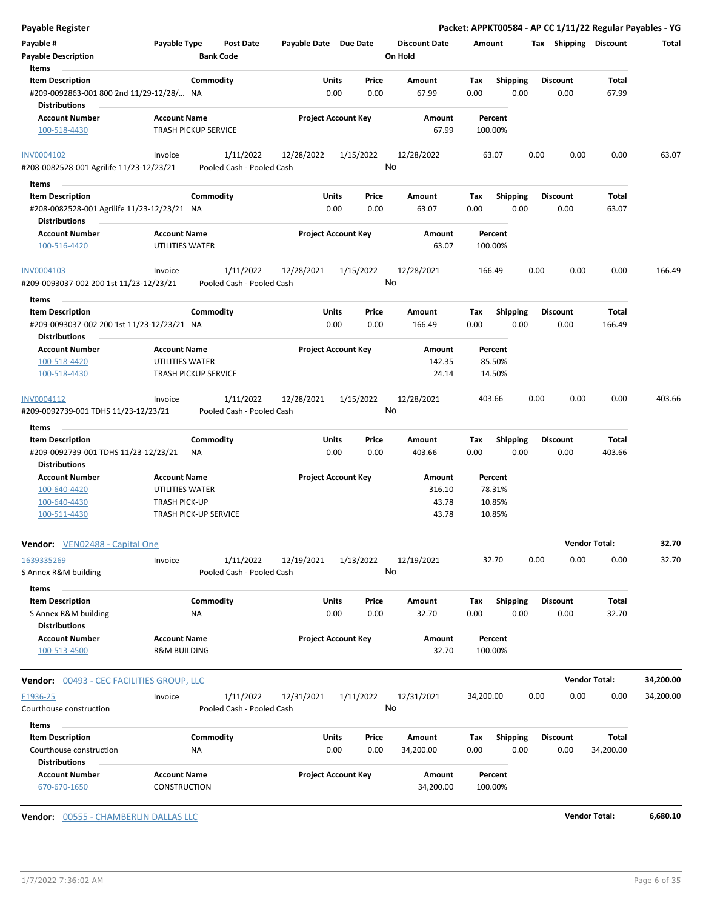| <b>Payable Register</b>                                                                     |                                                      |                       |                            |                                 | Packet: APPKT00584 - AP CC 1/11/22 Regular Payables - YG |      |                         |                      |           |
|---------------------------------------------------------------------------------------------|------------------------------------------------------|-----------------------|----------------------------|---------------------------------|----------------------------------------------------------|------|-------------------------|----------------------|-----------|
| Payable #<br><b>Payable Description</b>                                                     | Payable Type<br><b>Post Date</b><br><b>Bank Code</b> | Payable Date Due Date |                            | <b>Discount Date</b><br>On Hold | Amount                                                   |      | Tax Shipping Discount   |                      | Total     |
| Items                                                                                       |                                                      |                       |                            |                                 |                                                          |      |                         |                      |           |
| <b>Item Description</b><br>#209-0092863-001 800 2nd 11/29-12/28/ NA<br><b>Distributions</b> | Commodity                                            | Units                 | Price<br>0.00<br>0.00      | Amount<br>67.99                 | <b>Shipping</b><br>Tax<br>0.00                           | 0.00 | <b>Discount</b><br>0.00 | Total<br>67.99       |           |
| <b>Account Number</b><br>100-518-4430                                                       | <b>Account Name</b><br><b>TRASH PICKUP SERVICE</b>   |                       | <b>Project Account Key</b> | Amount<br>67.99                 | Percent<br>100.00%                                       |      |                         |                      |           |
| <b>INV0004102</b>                                                                           | 1/11/2022<br>Invoice                                 | 12/28/2022            | 1/15/2022                  | 12/28/2022                      | 63.07                                                    | 0.00 | 0.00                    | 0.00                 | 63.07     |
| #208-0082528-001 Agrilife 11/23-12/23/21                                                    | Pooled Cash - Pooled Cash                            |                       |                            | No                              |                                                          |      |                         |                      |           |
| Items                                                                                       |                                                      |                       |                            |                                 |                                                          |      |                         |                      |           |
| <b>Item Description</b>                                                                     | Commodity                                            | Units                 | Price                      | Amount                          | <b>Shipping</b><br>Tax                                   |      | <b>Discount</b>         | Total                |           |
| #208-0082528-001 Agrilife 11/23-12/23/21 NA<br><b>Distributions</b>                         |                                                      |                       | 0.00<br>0.00               | 63.07                           | 0.00                                                     | 0.00 | 0.00                    | 63.07                |           |
| <b>Account Number</b>                                                                       | <b>Account Name</b>                                  |                       | <b>Project Account Key</b> | Amount                          | Percent                                                  |      |                         |                      |           |
| 100-516-4420                                                                                | UTILITIES WATER                                      |                       |                            | 63.07                           | 100.00%                                                  |      |                         |                      |           |
| <b>INV0004103</b><br>#209-0093037-002 200 1st 11/23-12/23/21                                | 1/11/2022<br>Invoice<br>Pooled Cash - Pooled Cash    | 12/28/2021            | 1/15/2022                  | 12/28/2021<br>No                | 166.49                                                   | 0.00 | 0.00                    | 0.00                 | 166.49    |
|                                                                                             |                                                      |                       |                            |                                 |                                                          |      |                         |                      |           |
| Items<br><b>Item Description</b>                                                            | Commodity                                            | Units                 | Price                      | Amount                          | Tax<br><b>Shipping</b>                                   |      | <b>Discount</b>         | Total                |           |
| #209-0093037-002 200 1st 11/23-12/23/21 NA                                                  |                                                      |                       | 0.00<br>0.00               | 166.49                          | 0.00                                                     | 0.00 | 0.00                    | 166.49               |           |
| <b>Distributions</b>                                                                        |                                                      |                       |                            |                                 |                                                          |      |                         |                      |           |
| <b>Account Number</b>                                                                       | <b>Account Name</b>                                  |                       | <b>Project Account Key</b> | Amount                          | Percent                                                  |      |                         |                      |           |
| 100-518-4420                                                                                | UTILITIES WATER                                      |                       |                            | 142.35                          | 85.50%                                                   |      |                         |                      |           |
| 100-518-4430                                                                                | <b>TRASH PICKUP SERVICE</b>                          |                       |                            | 24.14                           | 14.50%                                                   |      |                         |                      |           |
| INV0004112<br>#209-0092739-001 TDHS 11/23-12/23/21<br>Items                                 | 1/11/2022<br>Invoice<br>Pooled Cash - Pooled Cash    | 12/28/2021            | 1/15/2022                  | 12/28/2021<br>No                | 403.66                                                   | 0.00 | 0.00                    | 0.00                 | 403.66    |
| <b>Item Description</b>                                                                     | Commodity                                            | Units                 | Price                      | Amount                          | <b>Shipping</b><br>Tax                                   |      | <b>Discount</b>         | Total                |           |
| #209-0092739-001 TDHS 11/23-12/23/21                                                        | <b>NA</b>                                            |                       | 0.00<br>0.00               | 403.66                          | 0.00                                                     | 0.00 | 0.00                    | 403.66               |           |
| <b>Distributions</b>                                                                        |                                                      |                       |                            |                                 |                                                          |      |                         |                      |           |
| <b>Account Number</b>                                                                       | <b>Account Name</b>                                  |                       | <b>Project Account Key</b> | Amount                          | Percent                                                  |      |                         |                      |           |
| 100-640-4420                                                                                | UTILITIES WATER                                      |                       |                            | 316.10                          | 78.31%                                                   |      |                         |                      |           |
| 100-640-4430                                                                                | <b>TRASH PICK-UP</b>                                 |                       |                            | 43.78                           | 10.85%                                                   |      |                         |                      |           |
| 100-511-4430                                                                                | <b>TRASH PICK-UP SERVICE</b>                         |                       |                            | 43.78                           | 10.85%                                                   |      |                         |                      |           |
| Vendor: VEN02488 - Capital One                                                              |                                                      |                       |                            |                                 |                                                          |      |                         | <b>Vendor Total:</b> | 32.70     |
| 1639335269                                                                                  | 1/11/2022<br>Invoice                                 | 12/19/2021            | 1/13/2022                  | 12/19/2021                      | 32.70                                                    | 0.00 | 0.00                    | 0.00                 | 32.70     |
| S Annex R&M building                                                                        | Pooled Cash - Pooled Cash                            |                       |                            | No                              |                                                          |      |                         |                      |           |
| Items                                                                                       |                                                      |                       |                            |                                 |                                                          |      |                         |                      |           |
| <b>Item Description</b>                                                                     | Commodity                                            | Units                 | Price                      | Amount                          | <b>Shipping</b><br>Тах                                   |      | <b>Discount</b>         | Total                |           |
| S Annex R&M building                                                                        | ΝA                                                   |                       | 0.00<br>0.00               | 32.70                           | 0.00                                                     | 0.00 | 0.00                    | 32.70                |           |
| <b>Distributions</b>                                                                        |                                                      |                       |                            |                                 |                                                          |      |                         |                      |           |
| <b>Account Number</b><br>100-513-4500                                                       | <b>Account Name</b><br><b>R&amp;M BUILDING</b>       |                       | <b>Project Account Key</b> | Amount<br>32.70                 | Percent<br>100.00%                                       |      |                         |                      |           |
| Vendor: 00493 - CEC FACILITIES GROUP, LLC                                                   |                                                      |                       |                            |                                 |                                                          |      |                         | <b>Vendor Total:</b> | 34,200.00 |
|                                                                                             |                                                      |                       |                            |                                 |                                                          |      |                         |                      |           |
| E1936-25<br>Courthouse construction                                                         | Invoice<br>1/11/2022<br>Pooled Cash - Pooled Cash    | 12/31/2021            | 1/11/2022                  | 12/31/2021<br>No                | 34,200.00                                                | 0.00 | 0.00                    | 0.00                 | 34,200.00 |
| Items                                                                                       |                                                      |                       |                            |                                 |                                                          |      |                         |                      |           |
| <b>Item Description</b>                                                                     | Commodity                                            | Units                 | Price                      | Amount                          | Shipping<br>Tax                                          |      | <b>Discount</b>         | Total                |           |
| Courthouse construction                                                                     | ΝA                                                   |                       | 0.00<br>0.00               | 34,200.00                       | 0.00                                                     | 0.00 | 0.00                    | 34,200.00            |           |
| <b>Distributions</b>                                                                        |                                                      |                       |                            |                                 |                                                          |      |                         |                      |           |
| <b>Account Number</b>                                                                       | <b>Account Name</b>                                  |                       | <b>Project Account Key</b> | Amount                          | Percent                                                  |      |                         |                      |           |
| 670-670-1650                                                                                | <b>CONSTRUCTION</b>                                  |                       |                            | 34,200.00                       | 100.00%                                                  |      |                         |                      |           |
|                                                                                             |                                                      |                       |                            |                                 |                                                          |      |                         |                      |           |

**Vendor:** 00555 - CHAMBERLIN DALLAS LLC **Vendor Total: 6,680.10**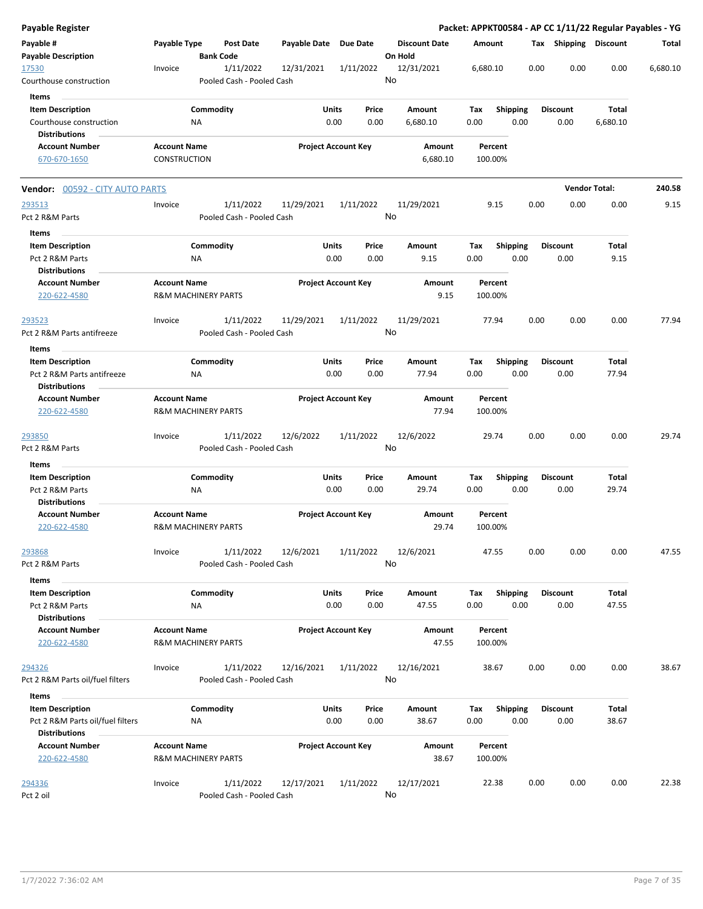| <b>Payable Register</b>                                  |                                                       |                                        |                       |                                       |                                 | Packet: APPKT00584 - AP CC 1/11/22 Regular Payables - YG |                         |                         |                      |          |
|----------------------------------------------------------|-------------------------------------------------------|----------------------------------------|-----------------------|---------------------------------------|---------------------------------|----------------------------------------------------------|-------------------------|-------------------------|----------------------|----------|
| Payable #<br><b>Payable Description</b>                  | Payable Type                                          | <b>Post Date</b><br><b>Bank Code</b>   | Payable Date Due Date |                                       | <b>Discount Date</b><br>On Hold | Amount                                                   |                         | Tax Shipping Discount   |                      | Total    |
| 17530<br>Courthouse construction                         | Invoice                                               | 1/11/2022<br>Pooled Cash - Pooled Cash | 12/31/2021            | 1/11/2022                             | 12/31/2021<br>No                | 6,680.10                                                 | 0.00                    | 0.00                    | 0.00                 | 6,680.10 |
| Items                                                    |                                                       |                                        |                       |                                       |                                 |                                                          |                         |                         |                      |          |
| <b>Item Description</b>                                  |                                                       | Commodity                              |                       | Units<br>Price                        | Amount                          | Tax                                                      | <b>Shipping</b>         | <b>Discount</b>         | Total                |          |
| Courthouse construction                                  | <b>NA</b>                                             |                                        |                       | 0.00<br>0.00                          | 6,680.10                        | 0.00                                                     | 0.00                    | 0.00                    | 6,680.10             |          |
| <b>Distributions</b>                                     |                                                       |                                        |                       |                                       |                                 |                                                          |                         |                         |                      |          |
| <b>Account Number</b>                                    | <b>Account Name</b>                                   |                                        |                       | <b>Project Account Key</b>            | Amount                          | Percent                                                  |                         |                         |                      |          |
| 670-670-1650                                             | CONSTRUCTION                                          |                                        |                       |                                       | 6,680.10                        | 100.00%                                                  |                         |                         |                      |          |
| <b>Vendor: 00592 - CITY AUTO PARTS</b>                   |                                                       |                                        |                       |                                       |                                 |                                                          |                         |                         | <b>Vendor Total:</b> | 240.58   |
| 293513                                                   | Invoice                                               | 1/11/2022                              | 11/29/2021            | 1/11/2022                             | 11/29/2021                      | 9.15                                                     | 0.00                    | 0.00                    | 0.00                 | 9.15     |
| Pct 2 R&M Parts                                          |                                                       | Pooled Cash - Pooled Cash              |                       |                                       | No                              |                                                          |                         |                         |                      |          |
| Items                                                    |                                                       |                                        |                       |                                       |                                 |                                                          |                         |                         |                      |          |
| <b>Item Description</b>                                  |                                                       | Commodity                              |                       | <b>Units</b><br>Price                 | Amount                          | Tax                                                      | <b>Shipping</b>         | <b>Discount</b>         | Total                |          |
| Pct 2 R&M Parts                                          | ΝA                                                    |                                        |                       | 0.00<br>0.00                          | 9.15                            | 0.00                                                     | 0.00                    | 0.00                    | 9.15                 |          |
| <b>Distributions</b>                                     |                                                       |                                        |                       |                                       |                                 |                                                          |                         |                         |                      |          |
| <b>Account Number</b><br>220-622-4580                    | <b>Account Name</b><br><b>R&amp;M MACHINERY PARTS</b> |                                        |                       | <b>Project Account Key</b>            | Amount<br>9.15                  | Percent<br>100.00%                                       |                         |                         |                      |          |
| 293523                                                   | Invoice                                               | 1/11/2022                              | 11/29/2021            | 1/11/2022                             | 11/29/2021                      | 77.94                                                    | 0.00                    | 0.00                    | 0.00                 | 77.94    |
| Pct 2 R&M Parts antifreeze                               |                                                       | Pooled Cash - Pooled Cash              |                       |                                       | No                              |                                                          |                         |                         |                      |          |
|                                                          |                                                       |                                        |                       |                                       |                                 |                                                          |                         |                         |                      |          |
| Items                                                    |                                                       |                                        |                       |                                       |                                 |                                                          |                         |                         |                      |          |
| <b>Item Description</b><br>Pct 2 R&M Parts antifreeze    | ΝA                                                    | Commodity                              |                       | <b>Units</b><br>Price<br>0.00<br>0.00 | Amount<br>77.94                 | Tax<br>0.00                                              | <b>Shipping</b><br>0.00 | <b>Discount</b><br>0.00 | Total<br>77.94       |          |
| <b>Distributions</b>                                     |                                                       |                                        |                       |                                       |                                 |                                                          |                         |                         |                      |          |
| <b>Account Number</b>                                    | <b>Account Name</b>                                   |                                        |                       | <b>Project Account Key</b>            | Amount                          | Percent                                                  |                         |                         |                      |          |
| 220-622-4580                                             | <b>R&amp;M MACHINERY PARTS</b>                        |                                        |                       |                                       | 77.94                           | 100.00%                                                  |                         |                         |                      |          |
| 293850                                                   | Invoice                                               | 1/11/2022                              | 12/6/2022             | 1/11/2022                             | 12/6/2022                       | 29.74                                                    | 0.00                    | 0.00                    | 0.00                 | 29.74    |
| Pct 2 R&M Parts                                          |                                                       | Pooled Cash - Pooled Cash              |                       |                                       | No                              |                                                          |                         |                         |                      |          |
| Items                                                    |                                                       |                                        |                       |                                       |                                 |                                                          |                         |                         |                      |          |
| <b>Item Description</b>                                  |                                                       | Commodity                              |                       | <b>Units</b><br>Price                 | Amount                          | Tax                                                      | <b>Shipping</b>         | <b>Discount</b>         | Total                |          |
| Pct 2 R&M Parts<br><b>Distributions</b>                  | <b>NA</b>                                             |                                        |                       | 0.00<br>0.00                          | 29.74                           | 0.00                                                     | 0.00                    | 0.00                    | 29.74                |          |
| <b>Account Number</b><br>220-622-4580                    | <b>Account Name</b><br><b>R&amp;M MACHINERY PARTS</b> |                                        |                       | <b>Project Account Key</b>            | Amount<br>29.74                 | Percent<br>100.00%                                       |                         |                         |                      |          |
| 293868                                                   | Invoice                                               | 1/11/2022                              | 12/6/2021             | 1/11/2022                             | 12/6/2021                       | 47.55                                                    | 0.00                    | 0.00                    | 0.00                 | 47.55    |
| Pct 2 R&M Parts                                          |                                                       | Pooled Cash - Pooled Cash              |                       |                                       | No                              |                                                          |                         |                         |                      |          |
| Items                                                    |                                                       |                                        |                       |                                       |                                 |                                                          |                         |                         |                      |          |
| <b>Item Description</b><br>Pct 2 R&M Parts               | NA                                                    | Commodity                              |                       | Units<br>Price<br>0.00<br>0.00        | Amount<br>47.55                 | Тах<br>0.00                                              | <b>Shipping</b><br>0.00 | <b>Discount</b><br>0.00 | Total<br>47.55       |          |
| <b>Distributions</b><br><b>Account Number</b>            | <b>Account Name</b>                                   |                                        |                       | <b>Project Account Key</b>            | Amount                          | Percent                                                  |                         |                         |                      |          |
| 220-622-4580                                             | R&M MACHINERY PARTS                                   |                                        |                       |                                       | 47.55                           | 100.00%                                                  |                         |                         |                      |          |
| 294326                                                   | Invoice                                               | 1/11/2022                              | 12/16/2021            | 1/11/2022                             | 12/16/2021                      | 38.67                                                    | 0.00                    | 0.00                    | 0.00                 | 38.67    |
| Pct 2 R&M Parts oil/fuel filters                         |                                                       | Pooled Cash - Pooled Cash              |                       |                                       | No                              |                                                          |                         |                         |                      |          |
| Items                                                    |                                                       |                                        |                       |                                       |                                 |                                                          |                         |                         |                      |          |
| <b>Item Description</b>                                  |                                                       | Commodity                              |                       | Units<br>Price                        | Amount                          | Tax                                                      | Shipping                | <b>Discount</b>         | Total                |          |
| Pct 2 R&M Parts oil/fuel filters<br><b>Distributions</b> | <b>NA</b>                                             |                                        |                       | 0.00<br>0.00                          | 38.67                           | 0.00                                                     | 0.00                    | 0.00                    | 38.67                |          |
| <b>Account Number</b>                                    | <b>Account Name</b>                                   |                                        |                       | <b>Project Account Key</b>            | Amount                          | Percent                                                  |                         |                         |                      |          |
| 220-622-4580                                             | <b>R&amp;M MACHINERY PARTS</b>                        |                                        |                       |                                       | 38.67                           | 100.00%                                                  |                         |                         |                      |          |
| 294336<br>Pct 2 oil                                      | Invoice                                               | 1/11/2022<br>Pooled Cash - Pooled Cash | 12/17/2021            | 1/11/2022                             | 12/17/2021<br>No                | 22.38                                                    | 0.00                    | 0.00                    | 0.00                 | 22.38    |
|                                                          |                                                       |                                        |                       |                                       |                                 |                                                          |                         |                         |                      |          |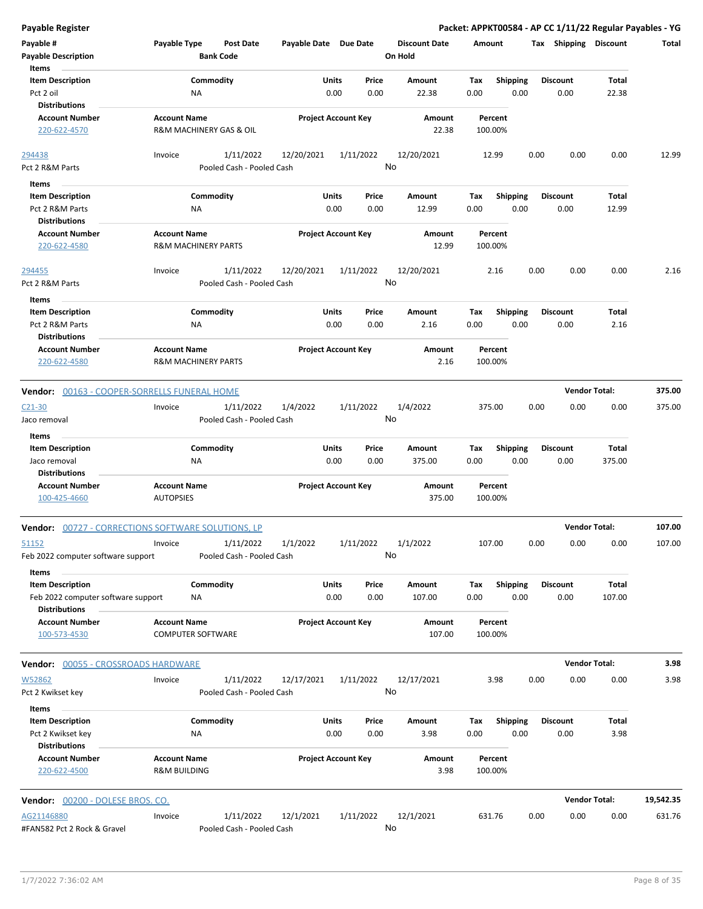| <b>Payable Register</b>                                                       |                                                       |                                        |                            |               |                 |                                 |             |                         |      |                         | Packet: APPKT00584 - AP CC 1/11/22 Regular Payables - YG |           |
|-------------------------------------------------------------------------------|-------------------------------------------------------|----------------------------------------|----------------------------|---------------|-----------------|---------------------------------|-------------|-------------------------|------|-------------------------|----------------------------------------------------------|-----------|
| Payable #<br><b>Payable Description</b>                                       | Payable Type                                          | <b>Post Date</b><br><b>Bank Code</b>   | Payable Date Due Date      |               |                 | <b>Discount Date</b><br>On Hold | Amount      |                         |      | Tax Shipping Discount   |                                                          | Total     |
| Items<br><b>Item Description</b><br>Pct 2 oil                                 | Commodity<br>NA                                       |                                        |                            | Units<br>0.00 | Price<br>0.00   | Amount<br>22.38                 | Tax<br>0.00 | <b>Shipping</b><br>0.00 |      | Discount<br>0.00        | Total<br>22.38                                           |           |
| <b>Distributions</b><br><b>Account Number</b><br>220-622-4570                 | <b>Account Name</b><br>R&M MACHINERY GAS & OIL        |                                        | <b>Project Account Key</b> |               |                 | Amount<br>22.38                 |             | Percent<br>100.00%      |      |                         |                                                          |           |
| 294438<br>Pct 2 R&M Parts                                                     | Invoice                                               | 1/11/2022<br>Pooled Cash - Pooled Cash | 12/20/2021                 |               | 1/11/2022<br>No | 12/20/2021                      |             | 12.99                   | 0.00 | 0.00                    | 0.00                                                     | 12.99     |
| Items                                                                         |                                                       |                                        |                            |               |                 |                                 |             |                         |      |                         |                                                          |           |
| <b>Item Description</b><br>Pct 2 R&M Parts<br><b>Distributions</b>            | Commodity<br>ΝA                                       |                                        |                            | Units<br>0.00 | Price<br>0.00   | Amount<br>12.99                 | Tax<br>0.00 | <b>Shipping</b><br>0.00 |      | <b>Discount</b><br>0.00 | Total<br>12.99                                           |           |
| <b>Account Number</b><br>220-622-4580                                         | <b>Account Name</b><br><b>R&amp;M MACHINERY PARTS</b> |                                        | <b>Project Account Key</b> |               |                 | Amount<br>12.99                 |             | Percent<br>100.00%      |      |                         |                                                          |           |
| 294455<br>Pct 2 R&M Parts                                                     | Invoice                                               | 1/11/2022<br>Pooled Cash - Pooled Cash | 12/20/2021                 | 1/11/2022     | No              | 12/20/2021                      |             | 2.16                    | 0.00 | 0.00                    | 0.00                                                     | 2.16      |
| Items<br><b>Item Description</b><br>Pct 2 R&M Parts                           | Commodity<br>ΝA                                       |                                        |                            | Units<br>0.00 | Price<br>0.00   | Amount<br>2.16                  | Tax<br>0.00 | <b>Shipping</b><br>0.00 |      | <b>Discount</b><br>0.00 | Total<br>2.16                                            |           |
| <b>Distributions</b><br><b>Account Number</b><br>220-622-4580                 | <b>Account Name</b><br><b>R&amp;M MACHINERY PARTS</b> |                                        | <b>Project Account Key</b> |               |                 | Amount<br>2.16                  |             | Percent<br>100.00%      |      |                         |                                                          |           |
| Vendor: 00163 - COOPER-SORRELLS FUNERAL HOME                                  |                                                       |                                        |                            |               |                 |                                 |             |                         |      |                         | <b>Vendor Total:</b>                                     | 375.00    |
| $C21-30$<br>Jaco removal<br>Items                                             | Invoice                                               | 1/11/2022<br>Pooled Cash - Pooled Cash | 1/4/2022                   |               | 1/11/2022<br>No | 1/4/2022                        |             | 375.00                  | 0.00 | 0.00                    | 0.00                                                     | 375.00    |
| <b>Item Description</b><br>Jaco removal<br><b>Distributions</b>               | Commodity<br>NA                                       |                                        |                            | Units<br>0.00 | Price<br>0.00   | Amount<br>375.00                | Tax<br>0.00 | <b>Shipping</b><br>0.00 |      | Discount<br>0.00        | Total<br>375.00                                          |           |
| <b>Account Number</b><br>100-425-4660                                         | <b>Account Name</b><br><b>AUTOPSIES</b>               |                                        | <b>Project Account Key</b> |               |                 | Amount<br>375.00                |             | Percent<br>100.00%      |      |                         |                                                          |           |
| <b>Vendor:</b> 00727 - CORRECTIONS SOFTWARE SOLUTIONS, LP                     |                                                       |                                        |                            |               |                 |                                 |             |                         |      |                         | <b>Vendor Total:</b>                                     | 107.00    |
| 51152<br>Feb 2022 computer software support                                   | Invoice                                               | 1/11/2022<br>Pooled Cash - Pooled Cash | 1/1/2022                   |               | 1/11/2022<br>No | 1/1/2022                        |             | 107.00                  | 0.00 | 0.00                    | 0.00                                                     | 107.00    |
| Items<br><b>Item Description</b><br>Feb 2022 computer software support        | Commodity<br>ΝA                                       |                                        |                            | Units<br>0.00 | Price<br>0.00   | Amount<br>107.00                | Tax<br>0.00 | <b>Shipping</b><br>0.00 |      | Discount<br>0.00        | Total<br>107.00                                          |           |
| <b>Distributions</b><br><b>Account Number</b><br>100-573-4530                 | <b>Account Name</b><br><b>COMPUTER SOFTWARE</b>       |                                        | <b>Project Account Key</b> |               |                 | Amount<br>107.00                |             | Percent<br>100.00%      |      |                         |                                                          |           |
| <b>Vendor: 00055 - CROSSROADS HARDWARE</b>                                    |                                                       |                                        |                            |               |                 |                                 |             |                         |      |                         | <b>Vendor Total:</b>                                     | 3.98      |
| W52862<br>Pct 2 Kwikset key                                                   | Invoice                                               | 1/11/2022<br>Pooled Cash - Pooled Cash | 12/17/2021                 |               | 1/11/2022<br>No | 12/17/2021                      |             | 3.98                    | 0.00 | 0.00                    | 0.00                                                     | 3.98      |
| Items<br><b>Item Description</b><br>Pct 2 Kwikset key<br><b>Distributions</b> | Commodity<br>NA                                       |                                        |                            | Units<br>0.00 | Price<br>0.00   | Amount<br>3.98                  | Tax<br>0.00 | <b>Shipping</b><br>0.00 |      | <b>Discount</b><br>0.00 | Total<br>3.98                                            |           |
| <b>Account Number</b><br>220-622-4500                                         | <b>Account Name</b><br><b>R&amp;M BUILDING</b>        |                                        | <b>Project Account Key</b> |               |                 | Amount<br>3.98                  |             | Percent<br>100.00%      |      |                         |                                                          |           |
| Vendor: 00200 - DOLESE BROS. CO.                                              |                                                       |                                        |                            |               |                 |                                 |             |                         |      |                         | <b>Vendor Total:</b>                                     | 19,542.35 |
| AG21146880<br>#FAN582 Pct 2 Rock & Gravel                                     | Invoice                                               | 1/11/2022<br>Pooled Cash - Pooled Cash | 12/1/2021                  |               | 1/11/2022<br>No | 12/1/2021                       |             | 631.76                  | 0.00 | 0.00                    | 0.00                                                     | 631.76    |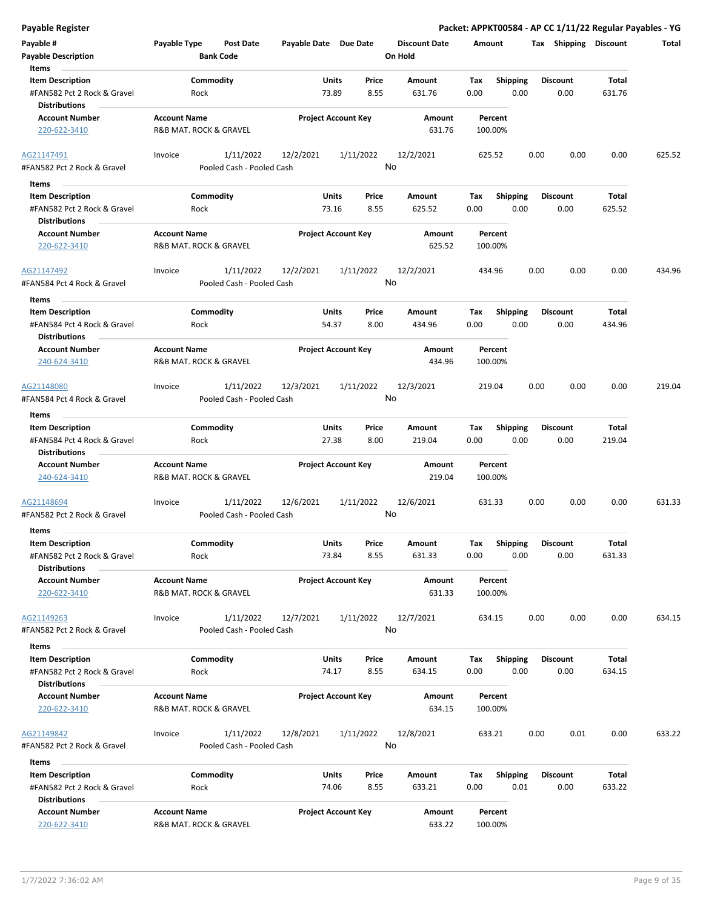| <b>Payable Register</b>                                                        |                                                             |                       |                            |                                 | Packet: APPKT00584 - AP CC 1/11/22 Regular Payables - YG |                         |                 |        |
|--------------------------------------------------------------------------------|-------------------------------------------------------------|-----------------------|----------------------------|---------------------------------|----------------------------------------------------------|-------------------------|-----------------|--------|
| Payable #<br><b>Payable Description</b>                                        | <b>Payable Type</b><br><b>Post Date</b><br><b>Bank Code</b> | Payable Date Due Date |                            | <b>Discount Date</b><br>On Hold | Amount                                                   | Tax Shipping Discount   |                 | Total  |
| Items<br><b>Item Description</b><br>#FAN582 Pct 2 Rock & Gravel                | Commodity<br>Rock                                           | Units<br>73.89        | Price<br>8.55              | Amount<br>631.76                | Tax<br><b>Shipping</b><br>0.00<br>0.00                   | <b>Discount</b><br>0.00 | Total<br>631.76 |        |
| <b>Distributions</b><br><b>Account Number</b><br>220-622-3410                  | <b>Account Name</b><br>R&B MAT. ROCK & GRAVEL               |                       | <b>Project Account Key</b> | Amount<br>631.76                | Percent<br>100.00%                                       |                         |                 |        |
| AG21147491<br>#FAN582 Pct 2 Rock & Gravel                                      | 1/11/2022<br>Invoice<br>Pooled Cash - Pooled Cash           | 12/2/2021             | 1/11/2022                  | 12/2/2021<br>No                 | 625.52                                                   | 0.00<br>0.00            | 0.00            | 625.52 |
| Items                                                                          |                                                             |                       |                            |                                 |                                                          |                         |                 |        |
| <b>Item Description</b><br>#FAN582 Pct 2 Rock & Gravel                         | Commodity<br>Rock                                           | <b>Units</b><br>73.16 | Price<br>8.55              | Amount<br>625.52                | <b>Shipping</b><br>Tax<br>0.00<br>0.00                   | <b>Discount</b><br>0.00 | Total<br>625.52 |        |
| <b>Distributions</b><br><b>Account Number</b><br>220-622-3410                  | <b>Account Name</b><br>R&B MAT. ROCK & GRAVEL               |                       | <b>Project Account Key</b> | Amount<br>625.52                | Percent<br>100.00%                                       |                         |                 |        |
| AG21147492<br>#FAN584 Pct 4 Rock & Gravel                                      | 1/11/2022<br>Invoice<br>Pooled Cash - Pooled Cash           | 12/2/2021             | 1/11/2022                  | 12/2/2021<br>No                 | 434.96                                                   | 0.00<br>0.00            | 0.00            | 434.96 |
| Items                                                                          |                                                             |                       |                            |                                 |                                                          |                         |                 |        |
| <b>Item Description</b><br>#FAN584 Pct 4 Rock & Gravel<br><b>Distributions</b> | Commodity<br>Rock                                           | Units<br>54.37        | Price<br>8.00              | Amount<br>434.96                | <b>Shipping</b><br>Tax<br>0.00<br>0.00                   | <b>Discount</b><br>0.00 | Total<br>434.96 |        |
| <b>Account Number</b><br>240-624-3410                                          | <b>Account Name</b><br>R&B MAT. ROCK & GRAVEL               |                       | <b>Project Account Key</b> | Amount<br>434.96                | Percent<br>100.00%                                       |                         |                 |        |
| AG21148080<br>#FAN584 Pct 4 Rock & Gravel                                      | 1/11/2022<br>Invoice<br>Pooled Cash - Pooled Cash           | 12/3/2021             | 1/11/2022                  | 12/3/2021<br>No                 | 219.04                                                   | 0.00<br>0.00            | 0.00            | 219.04 |
| Items                                                                          |                                                             |                       |                            |                                 |                                                          |                         |                 |        |
| <b>Item Description</b><br>#FAN584 Pct 4 Rock & Gravel                         | Commodity<br>Rock                                           | <b>Units</b><br>27.38 | Price<br>8.00              | Amount<br>219.04                | <b>Shipping</b><br>Tax<br>0.00<br>0.00                   | <b>Discount</b><br>0.00 | Total<br>219.04 |        |
| <b>Distributions</b><br><b>Account Number</b>                                  | <b>Account Name</b>                                         |                       | <b>Project Account Key</b> | <b>Amount</b>                   | Percent                                                  |                         |                 |        |
| 240-624-3410                                                                   | R&B MAT. ROCK & GRAVEL                                      |                       |                            | 219.04                          | 100.00%                                                  |                         |                 |        |
| AG21148694                                                                     | 1/11/2022<br>Invoice                                        | 12/6/2021             | 1/11/2022                  | 12/6/2021<br>No                 | 631.33                                                   | 0.00<br>0.00            | 0.00            | 631.33 |
| #FAN582 Pct 2 Rock & Gravel                                                    | Pooled Cash - Pooled Cash                                   |                       |                            |                                 |                                                          |                         |                 |        |
| Items                                                                          |                                                             |                       |                            |                                 |                                                          |                         |                 |        |
| <b>Item Description</b><br>#FAN582 Pct 2 Rock & Gravel                         | Commodity<br>Rock                                           | Units<br>73.84        | Price<br>8.55              | Amount<br>631.33                | <b>Shipping</b><br>Tax<br>0.00<br>0.00                   | <b>Discount</b><br>0.00 | Total<br>631.33 |        |
| <b>Distributions</b><br><b>Account Number</b><br>220-622-3410                  | <b>Account Name</b><br>R&B MAT. ROCK & GRAVEL               |                       | <b>Project Account Key</b> | Amount<br>631.33                | Percent<br>100.00%                                       |                         |                 |        |
| AG21149263<br>#FAN582 Pct 2 Rock & Gravel                                      | 1/11/2022<br>Invoice<br>Pooled Cash - Pooled Cash           | 12/7/2021             | 1/11/2022                  | 12/7/2021<br>No                 | 634.15                                                   | 0.00<br>0.00            | 0.00            | 634.15 |
| Items                                                                          |                                                             |                       |                            |                                 |                                                          |                         |                 |        |
| <b>Item Description</b><br>#FAN582 Pct 2 Rock & Gravel                         | Commodity<br>Rock                                           | Units<br>74.17        | Price<br>8.55              | Amount<br>634.15                | <b>Shipping</b><br>Тах<br>0.00<br>0.00                   | <b>Discount</b><br>0.00 | Total<br>634.15 |        |
| <b>Distributions</b><br><b>Account Number</b><br>220-622-3410                  | <b>Account Name</b><br>R&B MAT. ROCK & GRAVEL               |                       | <b>Project Account Key</b> | Amount<br>634.15                | Percent<br>100.00%                                       |                         |                 |        |
| AG21149842<br>#FAN582 Pct 2 Rock & Gravel                                      | 1/11/2022<br>Invoice<br>Pooled Cash - Pooled Cash           | 12/8/2021             | 1/11/2022                  | 12/8/2021<br>No                 | 633.21                                                   | 0.00<br>0.01            | 0.00            | 633.22 |
| Items                                                                          |                                                             |                       |                            |                                 |                                                          |                         |                 |        |
| <b>Item Description</b>                                                        | Commodity                                                   | Units                 | Price                      | Amount                          | Tax<br><b>Shipping</b>                                   | <b>Discount</b>         | Total           |        |
| #FAN582 Pct 2 Rock & Gravel<br><b>Distributions</b>                            | Rock                                                        | 74.06                 | 8.55                       | 633.21                          | 0.00<br>0.01                                             | 0.00                    | 633.22          |        |
| <b>Account Number</b><br>220-622-3410                                          | <b>Account Name</b><br>R&B MAT. ROCK & GRAVEL               |                       | <b>Project Account Key</b> | Amount<br>633.22                | Percent<br>100.00%                                       |                         |                 |        |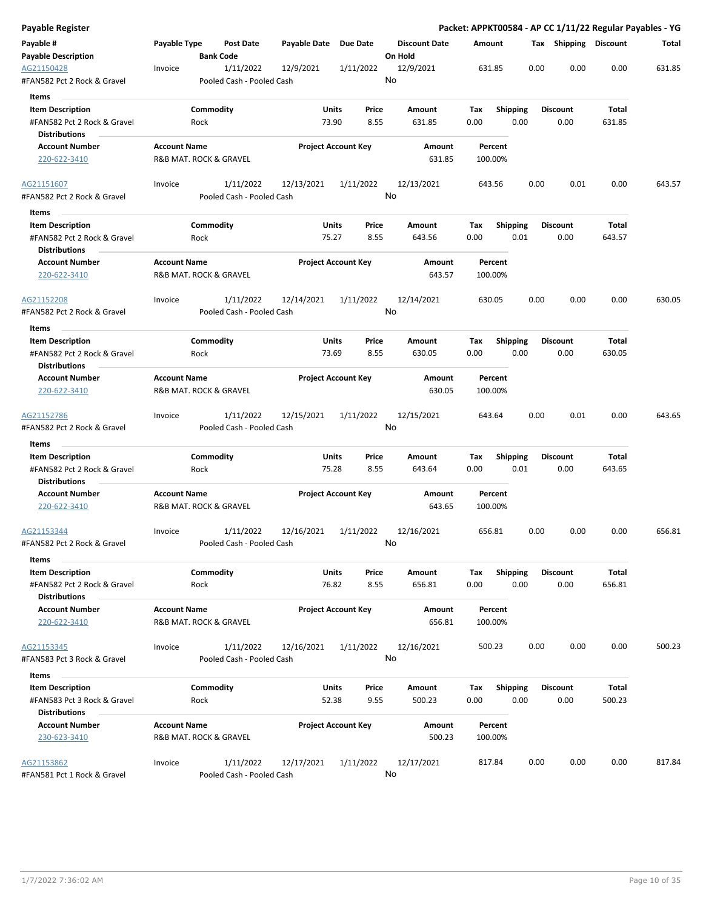| Payable Register                                                        |                     |                                                            |                       |                            |                            |             |                         |      |                         |                 | Packet: APPKT00584 - AP CC 1/11/22 Regular Payables - YG |
|-------------------------------------------------------------------------|---------------------|------------------------------------------------------------|-----------------------|----------------------------|----------------------------|-------------|-------------------------|------|-------------------------|-----------------|----------------------------------------------------------|
| Payable #                                                               | Payable Type        | <b>Post Date</b>                                           | Payable Date Due Date |                            | <b>Discount Date</b>       | Amount      |                         |      | Tax Shipping Discount   |                 | Total                                                    |
| <b>Payable Description</b><br>AG21150428<br>#FAN582 Pct 2 Rock & Gravel | Invoice             | <b>Bank Code</b><br>1/11/2022<br>Pooled Cash - Pooled Cash | 12/9/2021             | 1/11/2022                  | On Hold<br>12/9/2021<br>No |             | 631.85                  | 0.00 | 0.00                    | 0.00            | 631.85                                                   |
|                                                                         |                     |                                                            |                       |                            |                            |             |                         |      |                         |                 |                                                          |
| Items                                                                   |                     |                                                            |                       |                            |                            |             |                         |      |                         |                 |                                                          |
| <b>Item Description</b><br>#FAN582 Pct 2 Rock & Gravel                  |                     | Commodity<br>Rock                                          | Units<br>73.90        | Price<br>8.55              | Amount                     | Tax<br>0.00 | <b>Shipping</b><br>0.00 |      | <b>Discount</b><br>0.00 | Total<br>631.85 |                                                          |
| <b>Distributions</b>                                                    |                     |                                                            |                       |                            | 631.85                     |             |                         |      |                         |                 |                                                          |
| <b>Account Number</b>                                                   | <b>Account Name</b> |                                                            |                       | <b>Project Account Key</b> | Amount                     |             | Percent                 |      |                         |                 |                                                          |
| 220-622-3410                                                            |                     | R&B MAT. ROCK & GRAVEL                                     |                       |                            | 631.85                     |             | 100.00%                 |      |                         |                 |                                                          |
| AG21151607                                                              | Invoice             | 1/11/2022                                                  | 12/13/2021            | 1/11/2022                  | 12/13/2021                 |             | 643.56                  | 0.00 | 0.01                    | 0.00            | 643.57                                                   |
| #FAN582 Pct 2 Rock & Gravel<br>Items                                    |                     | Pooled Cash - Pooled Cash                                  |                       |                            | No                         |             |                         |      |                         |                 |                                                          |
| <b>Item Description</b>                                                 |                     | Commodity                                                  | Units                 | Price                      | Amount                     | Tax         | <b>Shipping</b>         |      | <b>Discount</b>         | Total           |                                                          |
| #FAN582 Pct 2 Rock & Gravel<br><b>Distributions</b>                     |                     | Rock                                                       | 75.27                 | 8.55                       | 643.56                     | 0.00        | 0.01                    |      | 0.00                    | 643.57          |                                                          |
| <b>Account Number</b><br>220-622-3410                                   | <b>Account Name</b> | R&B MAT. ROCK & GRAVEL                                     |                       | <b>Project Account Key</b> | <b>Amount</b><br>643.57    |             | Percent<br>100.00%      |      |                         |                 |                                                          |
| AG21152208                                                              | Invoice             | 1/11/2022                                                  | 12/14/2021            | 1/11/2022                  | 12/14/2021                 |             | 630.05                  | 0.00 | 0.00                    | 0.00            | 630.05                                                   |
| #FAN582 Pct 2 Rock & Gravel                                             |                     | Pooled Cash - Pooled Cash                                  |                       |                            | No                         |             |                         |      |                         |                 |                                                          |
| Items                                                                   |                     |                                                            |                       |                            |                            |             |                         |      |                         |                 |                                                          |
| <b>Item Description</b>                                                 |                     | Commodity                                                  | Units                 | Price                      | Amount                     | Tax         | <b>Shipping</b>         |      | <b>Discount</b>         | Total           |                                                          |
| #FAN582 Pct 2 Rock & Gravel<br><b>Distributions</b>                     |                     | Rock                                                       | 73.69                 | 8.55                       | 630.05                     | 0.00        | 0.00                    |      | 0.00                    | 630.05          |                                                          |
| <b>Account Number</b>                                                   | <b>Account Name</b> |                                                            |                       | <b>Project Account Key</b> | Amount                     |             | Percent                 |      |                         |                 |                                                          |
| 220-622-3410                                                            |                     | R&B MAT. ROCK & GRAVEL                                     |                       |                            | 630.05                     |             | 100.00%                 |      |                         |                 |                                                          |
| AG21152786<br>#FAN582 Pct 2 Rock & Gravel                               | Invoice             | 1/11/2022<br>Pooled Cash - Pooled Cash                     | 12/15/2021            | 1/11/2022                  | 12/15/2021<br>No           |             | 643.64                  | 0.00 | 0.01                    | 0.00            | 643.65                                                   |
| Items                                                                   |                     |                                                            |                       |                            |                            |             |                         |      |                         |                 |                                                          |
| <b>Item Description</b>                                                 |                     | Commodity                                                  | Units                 | Price                      | Amount                     | Тах         | Shipping                |      | <b>Discount</b>         | Total           |                                                          |
| #FAN582 Pct 2 Rock & Gravel                                             |                     | Rock                                                       | 75.28                 | 8.55                       | 643.64                     | 0.00        | 0.01                    |      | 0.00                    | 643.65          |                                                          |
| <b>Distributions</b>                                                    |                     |                                                            |                       |                            |                            |             |                         |      |                         |                 |                                                          |
| <b>Account Number</b><br>220-622-3410                                   | <b>Account Name</b> | R&B MAT. ROCK & GRAVEL                                     |                       | <b>Project Account Key</b> | Amount<br>643.65           |             | Percent<br>100.00%      |      |                         |                 |                                                          |
| AG21153344                                                              | Invoice             | 1/11/2022                                                  | 12/16/2021            | 1/11/2022                  | 12/16/2021                 |             | 656.81                  | 0.00 | 0.00                    | 0.00            | 656.81                                                   |
| #FAN582 Pct 2 Rock & Gravel<br>Items                                    |                     | Pooled Cash - Pooled Cash                                  |                       |                            | No                         |             |                         |      |                         |                 |                                                          |
| <b>Item Description</b>                                                 |                     | Commodity                                                  | <b>Units</b>          | Price                      | Amount                     | Tax         | Shipping                |      | Discount                | Total           |                                                          |
| #FAN582 Pct 2 Rock & Gravel                                             |                     | Rock                                                       | 76.82                 | 8.55                       | 656.81                     | 0.00        | 0.00                    |      | 0.00                    | 656.81          |                                                          |
| <b>Distributions</b>                                                    |                     |                                                            |                       |                            |                            |             |                         |      |                         |                 |                                                          |
| <b>Account Number</b><br>220-622-3410                                   | <b>Account Name</b> | R&B MAT. ROCK & GRAVEL                                     |                       | <b>Project Account Key</b> | Amount<br>656.81           |             | Percent<br>100.00%      |      |                         |                 |                                                          |
| AG21153345                                                              | Invoice             | 1/11/2022                                                  | 12/16/2021            | 1/11/2022                  | 12/16/2021                 |             | 500.23                  | 0.00 | 0.00                    | 0.00            | 500.23                                                   |
| #FAN583 Pct 3 Rock & Gravel                                             |                     | Pooled Cash - Pooled Cash                                  |                       |                            | No                         |             |                         |      |                         |                 |                                                          |
| Items                                                                   |                     |                                                            |                       |                            |                            |             |                         |      |                         |                 |                                                          |
| <b>Item Description</b><br>#FAN583 Pct 3 Rock & Gravel                  |                     | Commodity<br>Rock                                          | <b>Units</b><br>52.38 | Price<br>9.55              | Amount<br>500.23           | Tax<br>0.00 | <b>Shipping</b><br>0.00 |      | <b>Discount</b><br>0.00 | Total<br>500.23 |                                                          |
| <b>Distributions</b>                                                    |                     |                                                            |                       |                            |                            |             |                         |      |                         |                 |                                                          |
| <b>Account Number</b><br>230-623-3410                                   | <b>Account Name</b> | R&B MAT. ROCK & GRAVEL                                     |                       | <b>Project Account Key</b> | Amount<br>500.23           |             | Percent<br>100.00%      |      |                         |                 |                                                          |
| AG21153862                                                              | Invoice             | 1/11/2022                                                  | 12/17/2021            | 1/11/2022                  | 12/17/2021                 |             | 817.84                  | 0.00 | 0.00                    | 0.00            | 817.84                                                   |
| #FAN581 Pct 1 Rock & Gravel                                             |                     | Pooled Cash - Pooled Cash                                  |                       |                            | No                         |             |                         |      |                         |                 |                                                          |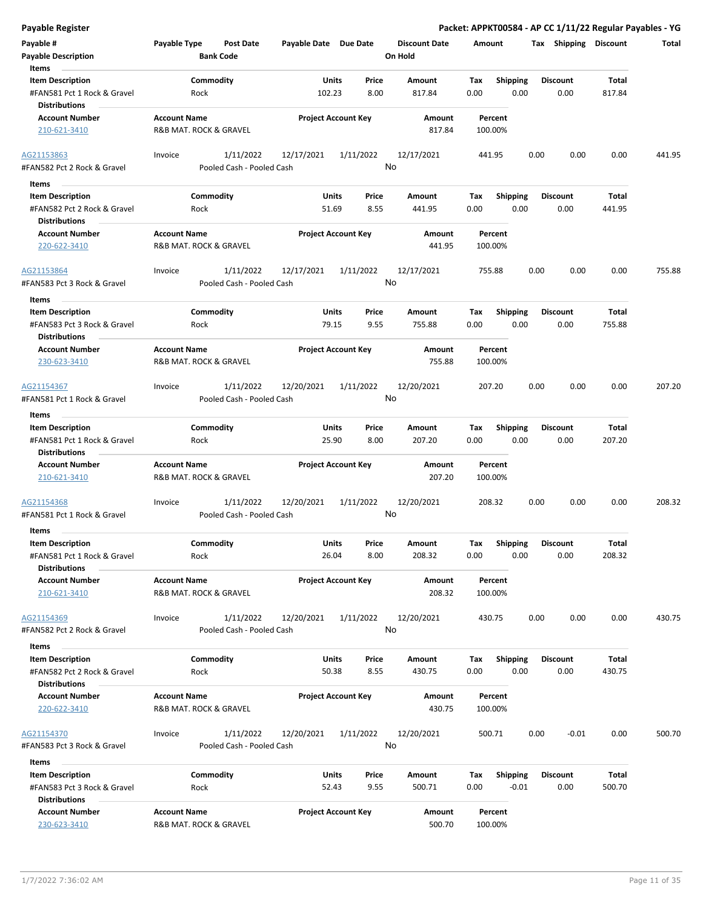| <b>Payable Register</b>                                                                 |                                               |                                                      |                                        |                                 | Packet: APPKT00584 - AP CC 1/11/22 Regular Payables - YG |                         |                        |        |
|-----------------------------------------------------------------------------------------|-----------------------------------------------|------------------------------------------------------|----------------------------------------|---------------------------------|----------------------------------------------------------|-------------------------|------------------------|--------|
| Payable #<br><b>Payable Description</b>                                                 | Payable Type<br><b>Bank Code</b>              | <b>Post Date</b><br>Payable Date Due Date            |                                        | <b>Discount Date</b><br>On Hold | Amount                                                   | Tax Shipping Discount   |                        | Total  |
| Items<br><b>Item Description</b><br>#FAN581 Pct 1 Rock & Gravel<br><b>Distributions</b> | Commodity<br>Rock                             |                                                      | Price<br>Units<br>102.23<br>8.00       | Amount<br>817.84                | Shipping<br>Tax<br>0.00<br>0.00                          | <b>Discount</b><br>0.00 | <b>Total</b><br>817.84 |        |
| <b>Account Number</b><br>210-621-3410                                                   | <b>Account Name</b><br>R&B MAT. ROCK & GRAVEL |                                                      | <b>Project Account Key</b>             | Amount<br>817.84                | Percent<br>100.00%                                       |                         |                        |        |
| AG21153863<br>#FAN582 Pct 2 Rock & Gravel                                               | Invoice                                       | 1/11/2022<br>12/17/2021<br>Pooled Cash - Pooled Cash | 1/11/2022                              | 12/17/2021<br>No                | 441.95                                                   | 0.00<br>0.00            | 0.00                   | 441.95 |
| Items                                                                                   |                                               |                                                      |                                        |                                 |                                                          |                         |                        |        |
| <b>Item Description</b><br>#FAN582 Pct 2 Rock & Gravel<br><b>Distributions</b>          | Commodity<br>Rock                             |                                                      | <b>Units</b><br>Price<br>51.69<br>8.55 | Amount<br>441.95                | Tax<br><b>Shipping</b><br>0.00<br>0.00                   | <b>Discount</b><br>0.00 | Total<br>441.95        |        |
| <b>Account Number</b><br>220-622-3410                                                   | <b>Account Name</b><br>R&B MAT. ROCK & GRAVEL |                                                      | <b>Project Account Key</b>             | Amount<br>441.95                | Percent<br>100.00%                                       |                         |                        |        |
| AG21153864<br>#FAN583 Pct 3 Rock & Gravel                                               | Invoice                                       | 1/11/2022<br>12/17/2021<br>Pooled Cash - Pooled Cash | 1/11/2022                              | 12/17/2021<br>No                | 755.88                                                   | 0.00<br>0.00            | 0.00                   | 755.88 |
| Items<br><b>Item Description</b><br>#FAN583 Pct 3 Rock & Gravel<br><b>Distributions</b> | Commodity<br>Rock                             |                                                      | Price<br>Units<br>79.15<br>9.55        | Amount<br>755.88                | <b>Shipping</b><br>Tax<br>0.00<br>0.00                   | <b>Discount</b><br>0.00 | <b>Total</b><br>755.88 |        |
| <b>Account Number</b><br>230-623-3410                                                   | <b>Account Name</b><br>R&B MAT. ROCK & GRAVEL |                                                      | <b>Project Account Key</b>             | Amount<br>755.88                | Percent<br>100.00%                                       |                         |                        |        |
| AG21154367<br>#FAN581 Pct 1 Rock & Gravel                                               | Invoice                                       | 1/11/2022<br>12/20/2021<br>Pooled Cash - Pooled Cash | 1/11/2022                              | 12/20/2021<br>No                | 207.20                                                   | 0.00<br>0.00            | 0.00                   | 207.20 |
| Items                                                                                   |                                               |                                                      |                                        |                                 |                                                          |                         |                        |        |
| <b>Item Description</b><br>#FAN581 Pct 1 Rock & Gravel<br><b>Distributions</b>          | Commodity<br>Rock                             |                                                      | Units<br>Price<br>25.90<br>8.00        | Amount<br>207.20                | <b>Shipping</b><br>Tax<br>0.00<br>0.00                   | <b>Discount</b><br>0.00 | Total<br>207.20        |        |
| <b>Account Number</b><br>210-621-3410                                                   | <b>Account Name</b><br>R&B MAT. ROCK & GRAVEL |                                                      | <b>Project Account Key</b>             | Amount<br>207.20                | Percent<br>100.00%                                       |                         |                        |        |
| AG21154368<br>#FAN581 Pct 1 Rock & Gravel                                               | Invoice                                       | 1/11/2022<br>12/20/2021<br>Pooled Cash - Pooled Cash | 1/11/2022                              | 12/20/2021<br>No                | 208.32                                                   | 0.00<br>0.00            | 0.00                   | 208.32 |
| Items                                                                                   |                                               |                                                      |                                        |                                 |                                                          |                         |                        |        |
| <b>Item Description</b><br>#FAN581 Pct 1 Rock & Gravel<br><b>Distributions</b>          | Commodity<br>Rock                             |                                                      | Price<br>Units<br>26.04<br>8.00        | Amount<br>208.32                | Shipping<br>Tax<br>0.00<br>0.00                          | <b>Discount</b><br>0.00 | Total<br>208.32        |        |
| <b>Account Number</b><br>210-621-3410                                                   | <b>Account Name</b><br>R&B MAT. ROCK & GRAVEL |                                                      | <b>Project Account Key</b>             | Amount<br>208.32                | Percent<br>100.00%                                       |                         |                        |        |
| AG21154369<br>#FAN582 Pct 2 Rock & Gravel                                               | Invoice                                       | 1/11/2022<br>12/20/2021<br>Pooled Cash - Pooled Cash | 1/11/2022                              | 12/20/2021<br>No                | 430.75                                                   | 0.00<br>0.00            | 0.00                   | 430.75 |
| Items                                                                                   |                                               |                                                      |                                        |                                 |                                                          |                         |                        |        |
| <b>Item Description</b><br>#FAN582 Pct 2 Rock & Gravel<br><b>Distributions</b>          | Commodity<br>Rock                             |                                                      | <b>Units</b><br>Price<br>50.38<br>8.55 | Amount<br>430.75                | <b>Shipping</b><br>Tax<br>0.00<br>0.00                   | <b>Discount</b><br>0.00 | Total<br>430.75        |        |
| <b>Account Number</b><br>220-622-3410                                                   | <b>Account Name</b><br>R&B MAT. ROCK & GRAVEL |                                                      | <b>Project Account Key</b>             | Amount<br>430.75                | Percent<br>100.00%                                       |                         |                        |        |
| AG21154370<br>#FAN583 Pct 3 Rock & Gravel                                               | Invoice                                       | 1/11/2022<br>12/20/2021<br>Pooled Cash - Pooled Cash | 1/11/2022                              | 12/20/2021<br>No                | 500.71                                                   | 0.00<br>$-0.01$         | 0.00                   | 500.70 |
| Items                                                                                   |                                               |                                                      |                                        |                                 |                                                          |                         |                        |        |
| <b>Item Description</b><br>#FAN583 Pct 3 Rock & Gravel<br><b>Distributions</b>          | Commodity<br>Rock                             |                                                      | Units<br>Price<br>52.43<br>9.55        | Amount<br>500.71                | Tax<br><b>Shipping</b><br>$-0.01$<br>0.00                | <b>Discount</b><br>0.00 | Total<br>500.70        |        |
| <b>Account Number</b><br>230-623-3410                                                   | <b>Account Name</b><br>R&B MAT. ROCK & GRAVEL |                                                      | <b>Project Account Key</b>             | Amount<br>500.70                | Percent<br>100.00%                                       |                         |                        |        |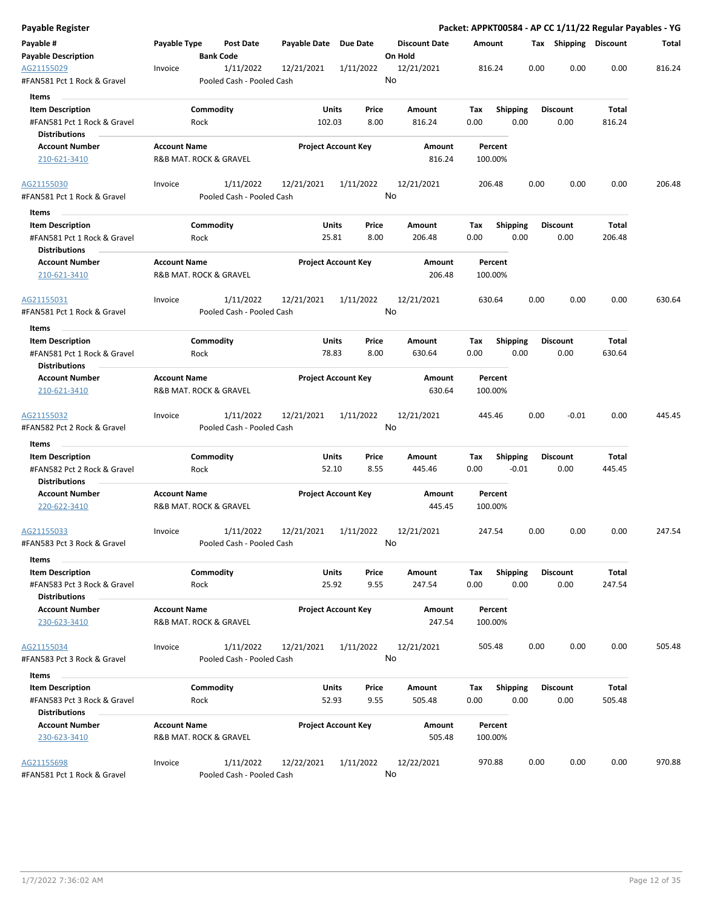| Payable Register                                    |                     |                                        |                       |                            |                                 |                    |                 |                       |        | Packet: APPKT00584 - AP CC 1/11/22 Regular Payables - YG |
|-----------------------------------------------------|---------------------|----------------------------------------|-----------------------|----------------------------|---------------------------------|--------------------|-----------------|-----------------------|--------|----------------------------------------------------------|
| Payable #<br><b>Payable Description</b>             | Payable Type        | Post Date<br><b>Bank Code</b>          | Payable Date Due Date |                            | <b>Discount Date</b><br>On Hold | Amount             |                 | Tax Shipping Discount |        | Total                                                    |
| AG21155029<br>#FAN581 Pct 1 Rock & Gravel           | Invoice             | 1/11/2022<br>Pooled Cash - Pooled Cash | 12/21/2021            | 1/11/2022                  | 12/21/2021<br>No                | 816.24             | 0.00            | 0.00                  | 0.00   | 816.24                                                   |
| Items                                               |                     |                                        |                       |                            |                                 |                    |                 |                       |        |                                                          |
| <b>Item Description</b>                             |                     | Commodity                              |                       | Units<br>Price             | Amount                          | Tax                | <b>Shipping</b> | <b>Discount</b>       | Total  |                                                          |
| #FAN581 Pct 1 Rock & Gravel                         |                     | Rock                                   | 102.03                | 8.00                       | 816.24                          | 0.00               | 0.00            | 0.00                  | 816.24 |                                                          |
| <b>Distributions</b>                                |                     |                                        |                       |                            |                                 |                    |                 |                       |        |                                                          |
| <b>Account Number</b>                               | <b>Account Name</b> |                                        |                       | <b>Project Account Key</b> | Amount                          | Percent            |                 |                       |        |                                                          |
| 210-621-3410                                        |                     | R&B MAT. ROCK & GRAVEL                 |                       |                            | 816.24                          | 100.00%            |                 |                       |        |                                                          |
| AG21155030                                          | Invoice             | 1/11/2022                              | 12/21/2021            | 1/11/2022                  | 12/21/2021                      | 206.48             | 0.00            | 0.00                  | 0.00   | 206.48                                                   |
| #FAN581 Pct 1 Rock & Gravel<br>Items                |                     | Pooled Cash - Pooled Cash              |                       |                            | No                              |                    |                 |                       |        |                                                          |
| <b>Item Description</b>                             |                     | Commodity                              |                       | Units<br>Price             | Amount                          | Tax                | <b>Shipping</b> | <b>Discount</b>       | Total  |                                                          |
| #FAN581 Pct 1 Rock & Gravel<br><b>Distributions</b> |                     | Rock                                   |                       | 25.81<br>8.00              | 206.48                          | 0.00               | 0.00            | 0.00                  | 206.48 |                                                          |
| <b>Account Number</b><br>210-621-3410               | <b>Account Name</b> | R&B MAT. ROCK & GRAVEL                 |                       | <b>Project Account Key</b> | Amount<br>206.48                | Percent<br>100.00% |                 |                       |        |                                                          |
| AG21155031                                          | Invoice             | 1/11/2022                              | 12/21/2021            | 1/11/2022                  | 12/21/2021                      | 630.64             | 0.00            | 0.00                  | 0.00   | 630.64                                                   |
| #FAN581 Pct 1 Rock & Gravel                         |                     | Pooled Cash - Pooled Cash              |                       |                            | No                              |                    |                 |                       |        |                                                          |
| Items                                               |                     |                                        |                       |                            |                                 |                    |                 |                       |        |                                                          |
| <b>Item Description</b>                             |                     | Commodity                              |                       | Units<br>Price             | Amount                          | Tax                | <b>Shipping</b> | <b>Discount</b>       | Total  |                                                          |
| #FAN581 Pct 1 Rock & Gravel<br><b>Distributions</b> |                     | Rock                                   |                       | 78.83<br>8.00              | 630.64                          | 0.00               | 0.00            | 0.00                  | 630.64 |                                                          |
| <b>Account Number</b>                               | <b>Account Name</b> |                                        |                       | <b>Project Account Key</b> | Amount                          | Percent            |                 |                       |        |                                                          |
| 210-621-3410                                        |                     | R&B MAT. ROCK & GRAVEL                 |                       |                            | 630.64                          | 100.00%            |                 |                       |        |                                                          |
| AG21155032<br>#FAN582 Pct 2 Rock & Gravel           | Invoice             | 1/11/2022<br>Pooled Cash - Pooled Cash | 12/21/2021            | 1/11/2022                  | 12/21/2021<br>No                | 445.46             | 0.00            | $-0.01$               | 0.00   | 445.45                                                   |
| Items                                               |                     |                                        |                       |                            |                                 |                    |                 |                       |        |                                                          |
| <b>Item Description</b>                             |                     | Commodity                              |                       | Units<br>Price             | Amount                          | Tax                | <b>Shipping</b> | <b>Discount</b>       | Total  |                                                          |
| #FAN582 Pct 2 Rock & Gravel                         |                     | Rock                                   |                       | 52.10<br>8.55              | 445.46                          | 0.00               | $-0.01$         | 0.00                  | 445.45 |                                                          |
| <b>Distributions</b>                                |                     |                                        |                       |                            |                                 |                    |                 |                       |        |                                                          |
| <b>Account Number</b>                               | <b>Account Name</b> |                                        |                       | <b>Project Account Key</b> | Amount                          | Percent            |                 |                       |        |                                                          |
| 220-622-3410                                        |                     | R&B MAT. ROCK & GRAVEL                 |                       |                            | 445.45                          | 100.00%            |                 |                       |        |                                                          |
| AG21155033                                          | Invoice             | 1/11/2022                              | 12/21/2021            | 1/11/2022                  | 12/21/2021                      | 247.54             | 0.00            | 0.00                  | 0.00   | 247.54                                                   |
| #FAN583 Pct 3 Rock & Gravel<br>Items                |                     | Pooled Cash - Pooled Cash              |                       |                            | No                              |                    |                 |                       |        |                                                          |
| <b>Item Description</b>                             |                     | Commodity                              |                       | <b>Units</b><br>Price      | Amount                          | Tax                | <b>Shipping</b> | <b>Discount</b>       | Total  |                                                          |
| #FAN583 Pct 3 Rock & Gravel                         |                     | Rock                                   |                       | 25.92<br>9.55              | 247.54                          | 0.00               | 0.00            | 0.00                  | 247.54 |                                                          |
| <b>Distributions</b>                                |                     |                                        |                       |                            |                                 |                    |                 |                       |        |                                                          |
| <b>Account Number</b><br>230-623-3410               | <b>Account Name</b> | R&B MAT. ROCK & GRAVEL                 |                       | <b>Project Account Key</b> | Amount<br>247.54                | Percent<br>100.00% |                 |                       |        |                                                          |
| AG21155034                                          | Invoice             | 1/11/2022                              | 12/21/2021            | 1/11/2022                  | 12/21/2021                      | 505.48             | 0.00            | 0.00                  | 0.00   | 505.48                                                   |
| #FAN583 Pct 3 Rock & Gravel                         |                     | Pooled Cash - Pooled Cash              |                       |                            | No                              |                    |                 |                       |        |                                                          |
|                                                     |                     |                                        |                       |                            |                                 |                    |                 |                       |        |                                                          |
| Items                                               |                     | Commodity                              |                       |                            |                                 |                    |                 |                       | Total  |                                                          |
| <b>Item Description</b>                             |                     |                                        |                       | Units<br>Price             | Amount                          | Тах                | Shipping        | <b>Discount</b>       |        |                                                          |
| #FAN583 Pct 3 Rock & Gravel<br><b>Distributions</b> |                     | Rock                                   |                       | 52.93<br>9.55              | 505.48                          | 0.00               | 0.00            | 0.00                  | 505.48 |                                                          |
| <b>Account Number</b>                               | <b>Account Name</b> |                                        |                       | <b>Project Account Key</b> | Amount                          | Percent            |                 |                       |        |                                                          |
| 230-623-3410                                        |                     | R&B MAT. ROCK & GRAVEL                 |                       |                            | 505.48                          | 100.00%            |                 |                       |        |                                                          |
| AG21155698                                          | Invoice             | 1/11/2022                              | 12/22/2021            | 1/11/2022                  | 12/22/2021                      | 970.88             | 0.00            | 0.00                  | 0.00   | 970.88                                                   |
| #FAN581 Pct 1 Rock & Gravel                         |                     | Pooled Cash - Pooled Cash              |                       |                            | No                              |                    |                 |                       |        |                                                          |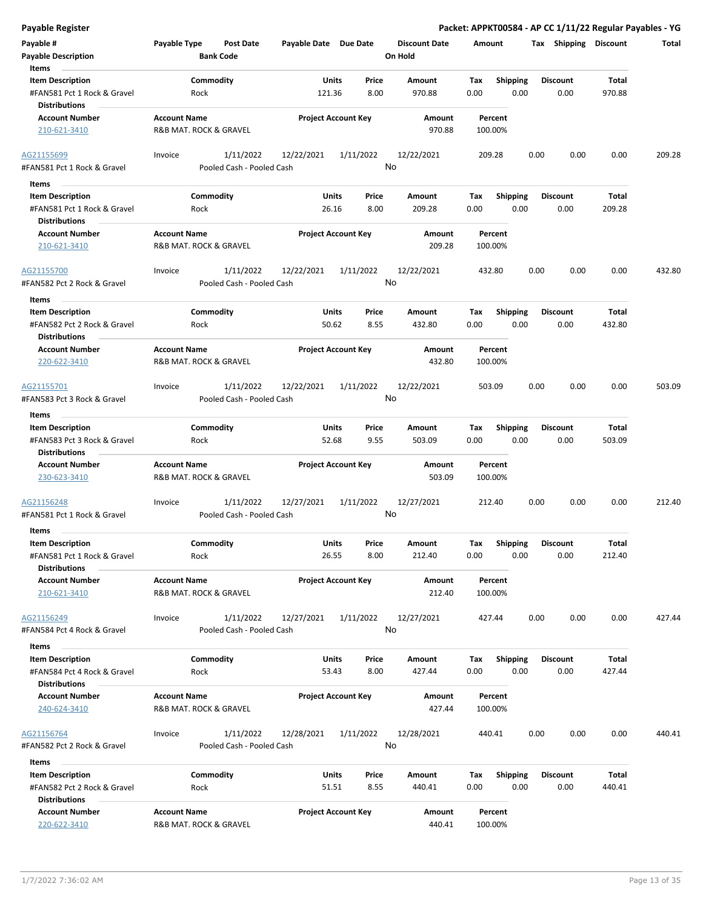| <b>Payable Register</b>                                                                 |                                               |                                                      |                                        |                                 | Packet: APPKT00584 - AP CC 1/11/22 Regular Payables - YG |                         |                        |        |
|-----------------------------------------------------------------------------------------|-----------------------------------------------|------------------------------------------------------|----------------------------------------|---------------------------------|----------------------------------------------------------|-------------------------|------------------------|--------|
| Payable #<br><b>Payable Description</b>                                                 | <b>Payable Type</b><br><b>Bank Code</b>       | <b>Post Date</b><br>Payable Date Due Date            |                                        | <b>Discount Date</b><br>On Hold | Amount                                                   |                         | Tax Shipping Discount  | Total  |
| Items<br><b>Item Description</b><br>#FAN581 Pct 1 Rock & Gravel<br><b>Distributions</b> | Commodity<br>Rock                             | 121.36                                               | Units<br>Price<br>8.00                 | Amount<br>970.88                | Tax<br><b>Shipping</b><br>0.00<br>0.00                   | <b>Discount</b><br>0.00 | Total<br>970.88        |        |
| <b>Account Number</b><br>210-621-3410                                                   | <b>Account Name</b><br>R&B MAT. ROCK & GRAVEL |                                                      | <b>Project Account Key</b>             | Amount<br>970.88                | Percent<br>100.00%                                       |                         |                        |        |
| AG21155699<br>#FAN581 Pct 1 Rock & Gravel                                               | Invoice                                       | 1/11/2022<br>12/22/2021<br>Pooled Cash - Pooled Cash | 1/11/2022                              | 12/22/2021<br>No                | 209.28                                                   | 0.00<br>0.00            | 0.00                   | 209.28 |
| Items                                                                                   |                                               |                                                      |                                        |                                 |                                                          |                         |                        |        |
| <b>Item Description</b><br>#FAN581 Pct 1 Rock & Gravel<br><b>Distributions</b>          | Commodity<br>Rock                             |                                                      | Units<br>Price<br>26.16<br>8.00        | Amount<br>209.28                | <b>Shipping</b><br>Tax<br>0.00<br>0.00                   | <b>Discount</b><br>0.00 | Total<br>209.28        |        |
| <b>Account Number</b><br>210-621-3410                                                   | <b>Account Name</b><br>R&B MAT. ROCK & GRAVEL |                                                      | <b>Project Account Key</b>             | Amount<br>209.28                | Percent<br>100.00%                                       |                         |                        |        |
| AG21155700<br>#FAN582 Pct 2 Rock & Gravel                                               | Invoice                                       | 1/11/2022<br>12/22/2021<br>Pooled Cash - Pooled Cash | 1/11/2022                              | 12/22/2021<br>No                | 432.80                                                   | 0.00<br>0.00            | 0.00                   | 432.80 |
| Items<br><b>Item Description</b><br>#FAN582 Pct 2 Rock & Gravel<br><b>Distributions</b> | Commodity<br>Rock                             |                                                      | Units<br>Price<br>50.62<br>8.55        | Amount<br>432.80                | <b>Shipping</b><br>Tax<br>0.00<br>0.00                   | <b>Discount</b><br>0.00 | Total<br>432.80        |        |
| <b>Account Number</b><br>220-622-3410                                                   | <b>Account Name</b><br>R&B MAT. ROCK & GRAVEL |                                                      | <b>Project Account Key</b>             | Amount<br>432.80                | Percent<br>100.00%                                       |                         |                        |        |
| AG21155701<br>#FAN583 Pct 3 Rock & Gravel                                               | Invoice                                       | 1/11/2022<br>12/22/2021<br>Pooled Cash - Pooled Cash | 1/11/2022                              | 12/22/2021<br>No                | 503.09                                                   | 0.00<br>0.00            | 0.00                   | 503.09 |
| Items                                                                                   |                                               |                                                      |                                        |                                 |                                                          |                         |                        |        |
| <b>Item Description</b>                                                                 | Commodity                                     |                                                      | <b>Units</b><br>Price                  | Amount                          | <b>Shipping</b><br>Tax                                   | <b>Discount</b>         | Total                  |        |
| #FAN583 Pct 3 Rock & Gravel<br><b>Distributions</b>                                     | Rock                                          |                                                      | 52.68<br>9.55                          | 503.09                          | 0.00<br>0.00                                             | 0.00                    | 503.09                 |        |
| <b>Account Number</b><br>230-623-3410                                                   | <b>Account Name</b><br>R&B MAT. ROCK & GRAVEL |                                                      | <b>Project Account Key</b>             | Amount<br>503.09                | Percent<br>100.00%                                       |                         |                        |        |
| AG21156248<br>#FAN581 Pct 1 Rock & Gravel                                               | Invoice                                       | 1/11/2022<br>12/27/2021<br>Pooled Cash - Pooled Cash | 1/11/2022                              | 12/27/2021<br>No                | 212.40                                                   | 0.00<br>0.00            | 0.00                   | 212.40 |
| Items                                                                                   | Commodity                                     |                                                      |                                        |                                 |                                                          | <b>Discount</b>         |                        |        |
| <b>Item Description</b><br>#FAN581 Pct 1 Rock & Gravel<br><b>Distributions</b>          | Rock                                          |                                                      | Units<br>Price<br>26.55<br>8.00        | Amount<br>212.40                | Shipping<br>Tax<br>0.00<br>0.00                          | 0.00                    | <b>Total</b><br>212.40 |        |
| <b>Account Number</b><br>210-621-3410                                                   | <b>Account Name</b><br>R&B MAT. ROCK & GRAVEL |                                                      | <b>Project Account Key</b>             | Amount<br>212.40                | Percent<br>100.00%                                       |                         |                        |        |
| AG21156249<br>#FAN584 Pct 4 Rock & Gravel                                               | Invoice                                       | 1/11/2022<br>12/27/2021<br>Pooled Cash - Pooled Cash | 1/11/2022                              | 12/27/2021<br>No                | 427.44                                                   | 0.00<br>0.00            | 0.00                   | 427.44 |
| Items                                                                                   |                                               |                                                      |                                        |                                 |                                                          |                         |                        |        |
| <b>Item Description</b><br>#FAN584 Pct 4 Rock & Gravel<br><b>Distributions</b>          | Commodity<br>Rock                             |                                                      | <b>Units</b><br>Price<br>53.43<br>8.00 | Amount<br>427.44                | <b>Shipping</b><br>Тах<br>0.00<br>0.00                   | <b>Discount</b><br>0.00 | Total<br>427.44        |        |
| <b>Account Number</b><br>240-624-3410                                                   | <b>Account Name</b><br>R&B MAT. ROCK & GRAVEL |                                                      | <b>Project Account Key</b>             | Amount<br>427.44                | Percent<br>100.00%                                       |                         |                        |        |
| AG21156764<br>#FAN582 Pct 2 Rock & Gravel                                               | Invoice                                       | 1/11/2022<br>12/28/2021<br>Pooled Cash - Pooled Cash | 1/11/2022                              | 12/28/2021<br>No                | 440.41                                                   | 0.00<br>0.00            | 0.00                   | 440.41 |
| Items                                                                                   |                                               |                                                      |                                        |                                 |                                                          |                         |                        |        |
| <b>Item Description</b><br>#FAN582 Pct 2 Rock & Gravel<br><b>Distributions</b>          | Commodity<br>Rock                             |                                                      | Units<br>Price<br>51.51<br>8.55        | Amount<br>440.41                | Tax<br><b>Shipping</b><br>0.00<br>0.00                   | <b>Discount</b><br>0.00 | Total<br>440.41        |        |
| <b>Account Number</b><br>220-622-3410                                                   | <b>Account Name</b><br>R&B MAT. ROCK & GRAVEL |                                                      | <b>Project Account Key</b>             | Amount<br>440.41                | Percent<br>100.00%                                       |                         |                        |        |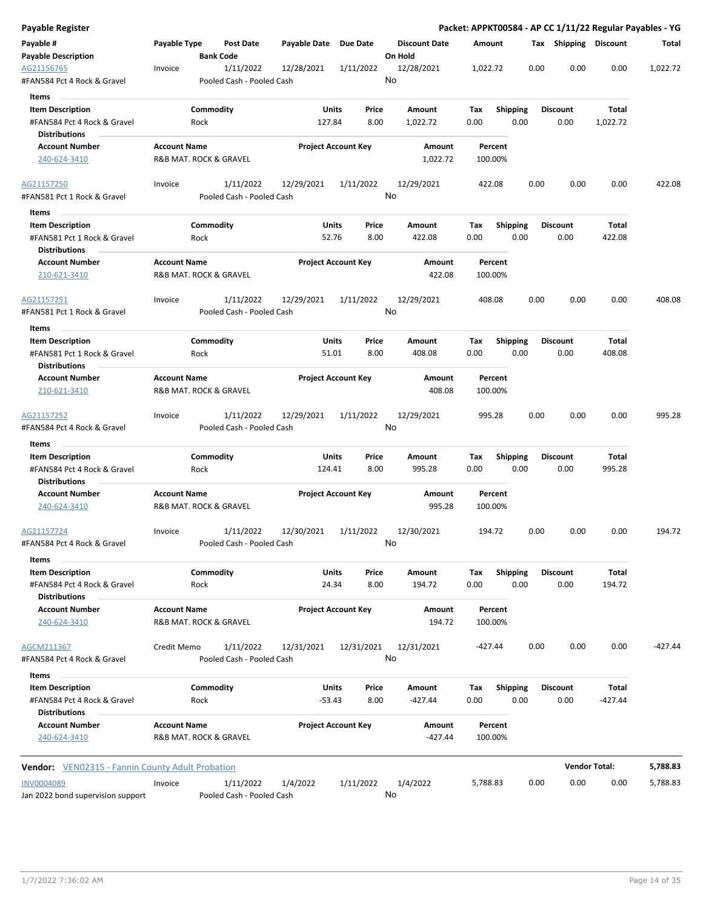| Payable Register                                        |                     |                                        |                       |                            |                                 |             |                         |      |                         | Packet: APPKT00584 - AP CC 1/11/22 Regular Payables - YG |           |
|---------------------------------------------------------|---------------------|----------------------------------------|-----------------------|----------------------------|---------------------------------|-------------|-------------------------|------|-------------------------|----------------------------------------------------------|-----------|
| Payable #<br><b>Payable Description</b>                 | Payable Type        | Post Date<br><b>Bank Code</b>          | Payable Date Due Date |                            | <b>Discount Date</b><br>On Hold | Amount      |                         |      | Tax Shipping Discount   |                                                          | Total     |
| AG21156765<br>#FAN584 Pct 4 Rock & Gravel               | Invoice             | 1/11/2022<br>Pooled Cash - Pooled Cash | 12/28/2021            | 1/11/2022                  | 12/28/2021<br>No                | 1,022.72    |                         | 0.00 | 0.00                    | 0.00                                                     | 1,022.72  |
| Items                                                   |                     |                                        |                       |                            |                                 |             |                         |      |                         |                                                          |           |
| <b>Item Description</b><br>#FAN584 Pct 4 Rock & Gravel  |                     | Commodity<br>Rock                      | Units<br>127.84       | Price<br>8.00              | Amount<br>1,022.72              | Tax<br>0.00 | <b>Shipping</b><br>0.00 |      | <b>Discount</b><br>0.00 | Total<br>1,022.72                                        |           |
| <b>Distributions</b>                                    |                     |                                        |                       |                            |                                 |             |                         |      |                         |                                                          |           |
| <b>Account Number</b><br>240-624-3410                   | <b>Account Name</b> | R&B MAT. ROCK & GRAVEL                 |                       | <b>Project Account Key</b> | Amount<br>1,022.72              | 100.00%     | Percent                 |      |                         |                                                          |           |
| AG21157250<br>#FAN581 Pct 1 Rock & Gravel               | Invoice             | 1/11/2022<br>Pooled Cash - Pooled Cash | 12/29/2021            | 1/11/2022                  | 12/29/2021<br>No                | 422.08      |                         | 0.00 | 0.00                    | 0.00                                                     | 422.08    |
| Items                                                   |                     |                                        |                       |                            |                                 |             |                         |      |                         |                                                          |           |
| <b>Item Description</b><br>#FAN581 Pct 1 Rock & Gravel  |                     | Commodity<br>Rock                      | Units<br>52.76        | Price<br>8.00              | Amount<br>422.08                | Tax<br>0.00 | <b>Shipping</b><br>0.00 |      | <b>Discount</b><br>0.00 | Total<br>422.08                                          |           |
| <b>Distributions</b>                                    |                     |                                        |                       |                            |                                 |             |                         |      |                         |                                                          |           |
| <b>Account Number</b><br>210-621-3410                   | <b>Account Name</b> | R&B MAT. ROCK & GRAVEL                 |                       | <b>Project Account Key</b> | Amount<br>422.08                | 100.00%     | Percent                 |      |                         |                                                          |           |
| AG21157251<br>#FAN581 Pct 1 Rock & Gravel               | Invoice             | 1/11/2022<br>Pooled Cash - Pooled Cash | 12/29/2021            | 1/11/2022                  | 12/29/2021<br>No                | 408.08      |                         | 0.00 | 0.00                    | 0.00                                                     | 408.08    |
| Items                                                   |                     |                                        |                       |                            |                                 |             |                         |      |                         |                                                          |           |
| <b>Item Description</b>                                 |                     | Commodity                              | Units                 | Price                      | Amount                          | Tax         | <b>Shipping</b>         |      | <b>Discount</b>         | Total                                                    |           |
| #FAN581 Pct 1 Rock & Gravel<br><b>Distributions</b>     |                     | Rock                                   | 51.01                 | 8.00                       | 408.08                          | 0.00        | 0.00                    |      | 0.00                    | 408.08                                                   |           |
| <b>Account Number</b>                                   | <b>Account Name</b> |                                        |                       | <b>Project Account Key</b> | Amount                          |             | Percent                 |      |                         |                                                          |           |
| 210-621-3410                                            |                     | R&B MAT. ROCK & GRAVEL                 |                       |                            | 408.08                          | 100.00%     |                         |      |                         |                                                          |           |
| AG21157252<br>#FAN584 Pct 4 Rock & Gravel               | Invoice             | 1/11/2022<br>Pooled Cash - Pooled Cash | 12/29/2021            | 1/11/2022                  | 12/29/2021<br>No                | 995.28      |                         | 0.00 | 0.00                    | 0.00                                                     | 995.28    |
| Items                                                   |                     |                                        |                       |                            |                                 |             |                         |      |                         |                                                          |           |
| <b>Item Description</b>                                 |                     | Commodity                              | Units                 | Price                      | Amount                          | Tax         | Shipping                |      | <b>Discount</b>         | Total                                                    |           |
| #FAN584 Pct 4 Rock & Gravel<br><b>Distributions</b>     |                     | Rock                                   | 124.41                | 8.00                       | 995.28                          | 0.00        | 0.00                    |      | 0.00                    | 995.28                                                   |           |
| <b>Account Number</b><br>240-624-3410                   | <b>Account Name</b> | R&B MAT. ROCK & GRAVEL                 |                       | <b>Project Account Key</b> | Amount<br>995.28                | 100.00%     | Percent                 |      |                         |                                                          |           |
| AG21157724<br>#FAN584 Pct 4 Rock & Gravel               | Invoice             | 1/11/2022<br>Pooled Cash - Pooled Cash | 12/30/2021            | 1/11/2022                  | 12/30/2021<br>No                | 194.72      |                         | 0.00 | 0.00                    | 0.00                                                     | 194.72    |
| Items                                                   |                     |                                        |                       |                            |                                 |             |                         |      |                         |                                                          |           |
| <b>Item Description</b><br>#FAN584 Pct 4 Rock & Gravel  |                     | Commodity<br>Rock                      | Units<br>24.34        | Price<br>8.00              | Amount<br>194.72                | Tax<br>0.00 | <b>Shipping</b><br>0.00 |      | <b>Discount</b><br>0.00 | Total<br>194.72                                          |           |
| Distributions<br><b>Account Number</b><br>240-624-3410  | <b>Account Name</b> | R&B MAT. ROCK & GRAVEL                 |                       | <b>Project Account Key</b> | Amount<br>194.72                | 100.00%     | Percent                 |      |                         |                                                          |           |
| AGCM211367<br>#FAN584 Pct 4 Rock & Gravel               | Credit Memo         | 1/11/2022<br>Pooled Cash - Pooled Cash | 12/31/2021            | 12/31/2021                 | 12/31/2021<br>No                | -427.44     |                         | 0.00 | 0.00                    | 0.00                                                     | $-427.44$ |
| Items                                                   |                     |                                        |                       |                            |                                 |             |                         |      |                         |                                                          |           |
| <b>Item Description</b><br>#FAN584 Pct 4 Rock & Gravel  |                     | Commodity<br>Rock                      | Units<br>$-53.43$     | Price<br>8.00              | Amount<br>$-427.44$             | Tax<br>0.00 | Shipping<br>0.00        |      | <b>Discount</b><br>0.00 | Total<br>$-427.44$                                       |           |
| <b>Distributions</b>                                    |                     |                                        |                       |                            |                                 |             |                         |      |                         |                                                          |           |
| <b>Account Number</b><br>240-624-3410                   | <b>Account Name</b> | R&B MAT. ROCK & GRAVEL                 |                       | <b>Project Account Key</b> | Amount<br>$-427.44$             | 100.00%     | Percent                 |      |                         |                                                          |           |
| <b>Vendor:</b> VEN02315 - Fannin County Adult Probation |                     |                                        |                       |                            |                                 |             |                         |      |                         | <b>Vendor Total:</b>                                     | 5,788.83  |
| <b>INV0004089</b>                                       | Invoice             | 1/11/2022                              | 1/4/2022              | 1/11/2022                  | 1/4/2022                        | 5,788.83    |                         | 0.00 | 0.00                    | 0.00                                                     | 5,788.83  |
| Jan 2022 bond supervision support                       |                     | Pooled Cash - Pooled Cash              |                       |                            | No                              |             |                         |      |                         |                                                          |           |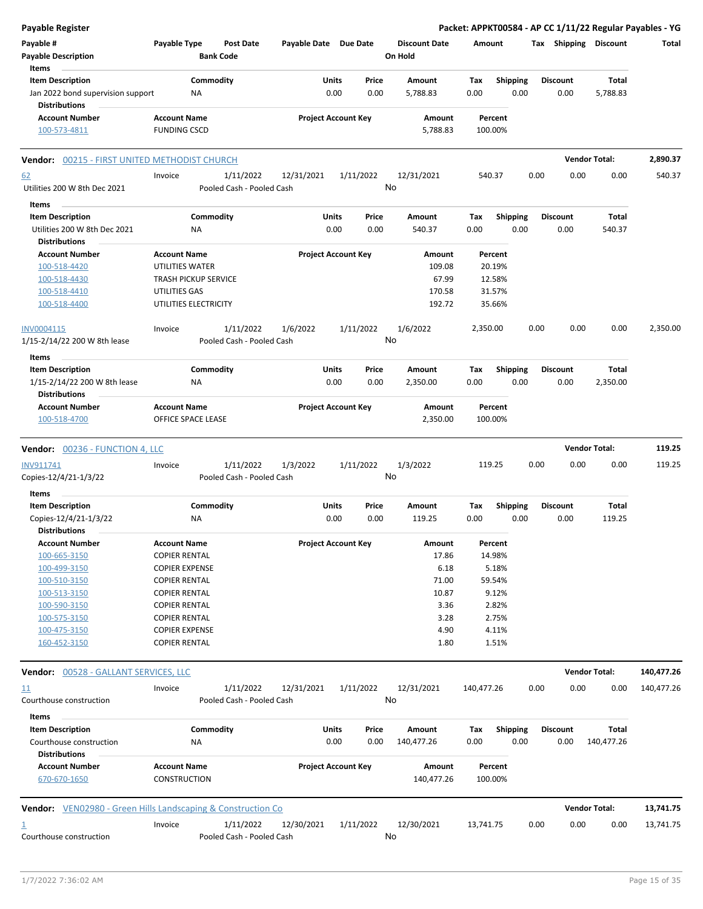| <b>Payable Register</b>                                                         |                                               |                                        |                       |                            |                                 |             |                         |      |                         |                            | Packet: APPKT00584 - AP CC 1/11/22 Regular Payables - YG |
|---------------------------------------------------------------------------------|-----------------------------------------------|----------------------------------------|-----------------------|----------------------------|---------------------------------|-------------|-------------------------|------|-------------------------|----------------------------|----------------------------------------------------------|
| Payable #<br><b>Payable Description</b>                                         | Payable Type                                  | <b>Post Date</b><br><b>Bank Code</b>   | Payable Date Due Date |                            | <b>Discount Date</b><br>On Hold | Amount      |                         |      |                         | Tax Shipping Discount      | Total                                                    |
| Items<br><b>Item Description</b>                                                | Commodity                                     |                                        | Units                 | Price                      | Amount                          | Tax         | <b>Shipping</b>         |      | <b>Discount</b>         | Total                      |                                                          |
| Jan 2022 bond supervision support<br><b>Distributions</b>                       | NA                                            |                                        | 0.00                  | 0.00                       | 5,788.83                        | 0.00        | 0.00                    |      | 0.00                    | 5,788.83                   |                                                          |
| <b>Account Number</b>                                                           | <b>Account Name</b>                           |                                        |                       | <b>Project Account Key</b> | Amount                          | Percent     |                         |      |                         |                            |                                                          |
| 100-573-4811                                                                    | <b>FUNDING CSCD</b>                           |                                        |                       |                            | 5,788.83                        | 100.00%     |                         |      |                         |                            |                                                          |
| <b>Vendor: 00215 - FIRST UNITED METHODIST CHURCH</b>                            |                                               |                                        |                       |                            |                                 |             |                         |      |                         | <b>Vendor Total:</b>       | 2,890.37                                                 |
| 62<br>Utilities 200 W 8th Dec 2021                                              | Invoice                                       | 1/11/2022<br>Pooled Cash - Pooled Cash | 12/31/2021            | 1/11/2022                  | 12/31/2021<br>No                | 540.37      |                         | 0.00 | 0.00                    | 0.00                       | 540.37                                                   |
| Items                                                                           |                                               |                                        |                       |                            |                                 |             |                         |      |                         |                            |                                                          |
| <b>Item Description</b><br>Utilities 200 W 8th Dec 2021<br><b>Distributions</b> | Commodity<br>NA                               |                                        | Units<br>0.00         | Price<br>0.00              | Amount<br>540.37                | Tax<br>0.00 | <b>Shipping</b><br>0.00 |      | <b>Discount</b><br>0.00 | Total<br>540.37            |                                                          |
| <b>Account Number</b>                                                           | <b>Account Name</b>                           |                                        |                       | <b>Project Account Key</b> | Amount                          | Percent     |                         |      |                         |                            |                                                          |
| 100-518-4420                                                                    | UTILITIES WATER                               |                                        |                       |                            | 109.08                          | 20.19%      |                         |      |                         |                            |                                                          |
| 100-518-4430                                                                    | <b>TRASH PICKUP SERVICE</b>                   |                                        |                       |                            | 67.99                           | 12.58%      |                         |      |                         |                            |                                                          |
| 100-518-4410                                                                    | UTILITIES GAS                                 |                                        |                       |                            | 170.58                          | 31.57%      |                         |      |                         |                            |                                                          |
| 100-518-4400                                                                    | UTILITIES ELECTRICITY                         |                                        |                       |                            | 192.72                          | 35.66%      |                         |      |                         |                            |                                                          |
| INV0004115<br>1/15-2/14/22 200 W 8th lease                                      | Invoice                                       | 1/11/2022<br>Pooled Cash - Pooled Cash | 1/6/2022              | 1/11/2022                  | 1/6/2022<br>No                  | 2,350.00    |                         | 0.00 | 0.00                    | 0.00                       | 2,350.00                                                 |
| Items                                                                           |                                               |                                        |                       |                            |                                 |             |                         |      |                         |                            |                                                          |
| <b>Item Description</b><br>1/15-2/14/22 200 W 8th lease                         | Commodity<br>NA                               |                                        | Units<br>0.00         | Price<br>0.00              | Amount<br>2,350.00              | Tax<br>0.00 | <b>Shipping</b><br>0.00 |      | <b>Discount</b><br>0.00 | Total<br>2,350.00          |                                                          |
| <b>Distributions</b><br><b>Account Number</b>                                   | <b>Account Name</b>                           |                                        |                       | <b>Project Account Key</b> | Amount                          | Percent     |                         |      |                         |                            |                                                          |
| 100-518-4700                                                                    | OFFICE SPACE LEASE                            |                                        |                       |                            | 2,350.00                        | 100.00%     |                         |      |                         |                            |                                                          |
| <b>Vendor: 00236 - FUNCTION 4, LLC</b>                                          |                                               |                                        |                       |                            |                                 |             |                         |      |                         | <b>Vendor Total:</b>       | 119.25                                                   |
| INV911741                                                                       |                                               |                                        |                       |                            | 1/3/2022                        | 119.25      |                         | 0.00 | 0.00                    | 0.00                       | 119.25                                                   |
|                                                                                 | Invoice                                       |                                        |                       |                            |                                 |             |                         |      |                         |                            |                                                          |
| Copies-12/4/21-1/3/22                                                           |                                               | 1/11/2022<br>Pooled Cash - Pooled Cash | 1/3/2022              | 1/11/2022                  | No                              |             |                         |      |                         |                            |                                                          |
| Items                                                                           |                                               |                                        |                       |                            |                                 |             |                         |      |                         |                            |                                                          |
| <b>Item Description</b>                                                         | Commodity                                     |                                        | Units                 | Price                      | Amount                          | Tax         | <b>Shipping</b>         |      | <b>Discount</b>         | Total                      |                                                          |
| Copies-12/4/21-1/3/22                                                           | NA                                            |                                        |                       | 0.00<br>0.00               | 119.25                          | 0.00        | 0.00                    |      | 0.00                    | 119.25                     |                                                          |
| <b>Distributions</b>                                                            |                                               |                                        |                       |                            |                                 |             |                         |      |                         |                            |                                                          |
| <b>Account Number</b>                                                           | <b>Account Name</b>                           |                                        |                       | <b>Project Account Key</b> | Amount                          | Percent     |                         |      |                         |                            |                                                          |
| 100-665-3150                                                                    | <b>COPIER RENTAL</b>                          |                                        |                       |                            | 17.86                           | 14.98%      |                         |      |                         |                            |                                                          |
| 100-499-3150                                                                    | <b>COPIER EXPENSE</b>                         |                                        |                       |                            | 6.18                            |             | 5.18%                   |      |                         |                            |                                                          |
| 100-510-3150                                                                    | <b>COPIER RENTAL</b>                          |                                        |                       |                            | 71.00                           | 59.54%      |                         |      |                         |                            |                                                          |
| 100-513-3150                                                                    | <b>COPIER RENTAL</b>                          |                                        |                       |                            | 10.87                           |             | 9.12%                   |      |                         |                            |                                                          |
| 100-590-3150                                                                    | <b>COPIER RENTAL</b>                          |                                        |                       |                            | 3.36                            |             | 2.82%                   |      |                         |                            |                                                          |
| 100-575-3150                                                                    | <b>COPIER RENTAL</b>                          |                                        |                       |                            | 3.28                            |             | 2.75%                   |      |                         |                            |                                                          |
| 100-475-3150<br>160-452-3150                                                    | <b>COPIER EXPENSE</b><br><b>COPIER RENTAL</b> |                                        |                       |                            | 4.90<br>1.80                    |             | 4.11%<br>1.51%          |      |                         |                            |                                                          |
| Vendor: 00528 - GALLANT SERVICES, LLC                                           |                                               |                                        |                       |                            |                                 |             |                         |      |                         | <b>Vendor Total:</b>       | 140,477.26                                               |
| 11                                                                              | Invoice                                       | 1/11/2022                              | 12/31/2021            | 1/11/2022                  | 12/31/2021                      | 140,477.26  |                         | 0.00 | 0.00                    | 0.00                       | 140,477.26                                               |
| Courthouse construction                                                         |                                               | Pooled Cash - Pooled Cash              |                       |                            | No                              |             |                         |      |                         |                            |                                                          |
| Items                                                                           |                                               |                                        |                       |                            |                                 |             |                         |      |                         |                            |                                                          |
| <b>Item Description</b><br>Courthouse construction                              | Commodity<br>ΝA                               |                                        | Units<br>0.00         | Price<br>0.00              | Amount<br>140,477.26            | Tax<br>0.00 | <b>Shipping</b><br>0.00 |      | Discount<br>0.00        | <b>Total</b><br>140,477.26 |                                                          |
| <b>Distributions</b>                                                            |                                               |                                        |                       |                            |                                 |             |                         |      |                         |                            |                                                          |
| <b>Account Number</b>                                                           | <b>Account Name</b>                           |                                        |                       | <b>Project Account Key</b> | Amount                          | Percent     |                         |      |                         |                            |                                                          |
| 670-670-1650                                                                    | <b>CONSTRUCTION</b>                           |                                        |                       |                            | 140,477.26                      | 100.00%     |                         |      |                         |                            |                                                          |
| <b>Vendor:</b> VEN02980 - Green Hills Landscaping & Construction Co.            |                                               |                                        |                       |                            |                                 |             |                         |      |                         | <b>Vendor Total:</b>       | 13,741.75                                                |
| 1                                                                               | Invoice                                       | 1/11/2022                              | 12/30/2021            | 1/11/2022                  | 12/30/2021                      | 13,741.75   |                         | 0.00 | 0.00                    | 0.00                       | 13,741.75                                                |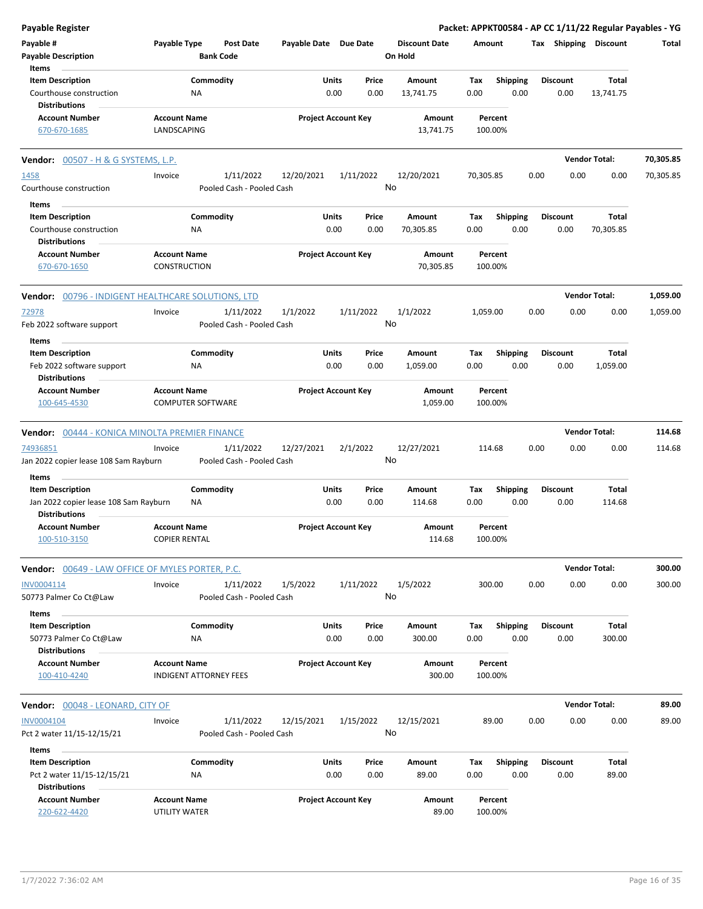| Payable Register                                                          |                                                      |                                        |                            |                            |               |                                 |                    |                         |                         | Packet: APPKT00584 - AP CC 1/11/22 Regular Payables - YG |           |
|---------------------------------------------------------------------------|------------------------------------------------------|----------------------------------------|----------------------------|----------------------------|---------------|---------------------------------|--------------------|-------------------------|-------------------------|----------------------------------------------------------|-----------|
| Payable #<br><b>Payable Description</b>                                   | Payable Type<br><b>Bank Code</b>                     | <b>Post Date</b>                       | Payable Date Due Date      |                            |               | <b>Discount Date</b><br>On Hold | Amount             |                         | Tax Shipping Discount   |                                                          | Total     |
| Items<br><b>Item Description</b>                                          | Commodity                                            |                                        |                            | Units                      | Price         | Amount                          | Tax                | <b>Shipping</b>         | <b>Discount</b>         | Total                                                    |           |
| Courthouse construction<br><b>Distributions</b>                           | NA                                                   |                                        |                            | 0.00                       | 0.00          | 13,741.75                       | 0.00               | 0.00                    | 0.00                    | 13,741.75                                                |           |
| <b>Account Number</b><br>670-670-1685                                     | <b>Account Name</b><br>LANDSCAPING                   |                                        | <b>Project Account Key</b> |                            |               | Amount<br>13,741.75             | Percent<br>100.00% |                         |                         |                                                          |           |
| <b>Vendor:</b> 00507 - H & G SYSTEMS, L.P.                                |                                                      |                                        |                            |                            |               |                                 |                    |                         |                         | <b>Vendor Total:</b>                                     | 70,305.85 |
| 1458                                                                      | Invoice                                              | 1/11/2022                              | 12/20/2021                 | 1/11/2022                  |               | 12/20/2021                      | 70,305.85          |                         | 0.00<br>0.00            | 0.00                                                     | 70,305.85 |
| Courthouse construction                                                   |                                                      | Pooled Cash - Pooled Cash              |                            |                            |               | No                              |                    |                         |                         |                                                          |           |
| Items                                                                     |                                                      |                                        |                            |                            |               |                                 |                    |                         |                         |                                                          |           |
| <b>Item Description</b>                                                   | Commodity                                            |                                        |                            | Units<br>0.00              | Price<br>0.00 | Amount                          | Tax<br>0.00        | <b>Shipping</b><br>0.00 | <b>Discount</b><br>0.00 | Total                                                    |           |
| Courthouse construction<br><b>Distributions</b>                           | ΝA                                                   |                                        |                            |                            |               | 70,305.85                       |                    |                         |                         | 70,305.85                                                |           |
| <b>Account Number</b><br>670-670-1650                                     | <b>Account Name</b><br>CONSTRUCTION                  |                                        | <b>Project Account Key</b> |                            |               | Amount<br>70,305.85             | Percent<br>100.00% |                         |                         |                                                          |           |
| Vendor: 00796 - INDIGENT HEALTHCARE SOLUTIONS, LTD                        |                                                      |                                        |                            |                            |               |                                 |                    |                         |                         | <b>Vendor Total:</b>                                     | 1,059.00  |
| 72978<br>Feb 2022 software support                                        | Invoice                                              | 1/11/2022<br>Pooled Cash - Pooled Cash | 1/1/2022                   | 1/11/2022                  |               | 1/1/2022<br>No                  | 1,059.00           |                         | 0.00<br>0.00            | 0.00                                                     | 1,059.00  |
| Items                                                                     |                                                      |                                        |                            |                            |               |                                 |                    |                         |                         |                                                          |           |
| <b>Item Description</b><br>Feb 2022 software support                      | Commodity<br>ΝA                                      |                                        |                            | Units<br>0.00              | Price<br>0.00 | Amount<br>1,059.00              | Tax<br>0.00        | <b>Shipping</b><br>0.00 | <b>Discount</b><br>0.00 | Total<br>1,059.00                                        |           |
| <b>Distributions</b><br><b>Account Number</b><br>100-645-4530             | <b>Account Name</b><br><b>COMPUTER SOFTWARE</b>      |                                        |                            | <b>Project Account Key</b> |               | Amount<br>1,059.00              | Percent<br>100.00% |                         |                         |                                                          |           |
| Vendor: 00444 - KONICA MINOLTA PREMIER FINANCE                            |                                                      |                                        |                            |                            |               |                                 |                    |                         |                         | <b>Vendor Total:</b>                                     | 114.68    |
| 74936851<br>Jan 2022 copier lease 108 Sam Rayburn                         | Invoice                                              | 1/11/2022<br>Pooled Cash - Pooled Cash | 12/27/2021                 | 2/1/2022                   |               | 12/27/2021<br>No                | 114.68             |                         | 0.00<br>0.00            | 0.00                                                     | 114.68    |
| Items                                                                     |                                                      |                                        |                            |                            |               |                                 |                    |                         |                         |                                                          |           |
| <b>Item Description</b><br>Jan 2022 copier lease 108 Sam Rayburn          | Commodity<br>ΝA                                      |                                        |                            | Units<br>0.00              | Price<br>0.00 | Amount<br>114.68                | Tax<br>0.00        | <b>Shipping</b><br>0.00 | <b>Discount</b><br>0.00 | Total<br>114.68                                          |           |
| <b>Distributions</b><br><b>Account Number</b><br>100-510-3150             | <b>Account Name</b><br><b>COPIER RENTAL</b>          |                                        |                            | <b>Project Account Key</b> |               | Amount<br>114.68                | Percent<br>100.00% |                         |                         |                                                          |           |
| Vendor: 00649 - LAW OFFICE OF MYLES PORTER, P.C.                          |                                                      |                                        |                            |                            |               |                                 |                    |                         |                         | <b>Vendor Total:</b>                                     | 300.00    |
| INV0004114<br>50773 Palmer Co Ct@Law                                      | Invoice                                              | 1/11/2022<br>Pooled Cash - Pooled Cash | 1/5/2022                   | 1/11/2022                  |               | 1/5/2022<br>No                  | 300.00             |                         | 0.00<br>0.00            | 0.00                                                     | 300.00    |
| Items                                                                     |                                                      |                                        |                            |                            |               |                                 |                    |                         |                         |                                                          |           |
| <b>Item Description</b><br>50773 Palmer Co Ct@Law<br><b>Distributions</b> | Commodity<br>NA                                      |                                        |                            | Units<br>0.00              | Price<br>0.00 | Amount<br>300.00                | Tax<br>0.00        | <b>Shipping</b><br>0.00 | <b>Discount</b><br>0.00 | Total<br>300.00                                          |           |
| <b>Account Number</b><br>100-410-4240                                     | <b>Account Name</b><br><b>INDIGENT ATTORNEY FEES</b> |                                        | <b>Project Account Key</b> |                            |               | <b>Amount</b><br>300.00         | Percent<br>100.00% |                         |                         |                                                          |           |
| Vendor: 00048 - LEONARD, CITY OF                                          |                                                      |                                        |                            |                            |               |                                 |                    |                         |                         | <b>Vendor Total:</b>                                     | 89.00     |
| INV0004104<br>Pct 2 water 11/15-12/15/21                                  | Invoice                                              | 1/11/2022<br>Pooled Cash - Pooled Cash | 12/15/2021                 | 1/15/2022                  |               | 12/15/2021<br>No                | 89.00              |                         | 0.00<br>0.00            | 0.00                                                     | 89.00     |
| Items<br><b>Item Description</b><br>Pct 2 water 11/15-12/15/21            | Commodity<br>NA                                      |                                        |                            | Units<br>0.00              | Price<br>0.00 | Amount<br>89.00                 | Tax<br>0.00        | <b>Shipping</b><br>0.00 | <b>Discount</b><br>0.00 | Total<br>89.00                                           |           |
| <b>Distributions</b><br><b>Account Number</b><br>220-622-4420             | <b>Account Name</b><br>UTILITY WATER                 |                                        | <b>Project Account Key</b> |                            |               | Amount<br>89.00                 | Percent<br>100.00% |                         |                         |                                                          |           |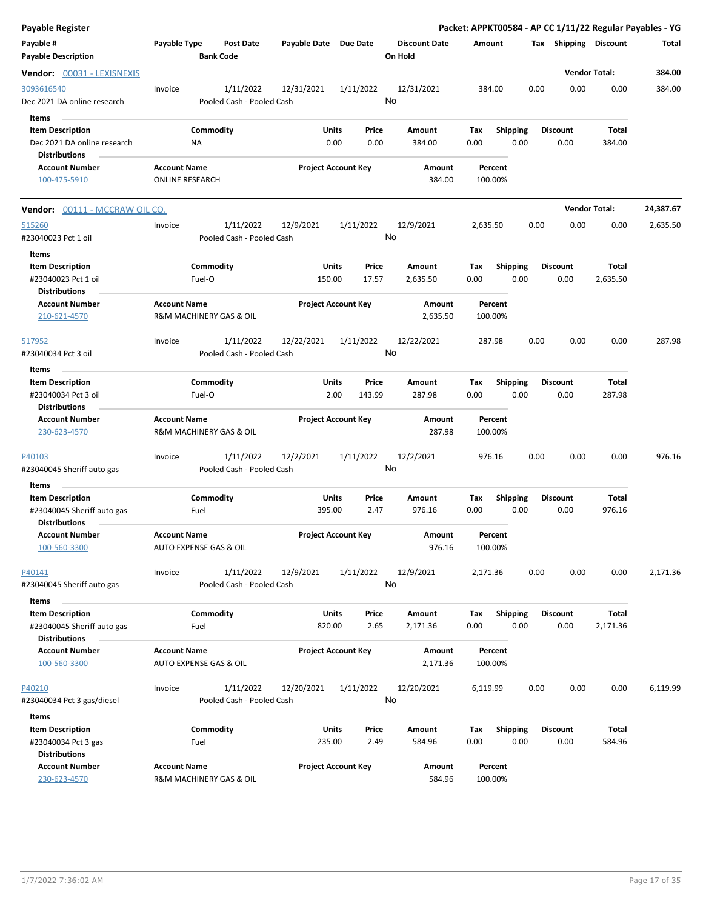| Payable Register                                                               |                                                |                                        |                        |                            |                                 |                    |                         | Packet: APPKT00584 - AP CC 1/11/22 Regular Payables - YG |                      |           |
|--------------------------------------------------------------------------------|------------------------------------------------|----------------------------------------|------------------------|----------------------------|---------------------------------|--------------------|-------------------------|----------------------------------------------------------|----------------------|-----------|
| Payable #<br><b>Payable Description</b>                                        | Payable Type                                   | <b>Post Date</b><br><b>Bank Code</b>   | Payable Date Due Date  |                            | <b>Discount Date</b><br>On Hold | Amount             |                         | Tax Shipping Discount                                    |                      | Total     |
| <b>Vendor:</b> 00031 - LEXISNEXIS                                              |                                                |                                        |                        |                            |                                 |                    |                         |                                                          | <b>Vendor Total:</b> | 384.00    |
| 3093616540<br>Dec 2021 DA online research<br>Items                             | Invoice                                        | 1/11/2022<br>Pooled Cash - Pooled Cash | 12/31/2021             | 1/11/2022                  | 12/31/2021<br>No                | 384.00             |                         | 0.00<br>0.00                                             | 0.00                 | 384.00    |
| <b>Item Description</b><br>Dec 2021 DA online research<br><b>Distributions</b> | ΝA                                             | Commodity                              | <b>Units</b><br>0.00   | Price<br>0.00              | Amount<br>384.00                | Tax<br>0.00        | <b>Shipping</b><br>0.00 | <b>Discount</b><br>0.00                                  | Total<br>384.00      |           |
| <b>Account Number</b><br>100-475-5910                                          | <b>Account Name</b><br><b>ONLINE RESEARCH</b>  |                                        |                        | <b>Project Account Key</b> | Amount<br>384.00                | Percent<br>100.00% |                         |                                                          |                      |           |
| Vendor: 00111 - MCCRAW OIL CO.                                                 |                                                |                                        |                        |                            |                                 |                    |                         |                                                          | <b>Vendor Total:</b> | 24,387.67 |
| 515260<br>#23040023 Pct 1 oil                                                  | Invoice                                        | 1/11/2022<br>Pooled Cash - Pooled Cash | 12/9/2021              | 1/11/2022                  | 12/9/2021<br>No                 | 2,635.50           |                         | 0.00<br>0.00                                             | 0.00                 | 2,635.50  |
| Items<br><b>Item Description</b><br>#23040023 Pct 1 oil                        | Fuel-O                                         | Commodity                              | <b>Units</b><br>150.00 | Price<br>17.57             | Amount<br>2,635.50              | Tax<br>0.00        | <b>Shipping</b><br>0.00 | <b>Discount</b><br>0.00                                  | Total<br>2,635.50    |           |
| <b>Distributions</b><br><b>Account Number</b><br>210-621-4570                  | <b>Account Name</b><br>R&M MACHINERY GAS & OIL |                                        |                        | <b>Project Account Key</b> | Amount<br>2,635.50              | Percent<br>100.00% |                         |                                                          |                      |           |
| 517952<br>#23040034 Pct 3 oil                                                  | Invoice                                        | 1/11/2022<br>Pooled Cash - Pooled Cash | 12/22/2021             | 1/11/2022                  | 12/22/2021<br>No                | 287.98             |                         | 0.00<br>0.00                                             | 0.00                 | 287.98    |
| Items<br><b>Item Description</b>                                               |                                                | Commodity                              | Units                  | Price                      | Amount                          | Tax                | <b>Shipping</b>         | <b>Discount</b>                                          | Total                |           |
| #23040034 Pct 3 oil<br>Distributions                                           | Fuel-O                                         |                                        |                        | 2.00<br>143.99             | 287.98                          | 0.00               | 0.00                    | 0.00                                                     | 287.98               |           |
| <b>Account Number</b><br>230-623-4570                                          | <b>Account Name</b><br>R&M MACHINERY GAS & OIL |                                        |                        | <b>Project Account Key</b> | Amount<br>287.98                | Percent<br>100.00% |                         |                                                          |                      |           |
| P40103<br>#23040045 Sheriff auto gas                                           | Invoice                                        | 1/11/2022<br>Pooled Cash - Pooled Cash | 12/2/2021              | 1/11/2022                  | 12/2/2021<br>No                 | 976.16             |                         | 0.00<br>0.00                                             | 0.00                 | 976.16    |
| Items                                                                          |                                                |                                        |                        |                            |                                 |                    |                         |                                                          |                      |           |
| <b>Item Description</b><br>#23040045 Sheriff auto gas<br>Distributions         | Fuel                                           | Commodity                              | Units<br>395.00        | Price<br>2.47              | Amount<br>976.16                | Tax<br>0.00        | <b>Shipping</b><br>0.00 | <b>Discount</b><br>0.00                                  | Total<br>976.16      |           |
| <b>Account Number</b><br>100-560-3300                                          | <b>Account Name</b><br>AUTO EXPENSE GAS & OIL  |                                        |                        | <b>Project Account Key</b> | <b>Amount</b><br>976.16         | Percent<br>100.00% |                         |                                                          |                      |           |
| P40141<br>#23040045 Sheriff auto gas                                           | Invoice                                        | 1/11/2022<br>Pooled Cash - Pooled Cash | 12/9/2021              | 1/11/2022                  | 12/9/2021<br>No                 | 2,171.36           |                         | 0.00<br>0.00                                             | 0.00                 | 2,171.36  |
| Items                                                                          |                                                |                                        |                        |                            |                                 |                    |                         |                                                          |                      |           |
| <b>Item Description</b><br>#23040045 Sheriff auto gas<br><b>Distributions</b>  | Fuel                                           | Commodity                              | <b>Units</b><br>820.00 | Price<br>2.65              | Amount<br>2,171.36              | Tax<br>0.00        | Shipping<br>0.00        | <b>Discount</b><br>0.00                                  | Total<br>2,171.36    |           |
| <b>Account Number</b><br>100-560-3300                                          | <b>Account Name</b><br>AUTO EXPENSE GAS & OIL  |                                        |                        | <b>Project Account Key</b> | Amount<br>2,171.36              | Percent<br>100.00% |                         |                                                          |                      |           |
| P40210<br>#23040034 Pct 3 gas/diesel                                           | Invoice                                        | 1/11/2022<br>Pooled Cash - Pooled Cash | 12/20/2021             | 1/11/2022                  | 12/20/2021<br>No                | 6,119.99           |                         | 0.00<br>0.00                                             | 0.00                 | 6,119.99  |
| Items                                                                          |                                                |                                        |                        |                            |                                 |                    |                         |                                                          |                      |           |
| <b>Item Description</b><br>#23040034 Pct 3 gas<br><b>Distributions</b>         | Fuel                                           | Commodity                              | <b>Units</b><br>235.00 | Price<br>2.49              | Amount<br>584.96                | Tax<br>0.00        | <b>Shipping</b><br>0.00 | <b>Discount</b><br>0.00                                  | Total<br>584.96      |           |
| <b>Account Number</b><br>230-623-4570                                          | <b>Account Name</b><br>R&M MACHINERY GAS & OIL |                                        |                        | <b>Project Account Key</b> | Amount<br>584.96                | Percent<br>100.00% |                         |                                                          |                      |           |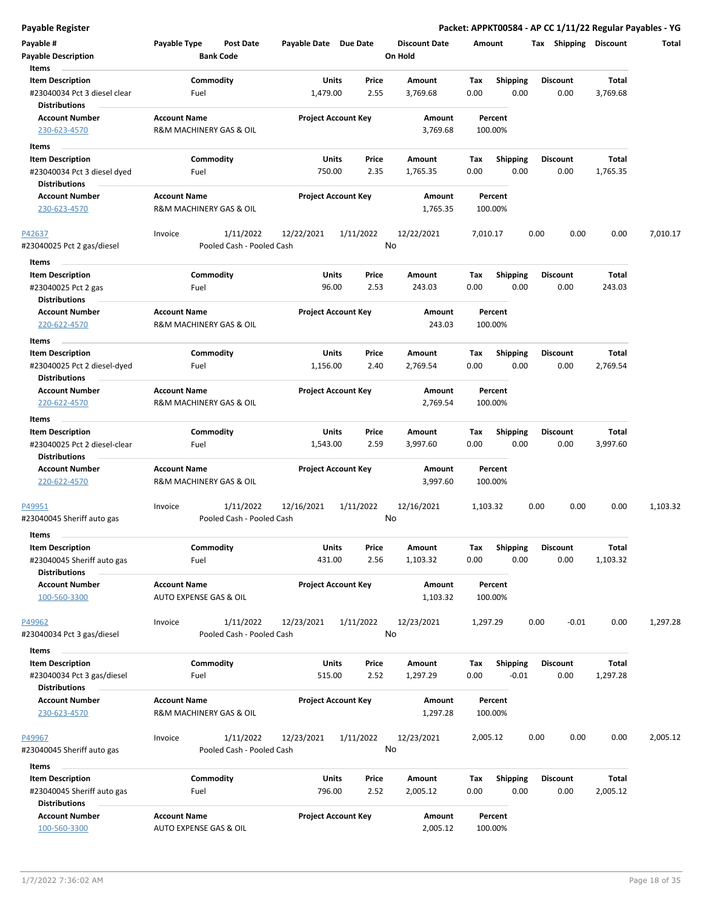| <b>Payable Register</b>                                                         |                                                |                                        |                       |                                 |                                 |                    |                         | Packet: APPKT00584 - AP CC 1/11/22 Regular Payables - YG |                   |          |
|---------------------------------------------------------------------------------|------------------------------------------------|----------------------------------------|-----------------------|---------------------------------|---------------------------------|--------------------|-------------------------|----------------------------------------------------------|-------------------|----------|
| Payable #<br><b>Payable Description</b>                                         | Payable Type                                   | <b>Post Date</b><br><b>Bank Code</b>   | Payable Date Due Date |                                 | <b>Discount Date</b><br>On Hold | Amount             |                         | Tax Shipping Discount                                    |                   | Total    |
| Items<br><b>Item Description</b><br>#23040034 Pct 3 diesel clear                | Fuel                                           | Commodity                              | 1,479.00              | Price<br>Units<br>2.55          | Amount<br>3,769.68              | Tax<br>0.00        | Shipping<br>0.00        | <b>Discount</b><br>0.00                                  | Total<br>3,769.68 |          |
| <b>Distributions</b><br><b>Account Number</b><br>230-623-4570                   | <b>Account Name</b><br>R&M MACHINERY GAS & OIL |                                        |                       | <b>Project Account Key</b>      | Amount<br>3,769.68              | Percent<br>100.00% |                         |                                                          |                   |          |
| Items                                                                           |                                                |                                        |                       |                                 |                                 |                    |                         |                                                          |                   |          |
| <b>Item Description</b><br>#23040034 Pct 3 diesel dyed<br><b>Distributions</b>  | Fuel                                           | Commodity                              | 750.00                | Units<br>Price<br>2.35          | Amount<br>1,765.35              | Tax<br>0.00        | <b>Shipping</b><br>0.00 | <b>Discount</b><br>0.00                                  | Total<br>1,765.35 |          |
| <b>Account Number</b><br>230-623-4570                                           | <b>Account Name</b><br>R&M MACHINERY GAS & OIL |                                        |                       | <b>Project Account Key</b>      | Amount<br>1,765.35              | Percent<br>100.00% |                         |                                                          |                   |          |
| P42637<br>#23040025 Pct 2 gas/diesel                                            | Invoice                                        | 1/11/2022<br>Pooled Cash - Pooled Cash | 12/22/2021            | 1/11/2022                       | 12/22/2021<br>No                | 7,010.17           |                         | 0.00<br>0.00                                             | 0.00              | 7,010.17 |
| Items                                                                           |                                                |                                        |                       |                                 |                                 |                    |                         |                                                          |                   |          |
| <b>Item Description</b><br>#23040025 Pct 2 gas                                  | Fuel                                           | Commodity                              |                       | Units<br>Price<br>96.00<br>2.53 | Amount<br>243.03                | Tax<br>0.00        | <b>Shipping</b><br>0.00 | <b>Discount</b><br>0.00                                  | Total<br>243.03   |          |
| <b>Distributions</b><br><b>Account Number</b><br>220-622-4570                   | <b>Account Name</b><br>R&M MACHINERY GAS & OIL |                                        |                       | <b>Project Account Key</b>      | Amount<br>243.03                | Percent<br>100.00% |                         |                                                          |                   |          |
| Items                                                                           |                                                |                                        |                       |                                 |                                 |                    |                         |                                                          |                   |          |
| <b>Item Description</b><br>#23040025 Pct 2 diesel-dyed                          | Fuel                                           | Commodity                              | 1,156.00              | Units<br>Price<br>2.40          | Amount<br>2,769.54              | Tax<br>0.00        | <b>Shipping</b><br>0.00 | <b>Discount</b><br>0.00                                  | Total<br>2,769.54 |          |
| <b>Distributions</b>                                                            |                                                |                                        |                       |                                 |                                 |                    |                         |                                                          |                   |          |
| <b>Account Number</b><br>220-622-4570                                           | <b>Account Name</b><br>R&M MACHINERY GAS & OIL |                                        |                       | <b>Project Account Key</b>      | Amount<br>2,769.54              | Percent<br>100.00% |                         |                                                          |                   |          |
| Items                                                                           |                                                |                                        |                       |                                 |                                 |                    |                         |                                                          |                   |          |
| <b>Item Description</b><br>#23040025 Pct 2 diesel-clear<br><b>Distributions</b> | Fuel                                           | Commodity                              | 1,543.00              | Units<br>Price<br>2.59          | Amount<br>3,997.60              | Tax<br>0.00        | <b>Shipping</b><br>0.00 | <b>Discount</b><br>0.00                                  | Total<br>3,997.60 |          |
| <b>Account Number</b>                                                           | <b>Account Name</b>                            |                                        |                       | <b>Project Account Key</b>      | Amount                          | Percent            |                         |                                                          |                   |          |
| 220-622-4570                                                                    | R&M MACHINERY GAS & OIL                        |                                        |                       |                                 | 3,997.60                        | 100.00%            |                         |                                                          |                   |          |
| P49951                                                                          | Invoice                                        | 1/11/2022                              | 12/16/2021            | 1/11/2022                       | 12/16/2021                      | 1,103.32           |                         | 0.00<br>0.00                                             | 0.00              | 1,103.32 |
| #23040045 Sheriff auto gas<br>Items                                             |                                                | Pooled Cash - Pooled Cash              |                       |                                 | No                              |                    |                         |                                                          |                   |          |
| <b>Item Description</b>                                                         |                                                | Commodity                              |                       | Units<br>Price                  | Amount                          | Tax                | Shipping                | <b>Discount</b>                                          | Total             |          |
| #23040045 Sheriff auto gas<br><b>Distributions</b>                              | Fuel                                           |                                        | 431.00                | 2.56                            | 1,103.32                        | 0.00               | 0.00                    | 0.00                                                     | 1,103.32          |          |
| <b>Account Number</b><br>100-560-3300                                           | <b>Account Name</b><br>AUTO EXPENSE GAS & OIL  |                                        |                       | <b>Project Account Key</b>      | Amount<br>1,103.32              | Percent<br>100.00% |                         |                                                          |                   |          |
| P49962<br>#23040034 Pct 3 gas/diesel                                            | Invoice                                        | 1/11/2022<br>Pooled Cash - Pooled Cash | 12/23/2021            | 1/11/2022                       | 12/23/2021<br>No                | 1,297.29           |                         | 0.00<br>$-0.01$                                          | 0.00              | 1,297.28 |
| Items                                                                           |                                                |                                        |                       |                                 |                                 |                    |                         |                                                          |                   |          |
| <b>Item Description</b><br>#23040034 Pct 3 gas/diesel                           | Fuel                                           | Commodity                              | 515.00                | Units<br>Price<br>2.52          | Amount<br>1,297.29              | Tax<br>0.00        | Shipping<br>$-0.01$     | <b>Discount</b><br>0.00                                  | Total<br>1,297.28 |          |
| <b>Distributions</b><br><b>Account Number</b><br>230-623-4570                   | <b>Account Name</b><br>R&M MACHINERY GAS & OIL |                                        |                       | <b>Project Account Key</b>      | Amount<br>1,297.28              | Percent<br>100.00% |                         |                                                          |                   |          |
| P49967<br>#23040045 Sheriff auto gas                                            | Invoice                                        | 1/11/2022<br>Pooled Cash - Pooled Cash | 12/23/2021            | 1/11/2022                       | 12/23/2021<br>No                | 2,005.12           |                         | 0.00<br>0.00                                             | 0.00              | 2,005.12 |
| Items                                                                           |                                                |                                        |                       |                                 |                                 |                    |                         |                                                          |                   |          |
| <b>Item Description</b><br>#23040045 Sheriff auto gas<br><b>Distributions</b>   | Fuel                                           | Commodity                              | 796.00                | Units<br>Price<br>2.52          | Amount<br>2,005.12              | Tax<br>0.00        | <b>Shipping</b><br>0.00 | <b>Discount</b><br>0.00                                  | Total<br>2,005.12 |          |
| <b>Account Number</b><br>100-560-3300                                           | <b>Account Name</b><br>AUTO EXPENSE GAS & OIL  |                                        |                       | <b>Project Account Key</b>      | Amount<br>2,005.12              | Percent<br>100.00% |                         |                                                          |                   |          |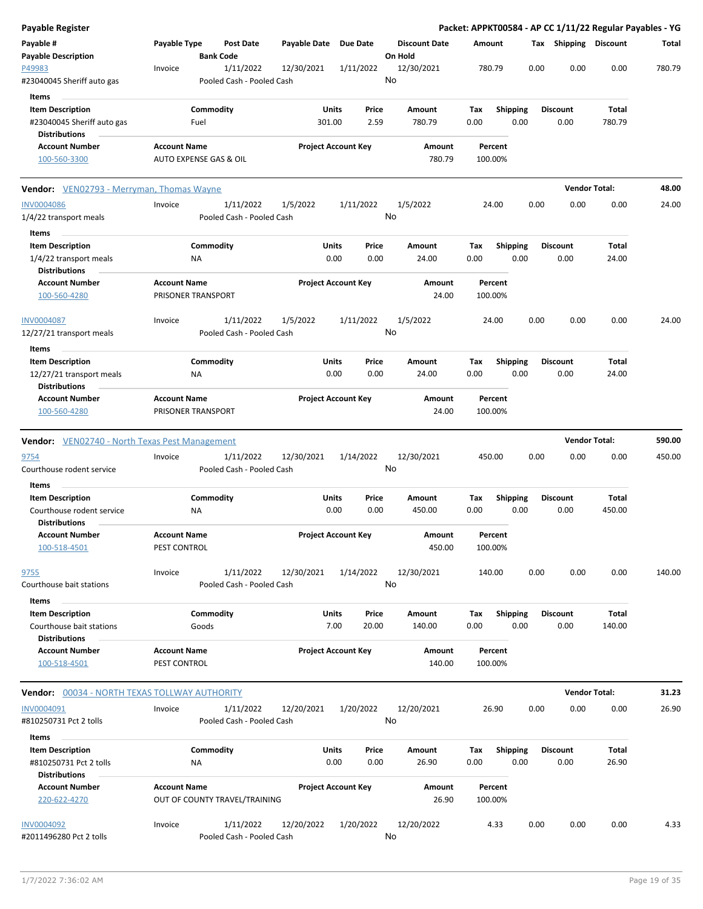| Payable Register                                                              |                                            |                                        |                       |                            |                                 |                    |                         |      |                         | Packet: APPKT00584 - AP CC 1/11/22 Regular Payables - YG |        |
|-------------------------------------------------------------------------------|--------------------------------------------|----------------------------------------|-----------------------|----------------------------|---------------------------------|--------------------|-------------------------|------|-------------------------|----------------------------------------------------------|--------|
| Payable #<br><b>Payable Description</b>                                       | Payable Type<br><b>Bank Code</b>           | <b>Post Date</b>                       | Payable Date Due Date |                            | <b>Discount Date</b><br>On Hold | Amount             |                         |      | Tax Shipping Discount   |                                                          | Total  |
| P49983<br>#23040045 Sheriff auto gas                                          | Invoice                                    | 1/11/2022<br>Pooled Cash - Pooled Cash | 12/30/2021            | 1/11/2022                  | 12/30/2021<br>No                | 780.79             |                         | 0.00 | 0.00                    | 0.00                                                     | 780.79 |
|                                                                               |                                            |                                        |                       |                            |                                 |                    |                         |      |                         |                                                          |        |
| Items                                                                         |                                            |                                        |                       |                            |                                 |                    |                         |      |                         |                                                          |        |
| <b>Item Description</b><br>#23040045 Sheriff auto gas<br><b>Distributions</b> | Commodity<br>Fuel                          |                                        | Units<br>301.00       | Price<br>2.59              | Amount<br>780.79                | Tax<br>0.00        | <b>Shipping</b><br>0.00 |      | <b>Discount</b><br>0.00 | <b>Total</b><br>780.79                                   |        |
| <b>Account Number</b>                                                         | <b>Account Name</b>                        |                                        |                       | <b>Project Account Key</b> | Amount                          | Percent            |                         |      |                         |                                                          |        |
| 100-560-3300                                                                  | AUTO EXPENSE GAS & OIL                     |                                        |                       |                            | 780.79                          | 100.00%            |                         |      |                         |                                                          |        |
| Vendor: VEN02793 - Merryman, Thomas Wayne                                     |                                            |                                        |                       |                            |                                 |                    |                         |      |                         | <b>Vendor Total:</b>                                     | 48.00  |
| <b>INV0004086</b>                                                             | Invoice                                    | 1/11/2022                              | 1/5/2022              | 1/11/2022                  | 1/5/2022                        | 24.00              |                         | 0.00 | 0.00                    | 0.00                                                     | 24.00  |
| 1/4/22 transport meals                                                        |                                            | Pooled Cash - Pooled Cash              |                       |                            | No                              |                    |                         |      |                         |                                                          |        |
|                                                                               |                                            |                                        |                       |                            |                                 |                    |                         |      |                         |                                                          |        |
| Items<br><b>Item Description</b>                                              | Commodity                                  |                                        | <b>Units</b>          | Price                      |                                 |                    |                         |      | <b>Discount</b>         | Total                                                    |        |
|                                                                               |                                            |                                        | 0.00                  | 0.00                       | Amount<br>24.00                 | Tax<br>0.00        | <b>Shipping</b><br>0.00 |      |                         | 24.00                                                    |        |
| 1/4/22 transport meals<br><b>Distributions</b>                                | ΝA                                         |                                        |                       |                            |                                 |                    |                         |      | 0.00                    |                                                          |        |
| <b>Account Number</b><br>100-560-4280                                         | <b>Account Name</b><br>PRISONER TRANSPORT  |                                        |                       | <b>Project Account Key</b> | Amount<br>24.00                 | Percent<br>100.00% |                         |      |                         |                                                          |        |
|                                                                               |                                            |                                        |                       |                            |                                 |                    |                         |      |                         |                                                          |        |
| INV0004087<br>12/27/21 transport meals                                        | Invoice                                    | 1/11/2022<br>Pooled Cash - Pooled Cash | 1/5/2022              | 1/11/2022                  | 1/5/2022<br>No                  | 24.00              |                         | 0.00 | 0.00                    | 0.00                                                     | 24.00  |
| Items                                                                         |                                            |                                        |                       |                            |                                 |                    |                         |      |                         |                                                          |        |
| <b>Item Description</b>                                                       | Commodity                                  |                                        | Units                 | Price                      | Amount                          | Tax                | <b>Shipping</b>         |      | <b>Discount</b>         | Total                                                    |        |
| 12/27/21 transport meals                                                      | ΝA                                         |                                        | 0.00                  | 0.00                       | 24.00                           | 0.00               | 0.00                    |      | 0.00                    | 24.00                                                    |        |
| <b>Distributions</b>                                                          |                                            |                                        |                       |                            |                                 |                    |                         |      |                         |                                                          |        |
| <b>Account Number</b>                                                         | <b>Account Name</b>                        |                                        |                       | <b>Project Account Key</b> | Amount                          | Percent            |                         |      |                         |                                                          |        |
| 100-560-4280                                                                  | PRISONER TRANSPORT                         |                                        |                       |                            | 24.00                           | 100.00%            |                         |      |                         |                                                          |        |
|                                                                               |                                            |                                        |                       |                            |                                 |                    |                         |      |                         |                                                          |        |
| <b>Vendor:</b> VEN02740 - North Texas Pest Management                         |                                            |                                        |                       |                            |                                 |                    |                         |      |                         | <b>Vendor Total:</b>                                     | 590.00 |
| 9754                                                                          | Invoice                                    | 1/11/2022                              | 12/30/2021            | 1/14/2022                  | 12/30/2021                      | 450.00             |                         | 0.00 | 0.00                    | 0.00                                                     | 450.00 |
| Courthouse rodent service                                                     |                                            | Pooled Cash - Pooled Cash              |                       |                            | No                              |                    |                         |      |                         |                                                          |        |
| Items                                                                         |                                            |                                        |                       |                            |                                 |                    |                         |      |                         |                                                          |        |
| <b>Item Description</b>                                                       | Commodity                                  |                                        | Units                 | Price                      | Amount                          | Tax                | <b>Shipping</b>         |      | <b>Discount</b>         | Total                                                    |        |
| Courthouse rodent service                                                     | ΝA                                         |                                        | 0.00                  | 0.00                       | 450.00                          | 0.00               | 0.00                    |      | 0.00                    | 450.00                                                   |        |
| <b>Distributions</b>                                                          |                                            |                                        |                       |                            |                                 |                    |                         |      |                         |                                                          |        |
| <b>Account Number</b>                                                         | <b>Account Name</b>                        |                                        |                       | <b>Project Account Key</b> | Amount                          | Percent            |                         |      |                         |                                                          |        |
| 100-518-4501                                                                  | PEST CONTROL                               |                                        |                       |                            | 450.00                          | 100.00%            |                         |      |                         |                                                          |        |
| <u>9755</u>                                                                   | Invoice                                    | 1/11/2022                              | 12/30/2021            | 1/14/2022                  | 12/30/2021                      | 140.00             |                         | 0.00 | 0.00                    | 0.00                                                     | 140.00 |
| Courthouse bait stations                                                      |                                            | Pooled Cash - Pooled Cash              |                       |                            | No                              |                    |                         |      |                         |                                                          |        |
| <b>Items</b>                                                                  |                                            |                                        |                       |                            |                                 |                    |                         |      |                         |                                                          |        |
| <b>Item Description</b>                                                       | Commodity                                  |                                        | <b>Units</b>          | Price                      | Amount                          | Tax                | <b>Shipping</b>         |      | <b>Discount</b>         | Total                                                    |        |
| Courthouse bait stations                                                      | Goods                                      |                                        | 7.00                  | 20.00                      | 140.00                          | 0.00               | 0.00                    |      | 0.00                    | 140.00                                                   |        |
| <b>Distributions</b>                                                          |                                            |                                        |                       |                            |                                 |                    |                         |      |                         |                                                          |        |
| <b>Account Number</b><br>100-518-4501                                         | <b>Account Name</b><br><b>PEST CONTROL</b> |                                        |                       | <b>Project Account Key</b> | <b>Amount</b><br>140.00         | Percent<br>100.00% |                         |      |                         |                                                          |        |
|                                                                               |                                            |                                        |                       |                            |                                 |                    |                         |      |                         | <b>Vendor Total:</b>                                     | 31.23  |
| <b>Vendor:</b> 00034 - NORTH TEXAS TOLLWAY AUTHORITY                          |                                            |                                        |                       |                            |                                 |                    |                         |      |                         |                                                          |        |
| <b>INV0004091</b><br>#810250731 Pct 2 tolls                                   | Invoice                                    | 1/11/2022<br>Pooled Cash - Pooled Cash | 12/20/2021            | 1/20/2022                  | 12/20/2021<br>No                | 26.90              |                         | 0.00 | 0.00                    | 0.00                                                     | 26.90  |
| Items                                                                         |                                            |                                        |                       |                            |                                 |                    |                         |      |                         |                                                          |        |
| <b>Item Description</b>                                                       | Commodity                                  |                                        | <b>Units</b>          | Price                      | Amount                          | Tax                | <b>Shipping</b>         |      | <b>Discount</b>         | Total                                                    |        |
| #810250731 Pct 2 tolls                                                        | ΝA                                         |                                        | 0.00                  | 0.00                       | 26.90                           | 0.00               | 0.00                    |      | 0.00                    | 26.90                                                    |        |
| <b>Distributions</b>                                                          |                                            |                                        |                       |                            |                                 |                    |                         |      |                         |                                                          |        |
| <b>Account Number</b>                                                         | <b>Account Name</b>                        |                                        |                       | <b>Project Account Key</b> | Amount                          | Percent            |                         |      |                         |                                                          |        |
| 220-622-4270                                                                  | OUT OF COUNTY TRAVEL/TRAINING              |                                        |                       |                            | 26.90                           | 100.00%            |                         |      |                         |                                                          |        |
| <b>INV0004092</b>                                                             |                                            | 1/11/2022                              |                       |                            |                                 |                    |                         | 0.00 | 0.00                    | 0.00                                                     | 4.33   |
|                                                                               | Invoice                                    |                                        | 12/20/2022            | 1/20/2022                  | 12/20/2022<br>No                | 4.33               |                         |      |                         |                                                          |        |
| #2011496280 Pct 2 tolls                                                       |                                            | Pooled Cash - Pooled Cash              |                       |                            |                                 |                    |                         |      |                         |                                                          |        |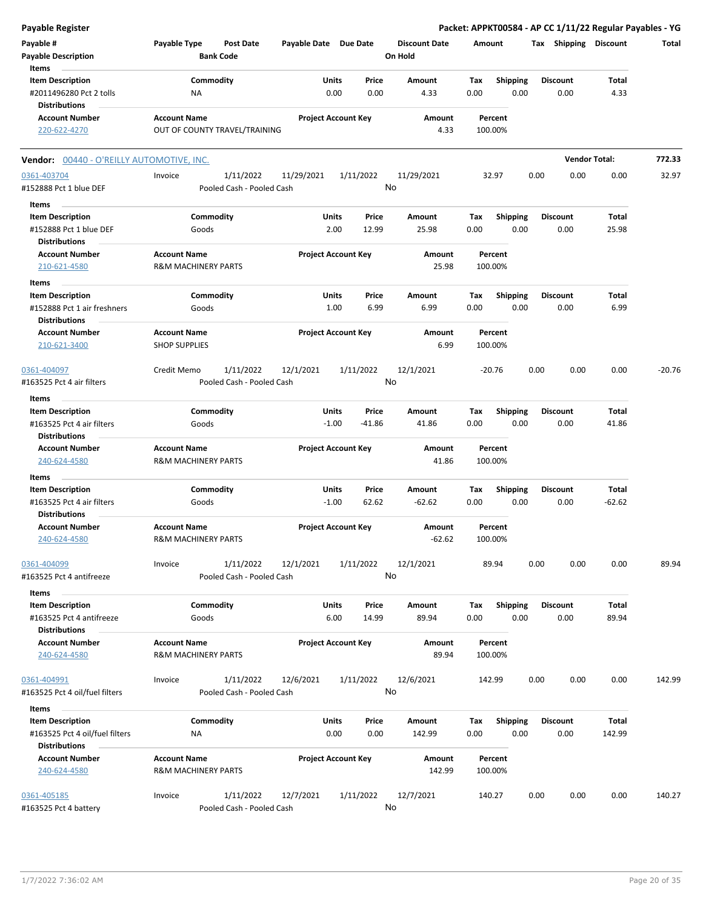| Payable Register                                                                  |                                                       |                                        |                            |                  |                |                                 |             |                         |      |                         | Packet: APPKT00584 - AP CC 1/11/22 Regular Payables - YG |          |
|-----------------------------------------------------------------------------------|-------------------------------------------------------|----------------------------------------|----------------------------|------------------|----------------|---------------------------------|-------------|-------------------------|------|-------------------------|----------------------------------------------------------|----------|
| Payable #<br><b>Payable Description</b><br>Items                                  | Payable Type                                          | <b>Post Date</b><br><b>Bank Code</b>   | Payable Date Due Date      |                  |                | <b>Discount Date</b><br>On Hold | Amount      |                         |      | Tax Shipping Discount   |                                                          | Total    |
| <b>Item Description</b><br>#2011496280 Pct 2 tolls                                | Commodity<br><b>NA</b>                                |                                        |                            | Units<br>0.00    | Price<br>0.00  | Amount<br>4.33                  | Tax<br>0.00 | <b>Shipping</b><br>0.00 |      | <b>Discount</b><br>0.00 | Total<br>4.33                                            |          |
| <b>Distributions</b><br><b>Account Number</b><br>220-622-4270                     | <b>Account Name</b><br>OUT OF COUNTY TRAVEL/TRAINING  |                                        | <b>Project Account Key</b> |                  |                | Amount<br>4.33                  |             | Percent<br>100.00%      |      |                         |                                                          |          |
| <b>Vendor:</b> 00440 - O'REILLY AUTOMOTIVE, INC.                                  |                                                       |                                        |                            |                  |                |                                 |             |                         |      |                         | <b>Vendor Total:</b>                                     | 772.33   |
| 0361-403704<br>#152888 Pct 1 blue DEF                                             | Invoice                                               | 1/11/2022<br>Pooled Cash - Pooled Cash | 11/29/2021                 | 1/11/2022        |                | 11/29/2021<br>No                |             | 32.97                   | 0.00 | 0.00                    | 0.00                                                     | 32.97    |
| Items<br><b>Item Description</b>                                                  | Commodity                                             |                                        |                            | Units            | Price          | Amount                          | Тах         | <b>Shipping</b>         |      | <b>Discount</b>         | Total                                                    |          |
| #152888 Pct 1 blue DEF<br><b>Distributions</b>                                    | Goods                                                 |                                        |                            | 2.00             | 12.99          | 25.98                           | 0.00        | 0.00                    |      | 0.00                    | 25.98                                                    |          |
| <b>Account Number</b><br>210-621-4580<br>Items                                    | <b>Account Name</b><br><b>R&amp;M MACHINERY PARTS</b> |                                        | <b>Project Account Key</b> |                  |                | Amount<br>25.98                 |             | Percent<br>100.00%      |      |                         |                                                          |          |
| <b>Item Description</b><br>#152888 Pct 1 air freshners<br><b>Distributions</b>    | Commodity<br>Goods                                    |                                        |                            | Units<br>1.00    | Price<br>6.99  | Amount<br>6.99                  | Tax<br>0.00 | <b>Shipping</b><br>0.00 |      | <b>Discount</b><br>0.00 | Total<br>6.99                                            |          |
| <b>Account Number</b><br>210-621-3400                                             | <b>Account Name</b><br><b>SHOP SUPPLIES</b>           |                                        | <b>Project Account Key</b> |                  |                | Amount<br>6.99                  |             | Percent<br>100.00%      |      |                         |                                                          |          |
| 0361-404097<br>#163525 Pct 4 air filters                                          | Credit Memo                                           | 1/11/2022<br>Pooled Cash - Pooled Cash | 12/1/2021                  | 1/11/2022        |                | 12/1/2021<br>No                 |             | $-20.76$                | 0.00 | 0.00                    | 0.00                                                     | $-20.76$ |
| Items<br><b>Item Description</b>                                                  | Commodity                                             |                                        |                            | Units            | Price          | Amount                          | Tax         | <b>Shipping</b>         |      | <b>Discount</b>         | Total                                                    |          |
| #163525 Pct 4 air filters<br><b>Distributions</b>                                 | Goods                                                 |                                        |                            | $-1.00$          | $-41.86$       | 41.86                           | 0.00        | 0.00                    |      | 0.00                    | 41.86                                                    |          |
| <b>Account Number</b><br>240-624-4580                                             | <b>Account Name</b><br><b>R&amp;M MACHINERY PARTS</b> |                                        | <b>Project Account Key</b> |                  |                | Amount<br>41.86                 |             | Percent<br>100.00%      |      |                         |                                                          |          |
| Items                                                                             |                                                       |                                        |                            |                  |                |                                 |             |                         |      |                         |                                                          |          |
| <b>Item Description</b><br>#163525 Pct 4 air filters<br><b>Distributions</b>      | Commodity<br>Goods                                    |                                        |                            | Units<br>$-1.00$ | Price<br>62.62 | Amount<br>$-62.62$              | Tax<br>0.00 | <b>Shipping</b><br>0.00 |      | <b>Discount</b><br>0.00 | Total<br>$-62.62$                                        |          |
| <b>Account Number</b><br>240-624-4580                                             | <b>Account Name</b><br>R&M MACHINERY PARTS            |                                        | <b>Project Account Key</b> |                  |                | Amount<br>$-62.62$              |             | Percent<br>100.00%      |      |                         |                                                          |          |
| 0361-404099<br>#163525 Pct 4 antifreeze                                           | Invoice                                               | 1/11/2022<br>Pooled Cash - Pooled Cash | 12/1/2021                  | 1/11/2022        |                | 12/1/2021<br>No                 |             | 89.94                   | 0.00 | 0.00                    | 0.00                                                     | 89.94    |
| Items                                                                             |                                                       |                                        |                            |                  |                |                                 |             |                         |      |                         |                                                          |          |
| <b>Item Description</b><br>#163525 Pct 4 antifreeze                               | Commodity<br>Goods                                    |                                        |                            | Units<br>6.00    | Price<br>14.99 | Amount<br>89.94                 | Tax<br>0.00 | <b>Shipping</b><br>0.00 |      | <b>Discount</b><br>0.00 | Total<br>89.94                                           |          |
| <b>Distributions</b><br><b>Account Number</b><br>240-624-4580                     | <b>Account Name</b><br><b>R&amp;M MACHINERY PARTS</b> |                                        | <b>Project Account Key</b> |                  |                | Amount<br>89.94                 |             | Percent<br>100.00%      |      |                         |                                                          |          |
| 0361-404991<br>#163525 Pct 4 oil/fuel filters                                     | Invoice                                               | 1/11/2022<br>Pooled Cash - Pooled Cash | 12/6/2021                  | 1/11/2022        |                | 12/6/2021<br>No                 |             | 142.99                  | 0.00 | 0.00                    | 0.00                                                     | 142.99   |
| Items                                                                             |                                                       |                                        |                            |                  |                |                                 |             |                         |      |                         |                                                          |          |
| <b>Item Description</b><br>#163525 Pct 4 oil/fuel filters<br><b>Distributions</b> | Commodity<br><b>NA</b>                                |                                        |                            | Units<br>0.00    | Price<br>0.00  | Amount<br>142.99                | Tax<br>0.00 | <b>Shipping</b><br>0.00 |      | <b>Discount</b><br>0.00 | Total<br>142.99                                          |          |
| <b>Account Number</b><br>240-624-4580                                             | <b>Account Name</b><br><b>R&amp;M MACHINERY PARTS</b> |                                        | <b>Project Account Key</b> |                  |                | Amount<br>142.99                |             | Percent<br>100.00%      |      |                         |                                                          |          |
| 0361-405185<br>#163525 Pct 4 battery                                              | Invoice                                               | 1/11/2022<br>Pooled Cash - Pooled Cash | 12/7/2021                  | 1/11/2022        |                | 12/7/2021<br>No                 |             | 140.27                  | 0.00 | 0.00                    | 0.00                                                     | 140.27   |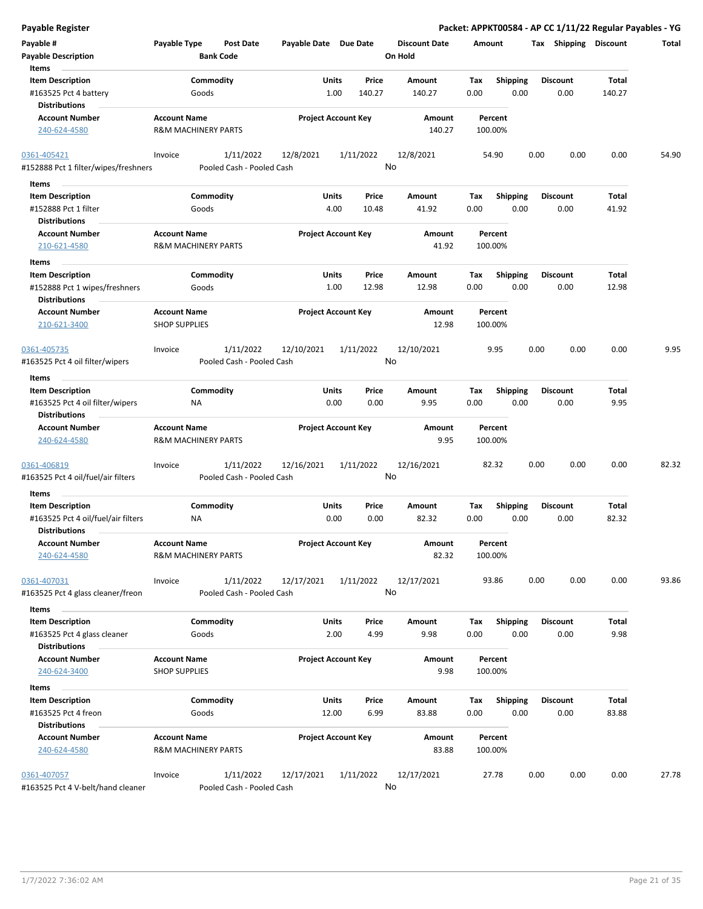| <b>Payable Register</b>                                                |                                                       |                                        |                       |                            |                                 | Packet: APPKT00584 - AP CC 1/11/22 Regular Payables - YG |                         |                |       |
|------------------------------------------------------------------------|-------------------------------------------------------|----------------------------------------|-----------------------|----------------------------|---------------------------------|----------------------------------------------------------|-------------------------|----------------|-------|
| Payable #<br><b>Payable Description</b>                                | Payable Type                                          | <b>Post Date</b><br><b>Bank Code</b>   | Payable Date Due Date |                            | <b>Discount Date</b><br>On Hold | Amount                                                   | Tax Shipping Discount   |                | Total |
| Items<br><b>Item Description</b>                                       |                                                       | Commodity                              | Units                 | Price                      | Amount                          |                                                          | <b>Discount</b>         | Total          |       |
| #163525 Pct 4 battery                                                  | Goods                                                 |                                        | 1.00                  | 140.27                     | 140.27                          | <b>Shipping</b><br>Tax<br>0.00<br>0.00                   | 0.00                    | 140.27         |       |
| <b>Distributions</b>                                                   |                                                       |                                        |                       |                            |                                 |                                                          |                         |                |       |
| <b>Account Number</b>                                                  | <b>Account Name</b>                                   |                                        |                       | <b>Project Account Key</b> | Amount                          | Percent                                                  |                         |                |       |
| 240-624-4580                                                           | <b>R&amp;M MACHINERY PARTS</b>                        |                                        |                       |                            | 140.27                          | 100.00%                                                  |                         |                |       |
| 0361-405421                                                            | Invoice                                               | 1/11/2022                              | 12/8/2021             | 1/11/2022                  | 12/8/2021                       | 54.90                                                    | 0.00<br>0.00            | 0.00           | 54.90 |
| #152888 Pct 1 filter/wipes/freshners                                   |                                                       | Pooled Cash - Pooled Cash              |                       |                            | No                              |                                                          |                         |                |       |
| Items                                                                  |                                                       |                                        |                       |                            |                                 |                                                          |                         |                |       |
| <b>Item Description</b>                                                |                                                       | Commodity                              | Units                 | Price                      | Amount                          | Shipping<br>Tax                                          | <b>Discount</b>         | Total          |       |
| #152888 Pct 1 filter                                                   | Goods                                                 |                                        | 4.00                  | 10.48                      | 41.92                           | 0.00<br>0.00                                             | 0.00                    | 41.92          |       |
| <b>Distributions</b>                                                   |                                                       |                                        |                       |                            |                                 |                                                          |                         |                |       |
| <b>Account Number</b><br>210-621-4580                                  | <b>Account Name</b><br><b>R&amp;M MACHINERY PARTS</b> |                                        |                       | <b>Project Account Key</b> | Amount<br>41.92                 | Percent<br>100.00%                                       |                         |                |       |
| Items                                                                  |                                                       |                                        |                       |                            |                                 |                                                          |                         |                |       |
| <b>Item Description</b>                                                |                                                       | Commodity                              | Units                 | Price                      | Amount                          | <b>Shipping</b><br>Tax                                   | <b>Discount</b>         | Total          |       |
| #152888 Pct 1 wipes/freshners<br><b>Distributions</b>                  | Goods                                                 |                                        | 1.00                  | 12.98                      | 12.98                           | 0.00<br>0.00                                             | 0.00                    | 12.98          |       |
| <b>Account Number</b><br>210-621-3400                                  | <b>Account Name</b><br><b>SHOP SUPPLIES</b>           |                                        |                       | <b>Project Account Key</b> | Amount<br>12.98                 | Percent<br>100.00%                                       |                         |                |       |
|                                                                        |                                                       |                                        |                       |                            |                                 |                                                          |                         |                |       |
| 0361-405735<br>#163525 Pct 4 oil filter/wipers                         | Invoice                                               | 1/11/2022<br>Pooled Cash - Pooled Cash | 12/10/2021            | 1/11/2022                  | 12/10/2021<br>No                | 9.95                                                     | 0.00<br>0.00            | 0.00           | 9.95  |
| Items                                                                  |                                                       |                                        |                       |                            |                                 |                                                          |                         |                |       |
| <b>Item Description</b>                                                |                                                       | Commodity                              | Units                 | Price                      | Amount                          | <b>Shipping</b><br>Tax                                   | <b>Discount</b>         | Total          |       |
| #163525 Pct 4 oil filter/wipers<br><b>Distributions</b>                | ΝA                                                    |                                        | 0.00                  | 0.00                       | 9.95                            | 0.00<br>0.00                                             | 0.00                    | 9.95           |       |
| <b>Account Number</b><br>240-624-4580                                  | <b>Account Name</b><br><b>R&amp;M MACHINERY PARTS</b> |                                        |                       | <b>Project Account Key</b> | Amount<br>9.95                  | Percent<br>100.00%                                       |                         |                |       |
|                                                                        |                                                       |                                        |                       |                            |                                 |                                                          |                         |                |       |
| 0361-406819<br>#163525 Pct 4 oil/fuel/air filters                      | Invoice                                               | 1/11/2022<br>Pooled Cash - Pooled Cash | 12/16/2021            | 1/11/2022                  | 12/16/2021<br>No                | 82.32                                                    | 0.00<br>0.00            | 0.00           | 82.32 |
| Items                                                                  |                                                       |                                        |                       |                            |                                 |                                                          |                         |                |       |
| <b>Item Description</b><br>#163525 Pct 4 oil/fuel/air filters          | ΝA                                                    | Commodity                              | Units<br>0.00         | Price<br>0.00              | Amount<br>82.32                 | Tax<br><b>Shipping</b><br>0.00<br>0.00                   | <b>Discount</b><br>0.00 | Total<br>82.32 |       |
| <b>Distributions</b><br><b>Account Number</b><br>240-624-4580          | <b>Account Name</b><br><b>R&amp;M MACHINERY PARTS</b> |                                        |                       | <b>Project Account Key</b> | Amount<br>82.32                 | Percent<br>100.00%                                       |                         |                |       |
|                                                                        |                                                       |                                        |                       |                            |                                 |                                                          |                         |                |       |
| 0361-407031<br>#163525 Pct 4 glass cleaner/freon                       | Invoice                                               | 1/11/2022<br>Pooled Cash - Pooled Cash | 12/17/2021            | 1/11/2022                  | 12/17/2021<br>No                | 93.86                                                    | 0.00<br>0.00            | 0.00           | 93.86 |
| Items                                                                  |                                                       |                                        |                       |                            |                                 |                                                          |                         |                |       |
| <b>Item Description</b>                                                |                                                       | Commodity                              | Units                 | Price                      | Amount                          | <b>Shipping</b><br>Tax                                   | <b>Discount</b>         | Total          |       |
| #163525 Pct 4 glass cleaner                                            | Goods                                                 |                                        | 2.00                  | 4.99                       | 9.98                            | 0.00<br>0.00                                             | 0.00                    | 9.98           |       |
| <b>Distributions</b>                                                   |                                                       |                                        |                       |                            |                                 |                                                          |                         |                |       |
| <b>Account Number</b><br>240-624-3400                                  | <b>Account Name</b><br><b>SHOP SUPPLIES</b>           |                                        |                       | <b>Project Account Key</b> | Amount<br>9.98                  | Percent<br>100.00%                                       |                         |                |       |
|                                                                        |                                                       |                                        |                       |                            |                                 |                                                          |                         |                |       |
| Items                                                                  |                                                       |                                        |                       |                            |                                 |                                                          |                         |                |       |
| <b>Item Description</b><br>#163525 Pct 4 freon<br><b>Distributions</b> | Goods                                                 | Commodity                              | Units<br>12.00        | Price<br>6.99              | Amount<br>83.88                 | <b>Shipping</b><br>Tax<br>0.00<br>0.00                   | <b>Discount</b><br>0.00 | Total<br>83.88 |       |
| <b>Account Number</b>                                                  | <b>Account Name</b>                                   |                                        |                       | <b>Project Account Key</b> | Amount                          | Percent                                                  |                         |                |       |
| 240-624-4580                                                           | <b>R&amp;M MACHINERY PARTS</b>                        |                                        |                       |                            | 83.88                           | 100.00%                                                  |                         |                |       |
| 0361-407057<br>#163525 Pct 4 V-belt/hand cleaner                       | Invoice                                               | 1/11/2022<br>Pooled Cash - Pooled Cash | 12/17/2021            | 1/11/2022                  | 12/17/2021<br>No                | 27.78                                                    | 0.00<br>0.00            | 0.00           | 27.78 |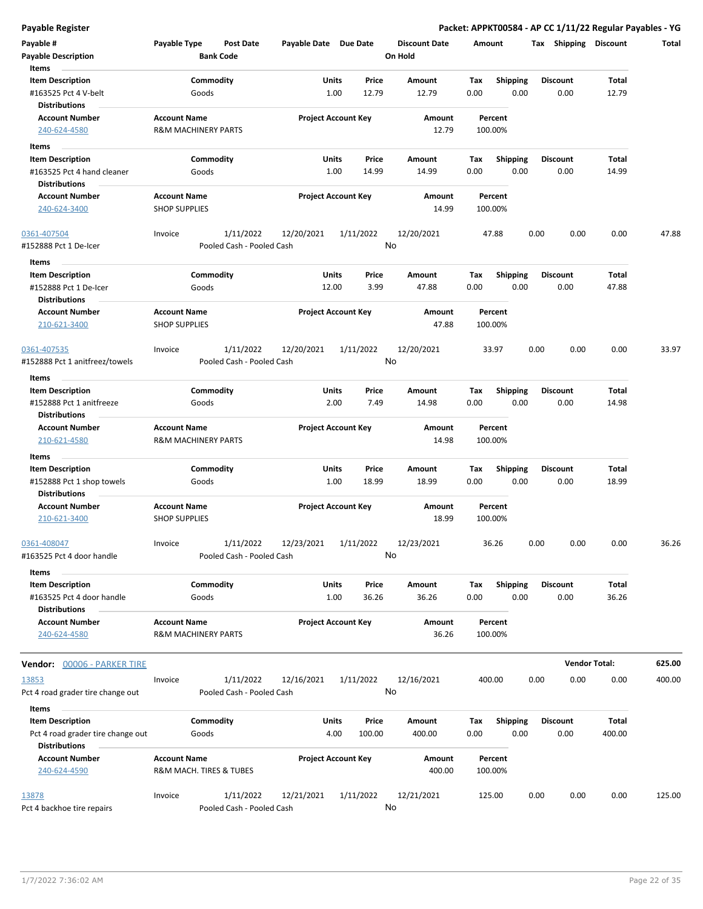| Payable #<br><b>Payable Description</b><br>Items  | Payable Type                                          | Post Date<br><b>Bank Code</b>          | Payable Date Due Date |                            | <b>Discount Date</b><br>On Hold | Amount             |                 |      | Tax Shipping         | <b>Discount</b> | Total  |
|---------------------------------------------------|-------------------------------------------------------|----------------------------------------|-----------------------|----------------------------|---------------------------------|--------------------|-----------------|------|----------------------|-----------------|--------|
| <b>Item Description</b>                           |                                                       | Commodity                              |                       | Units<br>Price             | Amount                          | Tax                | <b>Shipping</b> |      | <b>Discount</b>      | Total           |        |
| #163525 Pct 4 V-belt<br>Distributions             | Goods                                                 |                                        |                       | 1.00<br>12.79              | 12.79                           | 0.00               | 0.00            |      | 0.00                 | 12.79           |        |
| <b>Account Number</b><br>240-624-4580             | <b>Account Name</b><br><b>R&amp;M MACHINERY PARTS</b> |                                        |                       | <b>Project Account Key</b> | Amount<br>12.79                 | Percent<br>100.00% |                 |      |                      |                 |        |
| Items                                             |                                                       |                                        |                       |                            |                                 |                    |                 |      |                      |                 |        |
| <b>Item Description</b>                           |                                                       | Commodity                              |                       | Units<br>Price             | <b>Amount</b>                   | Tax                | <b>Shipping</b> |      | <b>Discount</b>      | Total           |        |
| #163525 Pct 4 hand cleaner                        | Goods                                                 |                                        |                       | 1.00<br>14.99              | 14.99                           | 0.00               | 0.00            |      | 0.00                 | 14.99           |        |
| <b>Distributions</b>                              |                                                       |                                        |                       |                            |                                 |                    |                 |      |                      |                 |        |
| <b>Account Number</b><br>240-624-3400             | <b>Account Name</b><br><b>SHOP SUPPLIES</b>           |                                        |                       | <b>Project Account Key</b> | Amount<br>14.99                 | Percent<br>100.00% |                 |      |                      |                 |        |
| 0361-407504                                       | Invoice                                               | 1/11/2022                              | 12/20/2021            | 1/11/2022                  | 12/20/2021                      | 47.88              |                 | 0.00 | 0.00                 | 0.00            | 47.88  |
| #152888 Pct 1 De-Icer                             |                                                       | Pooled Cash - Pooled Cash              |                       |                            | No                              |                    |                 |      |                      |                 |        |
| Items                                             |                                                       |                                        |                       |                            |                                 |                    |                 |      |                      |                 |        |
| <b>Item Description</b>                           |                                                       | Commodity                              |                       | Units<br>Price             | Amount                          | Tax                | <b>Shipping</b> |      | <b>Discount</b>      | Total           |        |
| #152888 Pct 1 De-Icer                             | Goods                                                 |                                        |                       | 12.00<br>3.99              | 47.88                           | 0.00               | 0.00            |      | 0.00                 | 47.88           |        |
| <b>Distributions</b>                              |                                                       |                                        |                       |                            |                                 |                    |                 |      |                      |                 |        |
| <b>Account Number</b><br>210-621-3400             | <b>Account Name</b><br><b>SHOP SUPPLIES</b>           |                                        |                       | <b>Project Account Key</b> | Amount<br>47.88                 | Percent<br>100.00% |                 |      |                      |                 |        |
| 0361-407535<br>#152888 Pct 1 anitfreez/towels     | Invoice                                               | 1/11/2022<br>Pooled Cash - Pooled Cash | 12/20/2021            | 1/11/2022                  | 12/20/2021<br>No                | 33.97              |                 | 0.00 | 0.00                 | 0.00            | 33.97  |
|                                                   |                                                       |                                        |                       |                            |                                 |                    |                 |      |                      |                 |        |
| Items                                             |                                                       |                                        |                       |                            |                                 |                    |                 |      |                      |                 |        |
| <b>Item Description</b>                           |                                                       | Commodity                              |                       | Units<br>Price             | Amount                          | Tax                | <b>Shipping</b> |      | <b>Discount</b>      | Total           |        |
| #152888 Pct 1 anitfreeze<br>Distributions         | Goods                                                 |                                        |                       | 2.00<br>7.49               | 14.98                           | 0.00               | 0.00            |      | 0.00                 | 14.98           |        |
| <b>Account Number</b><br>210-621-4580             | <b>Account Name</b><br><b>R&amp;M MACHINERY PARTS</b> |                                        |                       | <b>Project Account Key</b> | Amount<br>14.98                 | Percent<br>100.00% |                 |      |                      |                 |        |
| Items                                             |                                                       |                                        |                       |                            |                                 |                    |                 |      |                      |                 |        |
| <b>Item Description</b>                           |                                                       | Commodity                              |                       | Units<br>Price             | Amount                          | Tax                | Shipping        |      | <b>Discount</b>      | Total           |        |
| #152888 Pct 1 shop towels<br><b>Distributions</b> | Goods                                                 |                                        |                       | 1.00<br>18.99              | 18.99                           | 0.00               | 0.00            |      | 0.00                 | 18.99           |        |
| <b>Account Number</b>                             | <b>Account Name</b>                                   |                                        |                       | <b>Project Account Key</b> | Amount                          | Percent            |                 |      |                      |                 |        |
| 210-621-3400                                      | <b>SHOP SUPPLIES</b>                                  |                                        |                       |                            | 18.99                           | 100.00%            |                 |      |                      |                 |        |
| 0361-408047                                       | Invoice                                               | 1/11/2022                              | 12/23/2021            | 1/11/2022                  | 12/23/2021                      | 36.26              |                 | 0.00 | 0.00                 | 0.00            | 36.26  |
| #163525 Pct 4 door handle                         |                                                       | Pooled Cash - Pooled Cash              |                       |                            | No                              |                    |                 |      |                      |                 |        |
| <b>Items</b>                                      |                                                       |                                        |                       |                            |                                 |                    |                 |      |                      |                 |        |
| <b>Item Description</b>                           |                                                       | Commodity                              |                       | Units<br>Price             | Amount                          | Tax                | <b>Shipping</b> |      | <b>Discount</b>      | Total           |        |
| #163525 Pct 4 door handle<br><b>Distributions</b> | Goods                                                 |                                        |                       | 1.00<br>36.26              | 36.26                           | 0.00               | 0.00            |      | 0.00                 | 36.26           |        |
| <b>Account Number</b>                             | <b>Account Name</b>                                   |                                        |                       | <b>Project Account Key</b> | Amount                          | Percent            |                 |      |                      |                 |        |
| 240-624-4580                                      | <b>R&amp;M MACHINERY PARTS</b>                        |                                        |                       |                            | 36.26                           | 100.00%            |                 |      |                      |                 |        |
| <b>Vendor:</b> 00006 - PARKER TIRE                |                                                       |                                        |                       |                            |                                 |                    |                 |      | <b>Vendor Total:</b> |                 | 625.00 |
| 13853                                             | Invoice                                               | 1/11/2022                              | 12/16/2021            | 1/11/2022                  | 12/16/2021                      | 400.00             |                 | 0.00 | 0.00                 | 0.00            | 400.00 |
| Pct 4 road grader tire change out                 |                                                       | Pooled Cash - Pooled Cash              |                       |                            | No                              |                    |                 |      |                      |                 |        |
| Items                                             |                                                       |                                        |                       |                            |                                 |                    |                 |      |                      |                 |        |
| <b>Item Description</b>                           |                                                       | Commodity                              |                       | Units<br>Price             | Amount                          | Tax                | <b>Shipping</b> |      | <b>Discount</b>      | Total           |        |
| Pct 4 road grader tire change out                 | Goods                                                 |                                        |                       | 4.00<br>100.00             | 400.00                          | 0.00               | 0.00            |      | 0.00                 | 400.00          |        |
| <b>Distributions</b>                              |                                                       |                                        |                       |                            |                                 |                    |                 |      |                      |                 |        |
| <b>Account Number</b><br>240-624-4590             | <b>Account Name</b><br>R&M MACH. TIRES & TUBES        |                                        |                       | <b>Project Account Key</b> | Amount<br>400.00                | Percent<br>100.00% |                 |      |                      |                 |        |
| 13878                                             | Invoice                                               | 1/11/2022                              | 12/21/2021            | 1/11/2022                  | 12/21/2021                      | 125.00             |                 | 0.00 | 0.00                 | 0.00            | 125.00 |
| Pct 4 backhoe tire repairs                        |                                                       | Pooled Cash - Pooled Cash              |                       |                            | No                              |                    |                 |      |                      |                 |        |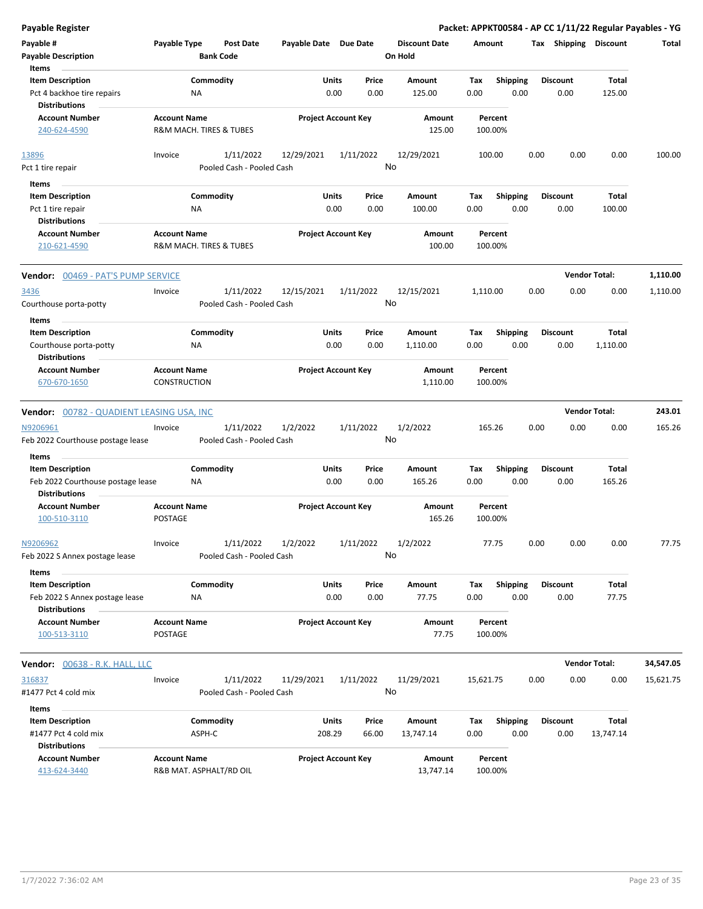| Payable Register                                          |                                            |                         |                                        |                            |              |                 |                                 |             |                         |      |                       |                      | Packet: APPKT00584 - AP CC 1/11/22 Regular Payables - YG |
|-----------------------------------------------------------|--------------------------------------------|-------------------------|----------------------------------------|----------------------------|--------------|-----------------|---------------------------------|-------------|-------------------------|------|-----------------------|----------------------|----------------------------------------------------------|
| Payable #<br><b>Payable Description</b>                   | Payable Type                               | <b>Bank Code</b>        | <b>Post Date</b>                       | Payable Date Due Date      |              |                 | <b>Discount Date</b><br>On Hold | Amount      |                         |      | Tax Shipping Discount |                      | Total                                                    |
| Items                                                     |                                            |                         |                                        |                            |              |                 |                                 |             |                         |      |                       |                      |                                                          |
| <b>Item Description</b>                                   |                                            | Commodity               |                                        |                            | Units        | Price           | Amount                          | Tax         | <b>Shipping</b>         |      | <b>Discount</b>       | Total                |                                                          |
| Pct 4 backhoe tire repairs<br><b>Distributions</b>        |                                            | ΝA                      |                                        |                            | 0.00         | 0.00            | 125.00                          | 0.00        | 0.00                    |      | 0.00                  | 125.00               |                                                          |
| <b>Account Number</b>                                     | <b>Account Name</b>                        |                         |                                        | <b>Project Account Key</b> |              |                 | Amount                          |             | Percent                 |      |                       |                      |                                                          |
| 240-624-4590                                              |                                            | R&M MACH. TIRES & TUBES |                                        |                            |              |                 | 125.00                          |             | 100.00%                 |      |                       |                      |                                                          |
| 13896                                                     | Invoice                                    |                         | 1/11/2022                              | 12/29/2021                 |              | 1/11/2022       | 12/29/2021                      |             | 100.00                  | 0.00 | 0.00                  | 0.00                 | 100.00                                                   |
| Pct 1 tire repair                                         |                                            |                         | Pooled Cash - Pooled Cash              |                            |              | No              |                                 |             |                         |      |                       |                      |                                                          |
| Items                                                     |                                            |                         |                                        |                            |              |                 |                                 |             |                         |      |                       |                      |                                                          |
| <b>Item Description</b>                                   |                                            | Commodity               |                                        |                            | Units        | Price           | Amount                          | Tax         | <b>Shipping</b>         |      | <b>Discount</b>       | Total                |                                                          |
| Pct 1 tire repair                                         |                                            | ΝA                      |                                        |                            | 0.00         | 0.00            | 100.00                          | 0.00        | 0.00                    |      | 0.00                  | 100.00               |                                                          |
| <b>Distributions</b>                                      |                                            |                         |                                        |                            |              |                 |                                 |             |                         |      |                       |                      |                                                          |
| <b>Account Number</b>                                     | <b>Account Name</b>                        |                         |                                        | <b>Project Account Key</b> |              |                 | Amount                          |             | Percent                 |      |                       |                      |                                                          |
| 210-621-4590                                              |                                            | R&M MACH. TIRES & TUBES |                                        |                            |              |                 | 100.00                          |             | 100.00%                 |      |                       |                      |                                                          |
| <b>Vendor: 00469 - PAT'S PUMP SERVICE</b>                 |                                            |                         |                                        |                            |              |                 |                                 |             |                         |      |                       | <b>Vendor Total:</b> | 1,110.00                                                 |
| 3436                                                      | Invoice                                    |                         | 1/11/2022                              | 12/15/2021                 |              | 1/11/2022       | 12/15/2021                      | 1,110.00    |                         | 0.00 | 0.00                  | 0.00                 | 1,110.00                                                 |
| Courthouse porta-potty                                    |                                            |                         | Pooled Cash - Pooled Cash              |                            |              | No              |                                 |             |                         |      |                       |                      |                                                          |
| Items                                                     |                                            |                         |                                        |                            |              |                 |                                 |             |                         |      |                       |                      |                                                          |
| <b>Item Description</b>                                   |                                            | Commodity               |                                        |                            | Units        | Price           | Amount                          | Tax         | <b>Shipping</b>         |      | <b>Discount</b>       | Total                |                                                          |
| Courthouse porta-potty                                    |                                            | ΝA                      |                                        |                            | 0.00         | 0.00            | 1,110.00                        | 0.00        | 0.00                    |      | 0.00                  | 1,110.00             |                                                          |
| <b>Distributions</b>                                      |                                            |                         |                                        |                            |              |                 |                                 |             |                         |      |                       |                      |                                                          |
| <b>Account Number</b><br>670-670-1650                     | <b>Account Name</b><br><b>CONSTRUCTION</b> |                         |                                        | <b>Project Account Key</b> |              |                 | Amount<br>1,110.00              |             | Percent<br>100.00%      |      |                       |                      |                                                          |
|                                                           |                                            |                         |                                        |                            |              |                 |                                 |             |                         |      |                       | <b>Vendor Total:</b> | 243.01                                                   |
| Vendor: 00782 - QUADIENT LEASING USA, INC                 |                                            |                         |                                        |                            |              |                 |                                 |             |                         |      |                       |                      |                                                          |
| N9206961<br>Feb 2022 Courthouse postage lease             | Invoice                                    |                         | 1/11/2022<br>Pooled Cash - Pooled Cash | 1/2/2022                   |              | 1/11/2022<br>No | 1/2/2022                        |             | 165.26                  | 0.00 | 0.00                  | 0.00                 | 165.26                                                   |
| Items                                                     |                                            |                         |                                        |                            |              |                 |                                 |             |                         |      |                       |                      |                                                          |
| <b>Item Description</b>                                   |                                            | Commodity               |                                        |                            | Units        | Price           | Amount                          | Tax         | <b>Shipping</b>         |      | <b>Discount</b>       | Total                |                                                          |
| Feb 2022 Courthouse postage lease<br><b>Distributions</b> |                                            | <b>NA</b>               |                                        |                            | 0.00         | 0.00            | 165.26                          | 0.00        | 0.00                    |      | 0.00                  | 165.26               |                                                          |
| <b>Account Number</b>                                     | <b>Account Name</b>                        |                         |                                        | <b>Project Account Key</b> |              |                 | Amount                          |             | Percent                 |      |                       |                      |                                                          |
| 100-510-3110                                              | <b>POSTAGE</b>                             |                         |                                        |                            |              |                 | 165.26                          |             | 100.00%                 |      |                       |                      |                                                          |
| N9206962<br>Feb 2022 S Annex postage lease                | Invoice                                    |                         | 1/11/2022<br>Pooled Cash - Pooled Cash | 1/2/2022                   |              | 1/11/2022<br>No | 1/2/2022                        |             | 77.75                   | 0.00 | 0.00                  | 0.00                 | 77.75                                                    |
| Items                                                     |                                            |                         |                                        |                            |              |                 |                                 |             |                         |      |                       |                      |                                                          |
| <b>Item Description</b>                                   |                                            | Commodity               |                                        |                            | Units        | Price           | Amount                          | Tax         | <b>Shipping</b>         |      | <b>Discount</b>       | Total                |                                                          |
| Feb 2022 S Annex postage lease<br><b>Distributions</b>    |                                            | <b>NA</b>               |                                        |                            | 0.00         | 0.00            | 77.75                           | 0.00        | 0.00                    |      | 0.00                  | 77.75                |                                                          |
| <b>Account Number</b>                                     | <b>Account Name</b>                        |                         |                                        | <b>Project Account Key</b> |              |                 | Amount                          |             | Percent                 |      |                       |                      |                                                          |
| 100-513-3110                                              | POSTAGE                                    |                         |                                        |                            |              |                 | 77.75                           |             | 100.00%                 |      |                       |                      |                                                          |
| Vendor: 00638 - R.K. HALL, LLC                            |                                            |                         |                                        |                            |              |                 |                                 |             |                         |      |                       | <b>Vendor Total:</b> | 34,547.05                                                |
| 316837                                                    | Invoice                                    |                         | 1/11/2022                              | 11/29/2021                 |              | 1/11/2022       | 11/29/2021                      | 15,621.75   |                         | 0.00 | 0.00                  | 0.00                 | 15,621.75                                                |
| #1477 Pct 4 cold mix                                      |                                            |                         | Pooled Cash - Pooled Cash              |                            |              | No              |                                 |             |                         |      |                       |                      |                                                          |
| Items                                                     |                                            |                         |                                        |                            |              |                 |                                 |             |                         |      |                       |                      |                                                          |
| <b>Item Description</b>                                   |                                            |                         |                                        |                            | <b>Units</b> | Price           | Amount                          |             |                         |      | <b>Discount</b>       | Total                |                                                          |
| #1477 Pct 4 cold mix                                      |                                            | Commodity<br>ASPH-C     |                                        |                            | 208.29       | 66.00           |                                 | Tax<br>0.00 | <b>Shipping</b><br>0.00 |      | 0.00                  | 13,747.14            |                                                          |
| <b>Distributions</b>                                      |                                            |                         |                                        |                            |              |                 | 13,747.14                       |             |                         |      |                       |                      |                                                          |
| <b>Account Number</b>                                     | <b>Account Name</b>                        |                         |                                        | <b>Project Account Key</b> |              |                 | Amount                          |             | Percent                 |      |                       |                      |                                                          |
| 413-624-3440                                              |                                            | R&B MAT. ASPHALT/RD OIL |                                        |                            |              |                 | 13,747.14                       |             | 100.00%                 |      |                       |                      |                                                          |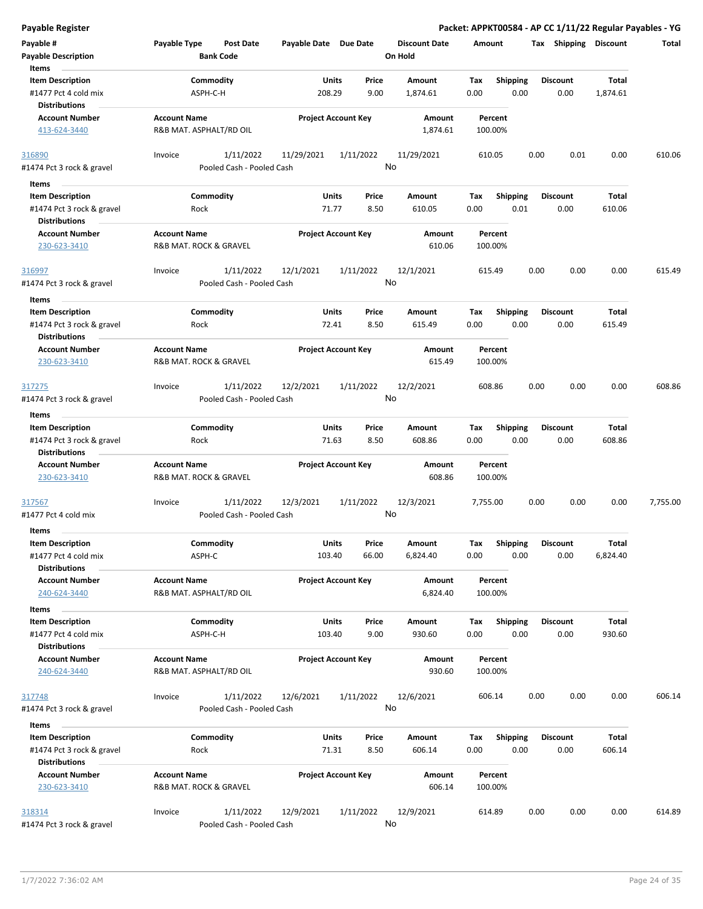| <b>Payable Register</b>                                                               |                                                      |                            |                |                                 | Packet: APPKT00584 - AP CC 1/11/22 Regular Payables - YG |                         |                          |          |
|---------------------------------------------------------------------------------------|------------------------------------------------------|----------------------------|----------------|---------------------------------|----------------------------------------------------------|-------------------------|--------------------------|----------|
| Payable #<br><b>Payable Description</b>                                               | Payable Type<br><b>Post Date</b><br><b>Bank Code</b> | Payable Date Due Date      |                | <b>Discount Date</b><br>On Hold | Amount                                                   | Tax Shipping Discount   |                          | Total    |
| Items<br><b>Item Description</b><br>#1477 Pct 4 cold mix<br><b>Distributions</b>      | Commodity<br>ASPH-C-H                                | Units<br>208.29            | Price<br>9.00  | Amount<br>1,874.61              | Tax<br><b>Shipping</b><br>0.00<br>0.00                   | <b>Discount</b><br>0.00 | <b>Total</b><br>1,874.61 |          |
| <b>Account Number</b><br>413-624-3440                                                 | <b>Account Name</b><br>R&B MAT. ASPHALT/RD OIL       | <b>Project Account Key</b> |                | Amount<br>1,874.61              | Percent<br>100.00%                                       |                         |                          |          |
| 316890<br>#1474 Pct 3 rock & gravel                                                   | 1/11/2022<br>Invoice<br>Pooled Cash - Pooled Cash    | 11/29/2021                 | 1/11/2022      | 11/29/2021<br>No                | 610.05                                                   | 0.00<br>0.01            | 0.00                     | 610.06   |
| Items                                                                                 |                                                      |                            |                |                                 |                                                          |                         |                          |          |
| <b>Item Description</b><br>#1474 Pct 3 rock & gravel<br><b>Distributions</b>          | Commodity<br>Rock                                    | <b>Units</b><br>71.77      | Price<br>8.50  | Amount<br>610.05                | <b>Shipping</b><br>Tax<br>0.01<br>0.00                   | <b>Discount</b><br>0.00 | Total<br>610.06          |          |
| <b>Account Number</b><br>230-623-3410                                                 | <b>Account Name</b><br>R&B MAT. ROCK & GRAVEL        | <b>Project Account Key</b> |                | Amount<br>610.06                | Percent<br>100.00%                                       |                         |                          |          |
| 316997<br>#1474 Pct 3 rock & gravel                                                   | 1/11/2022<br>Invoice<br>Pooled Cash - Pooled Cash    | 12/1/2021                  | 1/11/2022      | 12/1/2021<br>No                 | 615.49                                                   | 0.00<br>0.00            | 0.00                     | 615.49   |
| Items<br><b>Item Description</b><br>#1474 Pct 3 rock & gravel<br><b>Distributions</b> | Commodity<br>Rock                                    | Units<br>72.41             | Price<br>8.50  | Amount<br>615.49                | <b>Shipping</b><br>Tax<br>0.00<br>0.00                   | <b>Discount</b><br>0.00 | Total<br>615.49          |          |
| <b>Account Number</b><br>230-623-3410                                                 | <b>Account Name</b><br>R&B MAT. ROCK & GRAVEL        | <b>Project Account Key</b> |                | Amount<br>615.49                | Percent<br>100.00%                                       |                         |                          |          |
| 317275<br>#1474 Pct 3 rock & gravel                                                   | 1/11/2022<br>Invoice<br>Pooled Cash - Pooled Cash    | 12/2/2021                  | 1/11/2022      | 12/2/2021<br>No                 | 608.86                                                   | 0.00<br>0.00            | 0.00                     | 608.86   |
|                                                                                       |                                                      |                            |                |                                 |                                                          |                         |                          |          |
| Items<br><b>Item Description</b>                                                      | Commodity                                            | <b>Units</b>               | Price          | Amount                          | <b>Shipping</b><br>Tax                                   | <b>Discount</b>         | Total                    |          |
| #1474 Pct 3 rock & gravel<br><b>Distributions</b>                                     | Rock                                                 | 71.63                      | 8.50           | 608.86                          | 0.00<br>0.00                                             | 0.00                    | 608.86                   |          |
| <b>Account Number</b><br>230-623-3410                                                 | <b>Account Name</b><br>R&B MAT. ROCK & GRAVEL        | <b>Project Account Key</b> |                | <b>Amount</b><br>608.86         | Percent<br>100.00%                                       |                         |                          |          |
| 317567<br>#1477 Pct 4 cold mix                                                        | 1/11/2022<br>Invoice                                 | 12/3/2021                  | 1/11/2022      | 12/3/2021<br>No                 | 7,755.00                                                 | 0.00<br>0.00            | 0.00                     | 7,755.00 |
|                                                                                       | Pooled Cash - Pooled Cash                            |                            |                |                                 |                                                          |                         |                          |          |
| Items                                                                                 |                                                      |                            |                |                                 |                                                          |                         |                          |          |
| <b>Item Description</b><br>#1477 Pct 4 cold mix<br><b>Distributions</b>               | Commodity<br>ASPH-C                                  | Units<br>103.40            | Price<br>66.00 | Amount<br>6,824.40              | Tax<br>Shipping<br>0.00<br>0.00                          | <b>Discount</b><br>0.00 | <b>Total</b><br>6,824.40 |          |
| <b>Account Number</b><br>240-624-3440                                                 | <b>Account Name</b><br>R&B MAT. ASPHALT/RD OIL       | <b>Project Account Key</b> |                | Amount<br>6,824.40              | Percent<br>100.00%                                       |                         |                          |          |
| Items                                                                                 |                                                      |                            |                |                                 |                                                          |                         |                          |          |
| <b>Item Description</b><br>#1477 Pct 4 cold mix<br><b>Distributions</b>               | Commodity<br>ASPH-C-H                                | Units<br>103.40            | Price<br>9.00  | Amount<br>930.60                | Shipping<br>Tax<br>0.00<br>0.00                          | <b>Discount</b><br>0.00 | <b>Total</b><br>930.60   |          |
| <b>Account Number</b><br>240-624-3440                                                 | <b>Account Name</b><br>R&B MAT. ASPHALT/RD OIL       | <b>Project Account Key</b> |                | Amount<br>930.60                | Percent<br>100.00%                                       |                         |                          |          |
| 317748<br>#1474 Pct 3 rock & gravel                                                   | 1/11/2022<br>Invoice<br>Pooled Cash - Pooled Cash    | 12/6/2021                  | 1/11/2022      | 12/6/2021<br>No                 | 606.14                                                   | 0.00<br>0.00            | 0.00                     | 606.14   |
| Items                                                                                 |                                                      |                            |                |                                 |                                                          |                         |                          |          |
| <b>Item Description</b><br>#1474 Pct 3 rock & gravel<br><b>Distributions</b>          | Commodity<br>Rock                                    | Units<br>71.31             | Price<br>8.50  | Amount<br>606.14                | <b>Shipping</b><br>Tax<br>0.00<br>0.00                   | <b>Discount</b><br>0.00 | Total<br>606.14          |          |
| <b>Account Number</b><br>230-623-3410                                                 | <b>Account Name</b><br>R&B MAT. ROCK & GRAVEL        | <b>Project Account Key</b> |                | Amount<br>606.14                | Percent<br>100.00%                                       |                         |                          |          |
| 318314<br>#1474 Pct 3 rock & gravel                                                   | 1/11/2022<br>Invoice<br>Pooled Cash - Pooled Cash    | 12/9/2021                  | 1/11/2022      | 12/9/2021<br>No                 | 614.89                                                   | 0.00<br>0.00            | 0.00                     | 614.89   |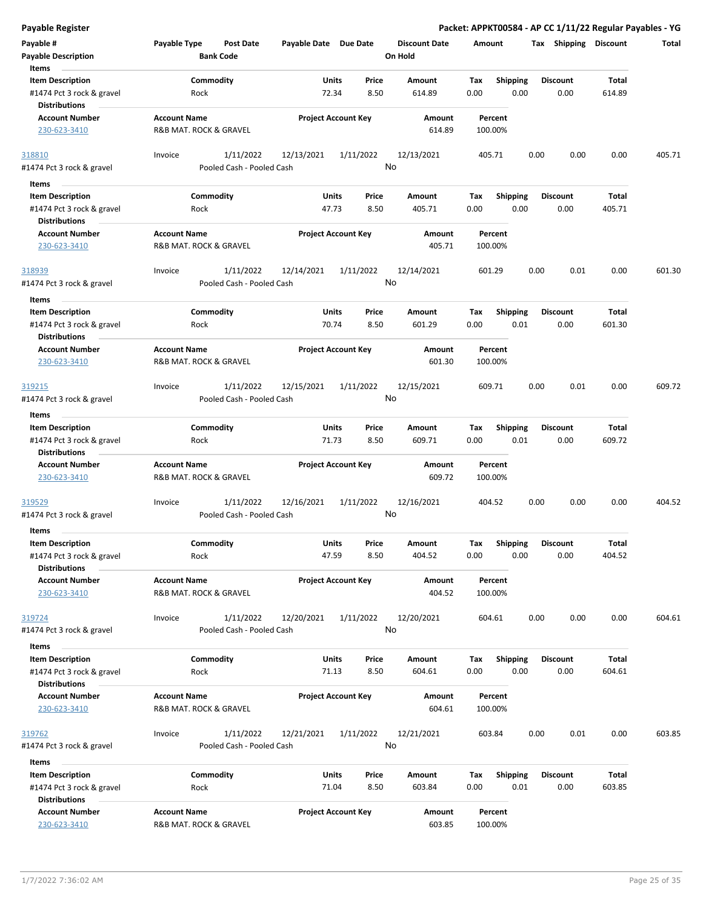| <b>Payable Register</b>                                                      |                     |                                        |                       |                                        |                                 |                    |                         |                         | Packet: APPKT00584 - AP CC 1/11/22 Regular Payables - YG |        |
|------------------------------------------------------------------------------|---------------------|----------------------------------------|-----------------------|----------------------------------------|---------------------------------|--------------------|-------------------------|-------------------------|----------------------------------------------------------|--------|
| Payable #<br><b>Payable Description</b>                                      | Payable Type        | <b>Post Date</b><br><b>Bank Code</b>   | Payable Date Due Date |                                        | <b>Discount Date</b><br>On Hold | Amount             |                         |                         | Tax Shipping Discount                                    | Total  |
| Items<br><b>Item Description</b><br>#1474 Pct 3 rock & gravel                | Rock                | Commodity                              | 72.34                 | Price<br>Units<br>8.50                 | Amount<br>614.89                | Tax<br>0.00        | <b>Shipping</b><br>0.00 | <b>Discount</b><br>0.00 | Total<br>614.89                                          |        |
| <b>Distributions</b><br><b>Account Number</b><br>230-623-3410                | <b>Account Name</b> | R&B MAT. ROCK & GRAVEL                 |                       | <b>Project Account Key</b>             | Amount<br>614.89                | Percent<br>100.00% |                         |                         |                                                          |        |
| 318810                                                                       | Invoice             | 1/11/2022                              | 12/13/2021            | 1/11/2022                              | 12/13/2021                      | 405.71             |                         | 0.00<br>0.00            | 0.00                                                     | 405.71 |
| #1474 Pct 3 rock & gravel                                                    |                     | Pooled Cash - Pooled Cash              |                       |                                        | No                              |                    |                         |                         |                                                          |        |
| Items                                                                        |                     |                                        |                       |                                        |                                 |                    |                         |                         |                                                          |        |
| <b>Item Description</b><br>#1474 Pct 3 rock & gravel<br><b>Distributions</b> | Rock                | Commodity                              |                       | <b>Units</b><br>Price<br>47.73<br>8.50 | Amount<br>405.71                | Tax<br>0.00        | Shipping<br>0.00        | <b>Discount</b><br>0.00 | Total<br>405.71                                          |        |
| <b>Account Number</b><br>230-623-3410                                        | <b>Account Name</b> | R&B MAT. ROCK & GRAVEL                 |                       | <b>Project Account Key</b>             | Amount<br>405.71                | Percent<br>100.00% |                         |                         |                                                          |        |
| 318939<br>#1474 Pct 3 rock & gravel                                          | Invoice             | 1/11/2022<br>Pooled Cash - Pooled Cash | 12/14/2021            | 1/11/2022                              | 12/14/2021<br>No                | 601.29             |                         | 0.00<br>0.01            | 0.00                                                     | 601.30 |
| Items<br><b>Item Description</b><br>#1474 Pct 3 rock & gravel                | Rock                | Commodity                              |                       | Units<br>Price<br>70.74<br>8.50        | Amount<br>601.29                | Tax<br>0.00        | <b>Shipping</b><br>0.01 | <b>Discount</b><br>0.00 | Total<br>601.30                                          |        |
| <b>Distributions</b>                                                         |                     |                                        |                       |                                        |                                 |                    |                         |                         |                                                          |        |
| <b>Account Number</b><br>230-623-3410                                        | <b>Account Name</b> | R&B MAT. ROCK & GRAVEL                 |                       | <b>Project Account Key</b>             | Amount<br>601.30                | Percent<br>100.00% |                         |                         |                                                          |        |
| 319215<br>#1474 Pct 3 rock & gravel                                          | Invoice             | 1/11/2022<br>Pooled Cash - Pooled Cash | 12/15/2021            | 1/11/2022                              | 12/15/2021<br>No                | 609.71             |                         | 0.00<br>0.01            | 0.00                                                     | 609.72 |
|                                                                              |                     |                                        |                       |                                        |                                 |                    |                         |                         |                                                          |        |
| Items<br><b>Item Description</b>                                             |                     | Commodity                              |                       | Units<br>Price                         | Amount                          | Tax                | <b>Shipping</b>         | <b>Discount</b>         | Total                                                    |        |
| #1474 Pct 3 rock & gravel<br><b>Distributions</b>                            | Rock                |                                        |                       | 71.73<br>8.50                          | 609.71                          | 0.00               | 0.01                    | 0.00                    | 609.72                                                   |        |
| <b>Account Number</b><br>230-623-3410                                        | <b>Account Name</b> | R&B MAT. ROCK & GRAVEL                 |                       | <b>Project Account Key</b>             | Amount<br>609.72                | Percent<br>100.00% |                         |                         |                                                          |        |
| 319529                                                                       | Invoice             | 1/11/2022                              | 12/16/2021            | 1/11/2022                              | 12/16/2021                      | 404.52             |                         | 0.00<br>0.00            | 0.00                                                     | 404.52 |
| #1474 Pct 3 rock & gravel                                                    |                     | Pooled Cash - Pooled Cash              |                       |                                        | No                              |                    |                         |                         |                                                          |        |
| Items                                                                        |                     |                                        |                       |                                        | Amount                          |                    |                         |                         |                                                          |        |
| <b>Item Description</b><br>#1474 Pct 3 rock & gravel<br><b>Distributions</b> | Rock                | Commodity                              |                       | <b>Units</b><br>Price<br>47.59<br>8.50 | 404.52                          | Tax<br>0.00        | Shipping<br>0.00        | <b>Discount</b><br>0.00 | Total<br>404.52                                          |        |
| <b>Account Number</b><br>230-623-3410                                        | <b>Account Name</b> | R&B MAT. ROCK & GRAVEL                 |                       | <b>Project Account Key</b>             | Amount<br>404.52                | Percent<br>100.00% |                         |                         |                                                          |        |
| 319724<br>#1474 Pct 3 rock & gravel                                          | Invoice             | 1/11/2022<br>Pooled Cash - Pooled Cash | 12/20/2021            | 1/11/2022                              | 12/20/2021<br>No                | 604.61             |                         | 0.00<br>0.00            | 0.00                                                     | 604.61 |
| Items                                                                        |                     |                                        |                       |                                        |                                 |                    |                         |                         |                                                          |        |
| <b>Item Description</b><br>#1474 Pct 3 rock & gravel                         | Rock                | Commodity                              | 71.13                 | <b>Units</b><br>Price<br>8.50          | Amount<br>604.61                | Tax<br>0.00        | <b>Shipping</b><br>0.00 | <b>Discount</b><br>0.00 | Total<br>604.61                                          |        |
| <b>Distributions</b><br><b>Account Number</b><br>230-623-3410                | <b>Account Name</b> | R&B MAT. ROCK & GRAVEL                 |                       | <b>Project Account Key</b>             | Amount<br>604.61                | Percent<br>100.00% |                         |                         |                                                          |        |
| 319762<br>#1474 Pct 3 rock & gravel                                          | Invoice             | 1/11/2022<br>Pooled Cash - Pooled Cash | 12/21/2021            | 1/11/2022                              | 12/21/2021<br>No                | 603.84             |                         | 0.00<br>0.01            | 0.00                                                     | 603.85 |
| Items                                                                        |                     |                                        |                       |                                        |                                 |                    |                         |                         |                                                          |        |
| <b>Item Description</b>                                                      |                     | Commodity                              |                       | <b>Units</b><br>Price                  | Amount                          | Tax                | <b>Shipping</b>         | <b>Discount</b>         | Total                                                    |        |
| #1474 Pct 3 rock & gravel<br><b>Distributions</b>                            | Rock                |                                        |                       | 71.04<br>8.50                          | 603.84                          | 0.00               | 0.01                    | 0.00                    | 603.85                                                   |        |
| <b>Account Number</b><br>230-623-3410                                        | <b>Account Name</b> | R&B MAT. ROCK & GRAVEL                 |                       | <b>Project Account Key</b>             | Amount<br>603.85                | Percent<br>100.00% |                         |                         |                                                          |        |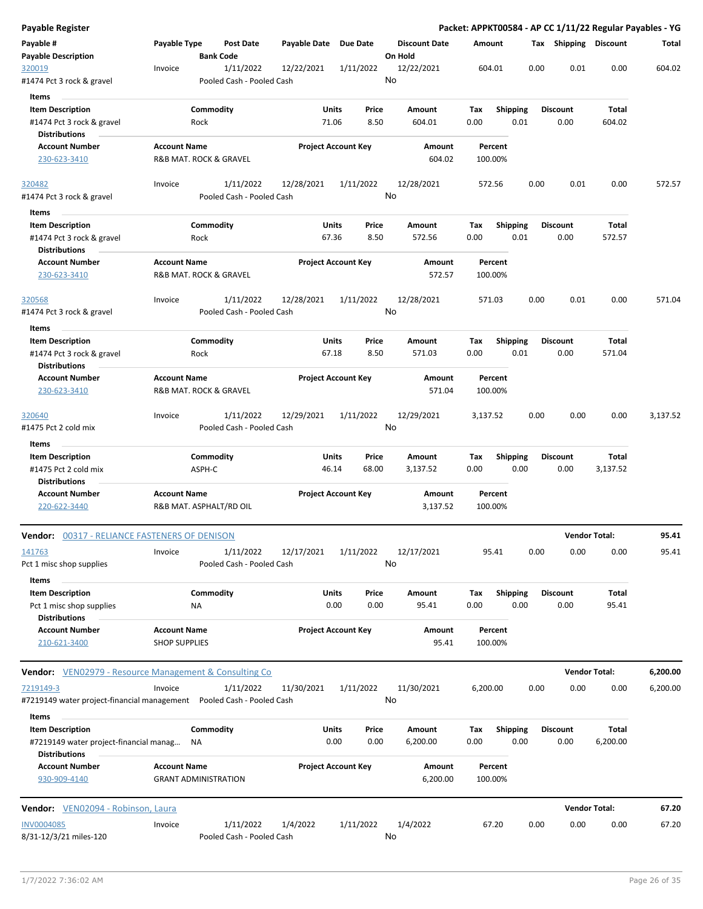| <b>Payable Register</b>                                                                   |                                                              |                                        |                       |                            |                                 |             |                         |      |                         | Packet: APPKT00584 - AP CC 1/11/22 Regular Payables - YG |          |
|-------------------------------------------------------------------------------------------|--------------------------------------------------------------|----------------------------------------|-----------------------|----------------------------|---------------------------------|-------------|-------------------------|------|-------------------------|----------------------------------------------------------|----------|
| Payable #<br><b>Payable Description</b>                                                   | Payable Type                                                 | <b>Post Date</b><br><b>Bank Code</b>   | Payable Date Due Date |                            | <b>Discount Date</b><br>On Hold | Amount      |                         |      | Tax Shipping Discount   |                                                          | Total    |
| 320019                                                                                    | Invoice                                                      | 1/11/2022                              | 12/22/2021            | 1/11/2022                  | 12/22/2021                      | 604.01      |                         | 0.00 | 0.01                    | 0.00                                                     | 604.02   |
| #1474 Pct 3 rock & gravel                                                                 |                                                              | Pooled Cash - Pooled Cash              |                       |                            | No                              |             |                         |      |                         |                                                          |          |
| Items                                                                                     |                                                              |                                        |                       |                            |                                 |             |                         |      |                         |                                                          |          |
| <b>Item Description</b><br>#1474 Pct 3 rock & gravel                                      | Rock                                                         | Commodity                              | Units<br>71.06        | Price<br>8.50              | Amount<br>604.01                | Tax<br>0.00 | Shipping<br>0.01        |      | <b>Discount</b><br>0.00 | Total<br>604.02                                          |          |
| <b>Distributions</b><br><b>Account Number</b>                                             | <b>Account Name</b>                                          |                                        |                       | <b>Project Account Key</b> | Amount                          |             | Percent                 |      |                         |                                                          |          |
| 230-623-3410                                                                              | R&B MAT. ROCK & GRAVEL                                       |                                        |                       |                            | 604.02                          | 100.00%     |                         |      |                         |                                                          |          |
| 320482<br>#1474 Pct 3 rock & gravel                                                       | Invoice                                                      | 1/11/2022<br>Pooled Cash - Pooled Cash | 12/28/2021            | 1/11/2022                  | 12/28/2021<br>No                | 572.56      |                         | 0.00 | 0.01                    | 0.00                                                     | 572.57   |
| Items                                                                                     |                                                              |                                        |                       |                            |                                 |             |                         |      |                         |                                                          |          |
| <b>Item Description</b>                                                                   |                                                              | Commodity                              | <b>Units</b>          | Price                      | Amount                          | Tax         | <b>Shipping</b>         |      | <b>Discount</b>         | Total                                                    |          |
| #1474 Pct 3 rock & gravel<br><b>Distributions</b>                                         | Rock                                                         |                                        | 67.36                 | 8.50                       | 572.56                          | 0.00        | 0.01                    |      | 0.00                    | 572.57                                                   |          |
| <b>Account Number</b><br>230-623-3410                                                     | <b>Account Name</b><br><b>R&amp;B MAT. ROCK &amp; GRAVEL</b> |                                        |                       | <b>Project Account Key</b> | Amount<br>572.57                | 100.00%     | Percent                 |      |                         |                                                          |          |
| 320568<br>#1474 Pct 3 rock & gravel                                                       | Invoice                                                      | 1/11/2022<br>Pooled Cash - Pooled Cash | 12/28/2021            | 1/11/2022                  | 12/28/2021<br>No                | 571.03      |                         | 0.00 | 0.01                    | 0.00                                                     | 571.04   |
| Items                                                                                     |                                                              |                                        |                       |                            |                                 |             |                         |      |                         |                                                          |          |
| <b>Item Description</b>                                                                   |                                                              | Commodity                              | <b>Units</b>          | Price                      | Amount                          | Tax         | <b>Shipping</b>         |      | <b>Discount</b>         | Total                                                    |          |
| #1474 Pct 3 rock & gravel<br><b>Distributions</b>                                         | Rock                                                         |                                        | 67.18                 | 8.50                       | 571.03                          | 0.00        | 0.01                    |      | 0.00                    | 571.04                                                   |          |
| <b>Account Number</b><br>230-623-3410                                                     | <b>Account Name</b><br>R&B MAT. ROCK & GRAVEL                |                                        |                       | <b>Project Account Key</b> | Amount<br>571.04                | 100.00%     | Percent                 |      |                         |                                                          |          |
| 320640<br>#1475 Pct 2 cold mix                                                            | Invoice                                                      | 1/11/2022<br>Pooled Cash - Pooled Cash | 12/29/2021            | 1/11/2022                  | 12/29/2021<br>No                | 3,137.52    |                         | 0.00 | 0.00                    | 0.00                                                     | 3,137.52 |
| Items                                                                                     |                                                              |                                        |                       |                            |                                 |             |                         |      |                         |                                                          |          |
| <b>Item Description</b><br>#1475 Pct 2 cold mix<br><b>Distributions</b>                   | ASPH-C                                                       | Commodity                              | Units<br>46.14        | Price<br>68.00             | Amount<br>3,137.52              | Tax<br>0.00 | <b>Shipping</b><br>0.00 |      | <b>Discount</b><br>0.00 | Total<br>3,137.52                                        |          |
| <b>Account Number</b><br>220-622-3440                                                     | <b>Account Name</b><br>R&B MAT. ASPHALT/RD OIL               |                                        |                       | <b>Project Account Key</b> | Amount<br>3,137.52              | 100.00%     | Percent                 |      |                         |                                                          |          |
| Vendor: 00317 - RELIANCE FASTENERS OF DENISON                                             |                                                              |                                        |                       |                            |                                 |             |                         |      |                         | <b>Vendor Total:</b>                                     | 95.41    |
| 141763<br>Pct 1 misc shop supplies                                                        | Invoice                                                      | 1/11/2022<br>Pooled Cash - Pooled Cash | 12/17/2021            | 1/11/2022                  | 12/17/2021<br>No                |             | 95.41                   | 0.00 | 0.00                    | 0.00                                                     | 95.41    |
| Items                                                                                     |                                                              |                                        |                       |                            |                                 |             |                         |      |                         |                                                          |          |
| <b>Item Description</b><br>Pct 1 misc shop supplies                                       | ΝA                                                           | Commodity                              | Units                 | Price<br>0.00<br>0.00      | Amount<br>95.41                 | Тах<br>0.00 | <b>Shipping</b><br>0.00 |      | <b>Discount</b><br>0.00 | Total<br>95.41                                           |          |
| <b>Distributions</b><br><b>Account Number</b>                                             | <b>Account Name</b>                                          |                                        |                       | <b>Project Account Key</b> | Amount                          |             | Percent                 |      |                         |                                                          |          |
| 210-621-3400                                                                              | <b>SHOP SUPPLIES</b>                                         |                                        |                       |                            | 95.41                           | 100.00%     |                         |      |                         |                                                          |          |
| <b>Vendor:</b> VEN02979 - Resource Management & Consulting Co                             |                                                              |                                        |                       |                            |                                 |             |                         |      |                         | <b>Vendor Total:</b>                                     | 6,200.00 |
| 7219149-3<br>#7219149 water project-financial management    Pooled Cash - Pooled Cash     | Invoice                                                      | 1/11/2022                              | 11/30/2021            | 1/11/2022                  | 11/30/2021<br>No                | 6,200.00    |                         | 0.00 | 0.00                    | 0.00                                                     | 6,200.00 |
| Items                                                                                     |                                                              |                                        |                       |                            |                                 |             |                         |      |                         |                                                          |          |
| <b>Item Description</b><br>#7219149 water project-financial manag<br><b>Distributions</b> | ΝA                                                           | Commodity                              | Units                 | Price<br>0.00<br>0.00      | Amount<br>6,200.00              | Тах<br>0.00 | <b>Shipping</b><br>0.00 |      | <b>Discount</b><br>0.00 | Total<br>6,200.00                                        |          |
| <b>Account Number</b><br>930-909-4140                                                     | <b>Account Name</b><br><b>GRANT ADMINISTRATION</b>           |                                        |                       | <b>Project Account Key</b> | Amount<br>6,200.00              | 100.00%     | Percent                 |      |                         |                                                          |          |
| Vendor: VEN02094 - Robinson, Laura                                                        |                                                              |                                        |                       |                            |                                 |             |                         |      |                         | <b>Vendor Total:</b>                                     | 67.20    |
| <b>INV0004085</b>                                                                         | Invoice                                                      | 1/11/2022                              | 1/4/2022              | 1/11/2022                  | 1/4/2022                        |             | 67.20                   | 0.00 | 0.00                    | 0.00                                                     | 67.20    |
| 8/31-12/3/21 miles-120                                                                    |                                                              | Pooled Cash - Pooled Cash              |                       |                            | No                              |             |                         |      |                         |                                                          |          |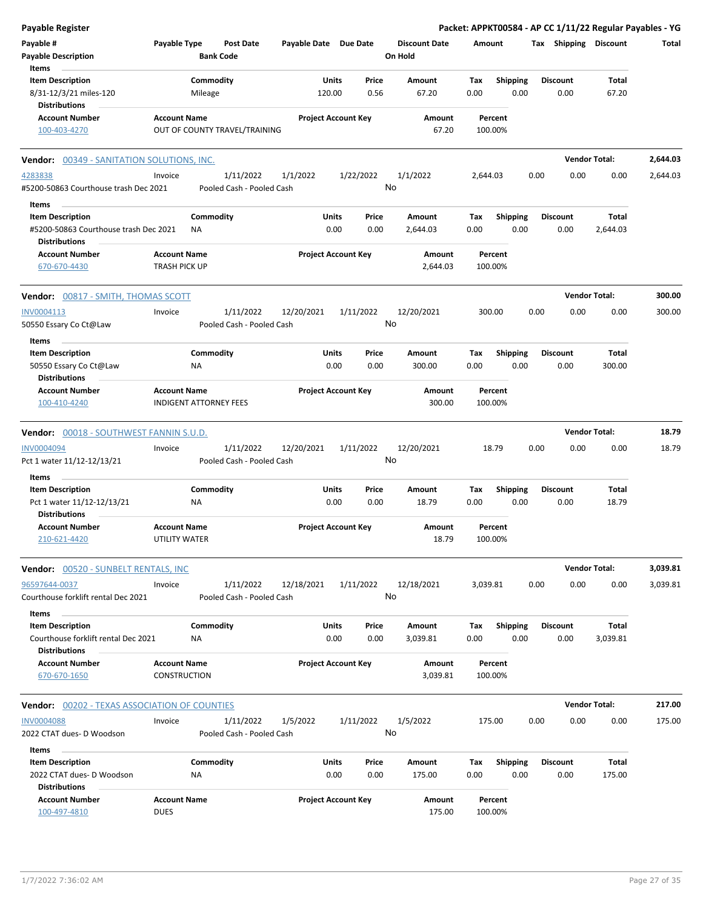| <b>Payable Register</b>                                        |                                                      |                                      |                       |                            |               |                                 |             |                         |      |                       | Packet: APPKT00584 - AP CC 1/11/22 Regular Payables - YG |          |
|----------------------------------------------------------------|------------------------------------------------------|--------------------------------------|-----------------------|----------------------------|---------------|---------------------------------|-------------|-------------------------|------|-----------------------|----------------------------------------------------------|----------|
| Payable #<br><b>Payable Description</b>                        | Payable Type                                         | <b>Post Date</b><br><b>Bank Code</b> | Payable Date Due Date |                            |               | <b>Discount Date</b><br>On Hold | Amount      |                         |      | Tax Shipping Discount |                                                          | Total    |
| Items                                                          |                                                      |                                      |                       |                            |               |                                 |             |                         |      |                       |                                                          |          |
| <b>Item Description</b>                                        | Commodity                                            |                                      |                       | Units                      | Price         | Amount                          | Tax         | <b>Shipping</b>         |      | <b>Discount</b>       | Total                                                    |          |
| 8/31-12/3/21 miles-120                                         | Mileage                                              |                                      | 120.00                |                            | 0.56          | 67.20                           | 0.00        | 0.00                    |      | 0.00                  | 67.20                                                    |          |
| <b>Distributions</b>                                           |                                                      |                                      |                       |                            |               |                                 |             |                         |      |                       |                                                          |          |
| <b>Account Number</b><br>100-403-4270                          | <b>Account Name</b><br>OUT OF COUNTY TRAVEL/TRAINING |                                      |                       | <b>Project Account Key</b> |               | Amount<br>67.20                 |             | Percent<br>100.00%      |      |                       |                                                          |          |
| <b>Vendor: 00349 - SANITATION SOLUTIONS, INC.</b>              |                                                      |                                      |                       |                            |               |                                 |             |                         |      |                       | <b>Vendor Total:</b>                                     | 2,644.03 |
| 4283838                                                        | Invoice                                              | 1/11/2022                            | 1/1/2022              | 1/22/2022                  |               | 1/1/2022                        | 2,644.03    |                         | 0.00 | 0.00                  | 0.00                                                     | 2,644.03 |
| #5200-50863 Courthouse trash Dec 2021                          |                                                      | Pooled Cash - Pooled Cash            |                       |                            | No            |                                 |             |                         |      |                       |                                                          |          |
| Items                                                          |                                                      |                                      |                       |                            |               |                                 |             |                         |      |                       |                                                          |          |
| <b>Item Description</b>                                        | Commodity                                            |                                      |                       | Units                      | Price         | Amount                          | Тах         | <b>Shipping</b>         |      | <b>Discount</b>       | Total                                                    |          |
| #5200-50863 Courthouse trash Dec 2021<br>Distributions         | NA.                                                  |                                      |                       | 0.00                       | 0.00          | 2,644.03                        | 0.00        | 0.00                    |      | 0.00                  | 2,644.03                                                 |          |
| <b>Account Number</b>                                          | <b>Account Name</b>                                  |                                      |                       | <b>Project Account Key</b> |               | Amount                          |             | Percent                 |      |                       |                                                          |          |
| 670-670-4430                                                   | <b>TRASH PICK UP</b>                                 |                                      |                       |                            |               | 2,644.03                        |             | 100.00%                 |      |                       |                                                          |          |
| <b>Vendor:</b> 00817 - SMITH, THOMAS SCOTT                     |                                                      |                                      |                       |                            |               |                                 |             |                         |      |                       | <b>Vendor Total:</b>                                     | 300.00   |
| INV0004113                                                     | Invoice                                              | 1/11/2022                            | 12/20/2021            | 1/11/2022                  |               | 12/20/2021                      | 300.00      |                         | 0.00 | 0.00                  | 0.00                                                     | 300.00   |
| 50550 Essary Co Ct@Law                                         |                                                      | Pooled Cash - Pooled Cash            |                       |                            | No            |                                 |             |                         |      |                       |                                                          |          |
| Items<br><b>Item Description</b>                               | Commodity                                            |                                      |                       | Units                      | Price         | Amount                          | Tax         | <b>Shipping</b>         |      | <b>Discount</b>       | Total                                                    |          |
| 50550 Essary Co Ct@Law<br><b>Distributions</b>                 | ΝA                                                   |                                      |                       | 0.00                       | 0.00          | 300.00                          | 0.00        | 0.00                    |      | 0.00                  | 300.00                                                   |          |
| <b>Account Number</b>                                          | <b>Account Name</b>                                  |                                      |                       | <b>Project Account Key</b> |               | Amount                          |             | Percent                 |      |                       |                                                          |          |
| 100-410-4240                                                   | <b>INDIGENT ATTORNEY FEES</b>                        |                                      |                       |                            |               | 300.00                          |             | 100.00%                 |      |                       |                                                          |          |
| Vendor: 00018 - SOUTHWEST FANNIN S.U.D.                        |                                                      |                                      |                       |                            |               |                                 |             |                         |      |                       | <b>Vendor Total:</b>                                     | 18.79    |
| <b>INV0004094</b>                                              | Invoice                                              | 1/11/2022                            | 12/20/2021            | 1/11/2022                  |               | 12/20/2021                      |             | 18.79                   | 0.00 | 0.00                  | 0.00                                                     | 18.79    |
| Pct 1 water 11/12-12/13/21                                     |                                                      | Pooled Cash - Pooled Cash            |                       |                            | No            |                                 |             |                         |      |                       |                                                          |          |
| Items                                                          |                                                      |                                      |                       |                            |               |                                 |             |                         |      |                       |                                                          |          |
| <b>Item Description</b>                                        | Commodity                                            |                                      |                       | Units                      | Price         | Amount                          | Tax         | Shipping                |      | <b>Discount</b>       | Total                                                    |          |
| Pct 1 water 11/12-12/13/21<br><b>Distributions</b>             | ΝA                                                   |                                      |                       | 0.00                       | 0.00          | 18.79                           | 0.00        | 0.00                    |      | 0.00                  | 18.79                                                    |          |
| Account Number<br>210-621-4420                                 | <b>Account Name</b><br>UTILITY WATER                 |                                      |                       | <b>Project Account Key</b> |               | Amount<br>18.79                 | 100.00%     | Percent                 |      |                       |                                                          |          |
| Vendor: 00520 - SUNBELT RENTALS, INC                           |                                                      |                                      |                       |                            |               |                                 |             |                         |      |                       | <b>Vendor Total:</b>                                     | 3,039.81 |
| 96597644-0037                                                  | Invoice                                              | 1/11/2022                            | 12/18/2021            | 1/11/2022                  |               | 12/18/2021                      | 3,039.81    |                         | 0.00 | 0.00                  | 0.00                                                     | 3,039.81 |
| Courthouse forklift rental Dec 2021                            |                                                      | Pooled Cash - Pooled Cash            |                       |                            | No            |                                 |             |                         |      |                       |                                                          |          |
| Items                                                          |                                                      |                                      |                       |                            |               |                                 |             |                         |      |                       |                                                          |          |
| <b>Item Description</b><br>Courthouse forklift rental Dec 2021 | Commodity<br>ΝA                                      |                                      |                       | Units<br>0.00              | Price<br>0.00 | Amount<br>3,039.81              | Tax<br>0.00 | <b>Shipping</b><br>0.00 |      | Discount<br>0.00      | Total<br>3,039.81                                        |          |
| <b>Distributions</b>                                           |                                                      |                                      |                       |                            |               |                                 |             |                         |      |                       |                                                          |          |
| <b>Account Number</b><br>670-670-1650                          | <b>Account Name</b><br><b>CONSTRUCTION</b>           |                                      |                       | <b>Project Account Key</b> |               | Amount<br>3,039.81              |             | Percent<br>100.00%      |      |                       |                                                          |          |
| <b>Vendor: 00202 - TEXAS ASSOCIATION OF COUNTIES</b>           |                                                      |                                      |                       |                            |               |                                 |             |                         |      |                       | <b>Vendor Total:</b>                                     | 217.00   |
| <b>INV0004088</b>                                              | Invoice                                              | 1/11/2022                            | 1/5/2022              | 1/11/2022                  |               | 1/5/2022                        | 175.00      |                         | 0.00 | 0.00                  | 0.00                                                     | 175.00   |
| 2022 CTAT dues- D Woodson                                      |                                                      | Pooled Cash - Pooled Cash            |                       |                            | No            |                                 |             |                         |      |                       |                                                          |          |
| Items                                                          |                                                      |                                      |                       |                            |               |                                 |             |                         |      |                       |                                                          |          |
| <b>Item Description</b>                                        | Commodity                                            |                                      |                       | Units                      | Price         | Amount                          | Tax         | <b>Shipping</b>         |      | <b>Discount</b>       | Total                                                    |          |
| 2022 CTAT dues- D Woodson                                      | NA                                                   |                                      |                       | 0.00                       | 0.00          | 175.00                          | 0.00        | 0.00                    |      | 0.00                  | 175.00                                                   |          |
| Distributions                                                  |                                                      |                                      |                       |                            |               |                                 |             |                         |      |                       |                                                          |          |
| <b>Account Number</b><br>100-497-4810                          | <b>Account Name</b><br><b>DUES</b>                   |                                      |                       | <b>Project Account Key</b> |               | Amount<br>175.00                |             | Percent<br>100.00%      |      |                       |                                                          |          |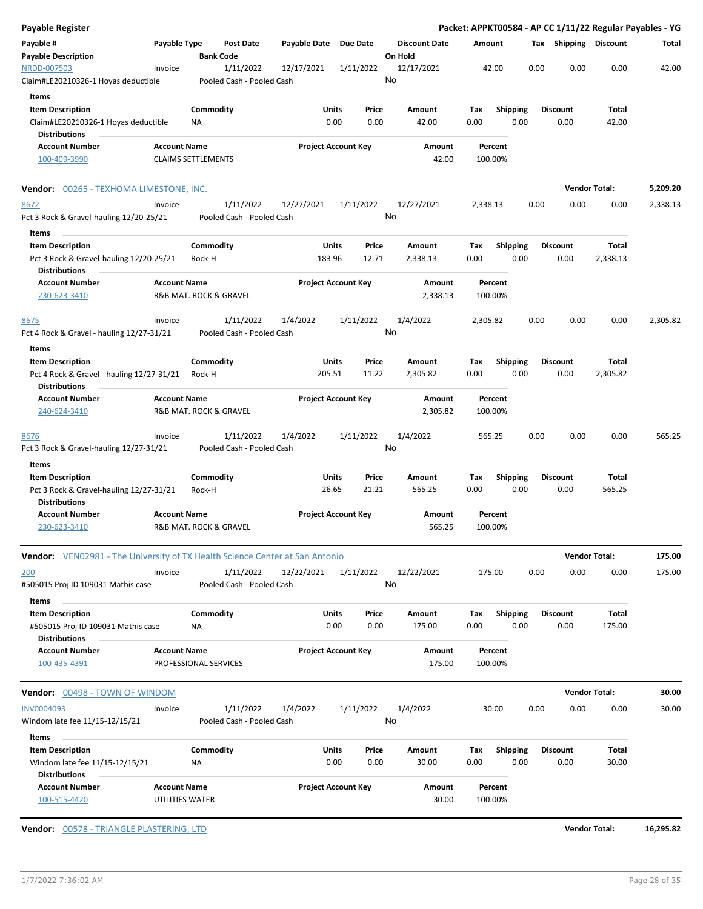| Payable Register                                                                                    |                                        |                           |                                        |                       |                            |         |                      |             |                         |      |                         | Packet: APPKT00584 - AP CC 1/11/22 Regular Payables - YG |          |
|-----------------------------------------------------------------------------------------------------|----------------------------------------|---------------------------|----------------------------------------|-----------------------|----------------------------|---------|----------------------|-------------|-------------------------|------|-------------------------|----------------------------------------------------------|----------|
| Payable #<br><b>Payable Description</b>                                                             | Payable Type                           | <b>Bank Code</b>          | Post Date                              | Payable Date Due Date |                            | On Hold | <b>Discount Date</b> | Amount      |                         |      | Tax Shipping Discount   |                                                          | Total    |
| NRDD-007503<br>Claim#LE20210326-1 Hoyas deductible                                                  | Invoice                                |                           | 1/11/2022<br>Pooled Cash - Pooled Cash | 12/17/2021            | 1/11/2022                  | No      | 12/17/2021           |             | 42.00                   | 0.00 | 0.00                    | 0.00                                                     | 42.00    |
| Items<br><b>Item Description</b><br>Claim#LE20210326-1 Hoyas deductible                             |                                        | Commodity<br>ΝA           |                                        | Units                 | Price<br>0.00<br>0.00      |         | Amount<br>42.00      | Tax<br>0.00 | <b>Shipping</b><br>0.00 |      | <b>Discount</b><br>0.00 | Total<br>42.00                                           |          |
| <b>Distributions</b><br><b>Account Number</b><br>100-409-3990                                       | <b>Account Name</b>                    | <b>CLAIMS SETTLEMENTS</b> |                                        |                       | <b>Project Account Key</b> |         | Amount<br>42.00      | 100.00%     | Percent                 |      |                         |                                                          |          |
| <b>Vendor:</b> 00265 - TEXHOMA LIMESTONE, INC.                                                      |                                        |                           |                                        |                       |                            |         |                      |             |                         |      |                         | <b>Vendor Total:</b>                                     | 5,209.20 |
| 8672<br>Pct 3 Rock & Gravel-hauling 12/20-25/21                                                     | Invoice                                |                           | 1/11/2022<br>Pooled Cash - Pooled Cash | 12/27/2021            | 1/11/2022                  | No      | 12/27/2021           | 2,338.13    |                         | 0.00 | 0.00                    | 0.00                                                     | 2,338.13 |
| Items<br><b>Item Description</b><br>Pct 3 Rock & Gravel-hauling 12/20-25/21<br><b>Distributions</b> |                                        | Commodity<br>Rock-H       |                                        | Units<br>183.96       | Price<br>12.71             |         | Amount<br>2,338.13   | Tax<br>0.00 | <b>Shipping</b><br>0.00 |      | <b>Discount</b><br>0.00 | Total<br>2,338.13                                        |          |
| <b>Account Number</b><br>230-623-3410                                                               | <b>Account Name</b>                    | R&B MAT. ROCK & GRAVEL    |                                        |                       | <b>Project Account Key</b> |         | Amount<br>2,338.13   | 100.00%     | Percent                 |      |                         |                                                          |          |
| 8675<br>Pct 4 Rock & Gravel - hauling 12/27-31/21<br>Items                                          | Invoice                                |                           | 1/11/2022<br>Pooled Cash - Pooled Cash | 1/4/2022              | 1/11/2022                  | No      | 1/4/2022             | 2,305.82    |                         | 0.00 | 0.00                    | 0.00                                                     | 2,305.82 |
| <b>Item Description</b><br>Pct 4 Rock & Gravel - hauling 12/27-31/21<br><b>Distributions</b>        |                                        | Commodity<br>Rock-H       |                                        | Units<br>205.51       | Price<br>11.22             |         | Amount<br>2,305.82   | Tax<br>0.00 | <b>Shipping</b><br>0.00 |      | <b>Discount</b><br>0.00 | Total<br>2,305.82                                        |          |
| <b>Account Number</b><br>240-624-3410                                                               | <b>Account Name</b>                    | R&B MAT. ROCK & GRAVEL    |                                        |                       | <b>Project Account Key</b> |         | Amount<br>2,305.82   | 100.00%     | Percent                 |      |                         |                                                          |          |
| 8676<br>Pct 3 Rock & Gravel-hauling 12/27-31/21                                                     | Invoice                                |                           | 1/11/2022<br>Pooled Cash - Pooled Cash | 1/4/2022              | 1/11/2022                  | No      | 1/4/2022             | 565.25      |                         | 0.00 | 0.00                    | 0.00                                                     | 565.25   |
| Items<br><b>Item Description</b><br>Pct 3 Rock & Gravel-hauling 12/27-31/21                         |                                        | Commodity<br>Rock-H       |                                        | Units<br>26.65        | Price<br>21.21             |         | Amount<br>565.25     | Tax<br>0.00 | <b>Shipping</b><br>0.00 |      | <b>Discount</b><br>0.00 | Total<br>565.25                                          |          |
| <b>Distributions</b><br><b>Account Number</b><br>230-623-3410                                       | <b>Account Name</b>                    | R&B MAT. ROCK & GRAVEL    |                                        |                       | <b>Project Account Key</b> |         | Amount<br>565.25     | 100.00%     | Percent                 |      |                         |                                                          |          |
| <b>Vendor:</b> VEN02981 - The University of TX Health Science Center at San Antonio                 |                                        |                           |                                        |                       |                            |         |                      |             |                         |      |                         | <b>Vendor Total:</b>                                     | 175.00   |
| 200<br>#505015 Proj ID 109031 Mathis case                                                           | Invoice                                |                           | 1/11/2022<br>Pooled Cash - Pooled Cash | 12/22/2021            | 1/11/2022                  | No      | 12/22/2021           | 175.00      |                         | 0.00 | 0.00                    | 0.00                                                     | 175.00   |
| Items<br><b>Item Description</b><br>#505015 Proj ID 109031 Mathis case<br><b>Distributions</b>      |                                        | Commodity<br>ΝA           |                                        | Units                 | Price<br>0.00<br>0.00      |         | Amount<br>175.00     | Tax<br>0.00 | <b>Shipping</b><br>0.00 |      | <b>Discount</b><br>0.00 | Total<br>175.00                                          |          |
| <b>Account Number</b><br>100-435-4391                                                               | <b>Account Name</b>                    | PROFESSIONAL SERVICES     |                                        |                       | <b>Project Account Key</b> |         | Amount<br>175.00     | 100.00%     | Percent                 |      |                         |                                                          |          |
| <b>Vendor:</b> 00498 - TOWN OF WINDOM                                                               |                                        |                           |                                        |                       |                            |         |                      |             |                         |      |                         | <b>Vendor Total:</b>                                     | 30.00    |
| <b>INV0004093</b><br>Windom late fee 11/15-12/15/21                                                 | Invoice                                |                           | 1/11/2022<br>Pooled Cash - Pooled Cash | 1/4/2022              | 1/11/2022                  | No      | 1/4/2022             |             | 30.00                   | 0.00 | 0.00                    | 0.00                                                     | 30.00    |
| Items<br><b>Item Description</b><br>Windom late fee 11/15-12/15/21<br><b>Distributions</b>          |                                        | Commodity<br>ΝA           |                                        | <b>Units</b>          | Price<br>0.00<br>0.00      |         | Amount<br>30.00      | Tax<br>0.00 | <b>Shipping</b><br>0.00 |      | <b>Discount</b><br>0.00 | Total<br>30.00                                           |          |
| <b>Account Number</b><br>100-515-4420                                                               | <b>Account Name</b><br>UTILITIES WATER |                           |                                        |                       | <b>Project Account Key</b> |         | Amount<br>30.00      | 100.00%     | Percent                 |      |                         |                                                          |          |

**Vendor:** 00578 - TRIANGLE PLASTERING, LTD **Vendor Total: 16,295.82**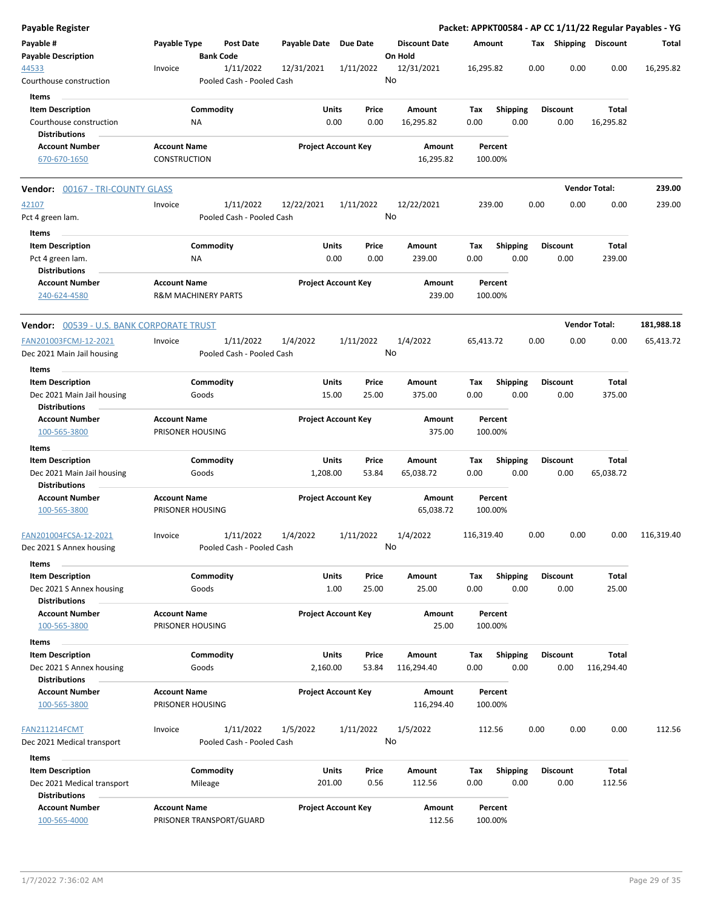| <b>Payable Register</b>                                                    |                                            |                                        |                       |                            |                                 |                    |                         |      |                         |                       | Packet: APPKT00584 - AP CC 1/11/22 Regular Payables - YG |
|----------------------------------------------------------------------------|--------------------------------------------|----------------------------------------|-----------------------|----------------------------|---------------------------------|--------------------|-------------------------|------|-------------------------|-----------------------|----------------------------------------------------------|
| Payable #<br><b>Payable Description</b>                                    | Payable Type                               | <b>Post Date</b><br><b>Bank Code</b>   | Payable Date Due Date |                            | <b>Discount Date</b><br>On Hold | Amount             |                         |      |                         | Tax Shipping Discount | Total                                                    |
| 44533<br>Courthouse construction                                           | Invoice                                    | 1/11/2022<br>Pooled Cash - Pooled Cash | 12/31/2021            | 1/11/2022                  | 12/31/2021<br>No                | 16,295.82          |                         | 0.00 | 0.00                    | 0.00                  | 16,295.82                                                |
| Items                                                                      |                                            |                                        |                       |                            |                                 |                    |                         |      |                         |                       |                                                          |
| <b>Item Description</b><br>Courthouse construction<br><b>Distributions</b> |                                            | Commodity<br><b>NA</b>                 | <b>Units</b>          | Price<br>0.00<br>0.00      | Amount<br>16,295.82             | Tax<br>0.00        | <b>Shipping</b><br>0.00 |      | <b>Discount</b><br>0.00 | Total<br>16,295.82    |                                                          |
| <b>Account Number</b><br>670-670-1650                                      | <b>Account Name</b><br><b>CONSTRUCTION</b> |                                        |                       | <b>Project Account Key</b> | Amount<br>16,295.82             | Percent<br>100.00% |                         |      |                         |                       |                                                          |
| <b>Vendor: 00167 - TRI-COUNTY GLASS</b>                                    |                                            |                                        |                       |                            |                                 |                    |                         |      |                         | <b>Vendor Total:</b>  | 239.00                                                   |
|                                                                            |                                            |                                        |                       |                            |                                 |                    |                         |      |                         |                       |                                                          |
| 42107<br>Pct 4 green lam.                                                  | Invoice                                    | 1/11/2022<br>Pooled Cash - Pooled Cash | 12/22/2021            | 1/11/2022                  | 12/22/2021<br>No                | 239.00             |                         | 0.00 | 0.00                    | 0.00                  | 239.00                                                   |
| Items                                                                      |                                            |                                        |                       |                            |                                 |                    |                         |      |                         |                       |                                                          |
| <b>Item Description</b><br>Pct 4 green lam.<br><b>Distributions</b>        |                                            | Commodity<br>ΝA                        | Units                 | Price<br>0.00<br>0.00      | Amount<br>239.00                | Tax<br>0.00        | <b>Shipping</b><br>0.00 |      | <b>Discount</b><br>0.00 | Total<br>239.00       |                                                          |
| <b>Account Number</b><br>240-624-4580                                      | <b>Account Name</b>                        | <b>R&amp;M MACHINERY PARTS</b>         |                       | <b>Project Account Key</b> | Amount<br>239.00                | Percent<br>100.00% |                         |      |                         |                       |                                                          |
| Vendor: 00539 - U.S. BANK CORPORATE TRUST                                  |                                            |                                        |                       |                            |                                 |                    |                         |      |                         | <b>Vendor Total:</b>  | 181,988.18                                               |
| FAN201003FCMJ-12-2021<br>Dec 2021 Main Jail housing                        | Invoice                                    | 1/11/2022<br>Pooled Cash - Pooled Cash | 1/4/2022              | 1/11/2022                  | 1/4/2022<br>No                  | 65,413.72          |                         | 0.00 | 0.00                    | 0.00                  | 65,413.72                                                |
| Items                                                                      |                                            |                                        |                       |                            |                                 |                    |                         |      |                         |                       |                                                          |
| <b>Item Description</b>                                                    |                                            | Commodity                              | Units                 | Price                      | Amount                          | Tax                | <b>Shipping</b>         |      | <b>Discount</b>         | Total                 |                                                          |
| Dec 2021 Main Jail housing<br><b>Distributions</b>                         |                                            | Goods                                  | 15.00                 | 25.00                      | 375.00                          | 0.00               | 0.00                    |      | 0.00                    | 375.00                |                                                          |
| <b>Account Number</b><br>100-565-3800                                      | <b>Account Name</b>                        | PRISONER HOUSING                       |                       | <b>Project Account Key</b> | Amount<br>375.00                | Percent<br>100.00% |                         |      |                         |                       |                                                          |
| Items                                                                      |                                            |                                        |                       |                            |                                 |                    |                         |      |                         |                       |                                                          |
| <b>Item Description</b>                                                    |                                            | Commodity                              | Units                 | Price                      | Amount                          | Tax                | <b>Shipping</b>         |      | <b>Discount</b>         | Total                 |                                                          |
| Dec 2021 Main Jail housing<br>Distributions                                |                                            | Goods                                  | 1,208.00              | 53.84                      | 65,038.72                       | 0.00               | 0.00                    |      | 0.00                    | 65,038.72             |                                                          |
| <b>Account Number</b><br>100-565-3800                                      | <b>Account Name</b>                        | PRISONER HOUSING                       |                       | <b>Project Account Key</b> | Amount<br>65,038.72             | Percent<br>100.00% |                         |      |                         |                       |                                                          |
| FAN201004FCSA-12-2021<br>Dec 2021 S Annex housing                          | Invoice                                    | 1/11/2022<br>Pooled Cash - Pooled Cash | 1/4/2022              | 1/11/2022                  | 1/4/2022<br>No                  | 116.319.40         |                         | 0.00 | 0.00                    | $0.00\,$              | 116,319.40                                               |
| Items                                                                      |                                            |                                        |                       |                            |                                 |                    |                         |      |                         |                       |                                                          |
| <b>Item Description</b><br>Dec 2021 S Annex housing                        |                                            | Commodity<br>Goods                     | Units                 | Price<br>1.00<br>25.00     | Amount<br>25.00                 | Tax<br>0.00        | <b>Shipping</b><br>0.00 |      | <b>Discount</b><br>0.00 | Total<br>25.00        |                                                          |
| <b>Distributions</b><br><b>Account Number</b><br>100-565-3800              | <b>Account Name</b>                        | PRISONER HOUSING                       |                       | <b>Project Account Key</b> | Amount<br>25.00                 | Percent<br>100.00% |                         |      |                         |                       |                                                          |
| Items                                                                      |                                            |                                        |                       |                            |                                 |                    |                         |      |                         |                       |                                                          |
| <b>Item Description</b>                                                    |                                            | Commodity                              | <b>Units</b>          | Price                      | Amount                          | Tax                | <b>Shipping</b>         |      | <b>Discount</b>         | <b>Total</b>          |                                                          |
| Dec 2021 S Annex housing<br><b>Distributions</b>                           |                                            | Goods                                  | 2,160.00              | 53.84                      | 116,294.40                      | 0.00               | 0.00                    |      | 0.00                    | 116,294.40            |                                                          |
| <b>Account Number</b>                                                      | <b>Account Name</b>                        |                                        |                       | <b>Project Account Key</b> | Amount                          | Percent            |                         |      |                         |                       |                                                          |
| 100-565-3800                                                               |                                            | PRISONER HOUSING                       |                       |                            | 116,294.40                      | 100.00%            |                         |      |                         |                       |                                                          |
| FAN211214FCMT<br>Dec 2021 Medical transport                                | Invoice                                    | 1/11/2022<br>Pooled Cash - Pooled Cash | 1/5/2022              | 1/11/2022                  | 1/5/2022<br>No                  | 112.56             |                         | 0.00 | 0.00                    | 0.00                  | 112.56                                                   |
| Items                                                                      |                                            |                                        |                       |                            |                                 |                    |                         |      |                         |                       |                                                          |
| <b>Item Description</b>                                                    |                                            | Commodity                              | Units                 | Price                      | Amount                          | Tax                | <b>Shipping</b>         |      | <b>Discount</b>         | Total                 |                                                          |
| Dec 2021 Medical transport<br><b>Distributions</b>                         |                                            | Mileage                                | 201.00                | 0.56                       | 112.56                          | 0.00               | 0.00                    |      | 0.00                    | 112.56                |                                                          |
| <b>Account Number</b><br>100-565-4000                                      | <b>Account Name</b>                        | PRISONER TRANSPORT/GUARD               |                       | <b>Project Account Key</b> | Amount<br>112.56                | 100.00%            | Percent                 |      |                         |                       |                                                          |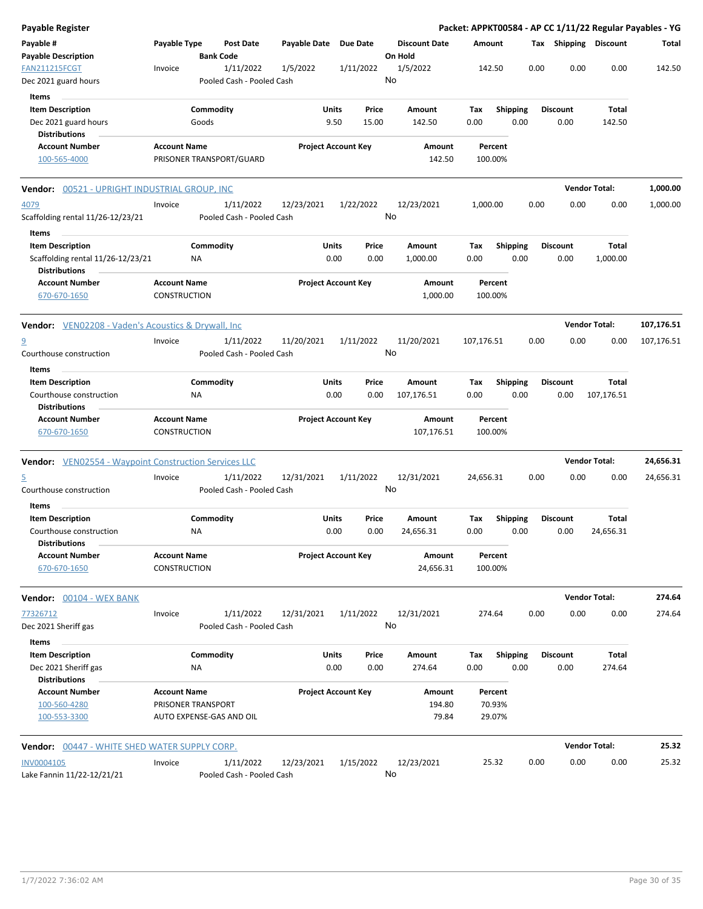| <b>Payable Register</b>                                                              |                                            |                 |                                        |                       |               |                            |         |                           |             |                             |                         |      |                         |                       | Packet: APPKT00584 - AP CC 1/11/22 Regular Payables - YG |
|--------------------------------------------------------------------------------------|--------------------------------------------|-----------------|----------------------------------------|-----------------------|---------------|----------------------------|---------|---------------------------|-------------|-----------------------------|-------------------------|------|-------------------------|-----------------------|----------------------------------------------------------|
| Payable #<br><b>Payable Description</b>                                              | Payable Type                               |                 | Post Date<br><b>Bank Code</b>          | Payable Date Due Date |               |                            | On Hold | <b>Discount Date</b>      | Amount      |                             |                         |      |                         | Tax Shipping Discount | Total                                                    |
| <b>FAN211215FCGT</b><br>Dec 2021 guard hours                                         | Invoice                                    |                 | 1/11/2022<br>Pooled Cash - Pooled Cash | 1/5/2022              |               | 1/11/2022                  | No      | 1/5/2022                  |             | 142.50                      |                         | 0.00 | 0.00                    | 0.00                  | 142.50                                                   |
| Items                                                                                |                                            |                 |                                        |                       |               |                            |         |                           |             |                             |                         |      |                         |                       |                                                          |
| <b>Item Description</b>                                                              |                                            | Commodity       |                                        |                       | Units         | Price                      |         | Amount                    | Tax         |                             | Shipping                |      | <b>Discount</b>         | Total                 |                                                          |
| Dec 2021 guard hours<br><b>Distributions</b>                                         |                                            | Goods           |                                        |                       | 9.50          | 15.00                      |         | 142.50                    | 0.00        |                             | 0.00                    |      | 0.00                    | 142.50                |                                                          |
| <b>Account Number</b><br>100-565-4000                                                | <b>Account Name</b>                        |                 | PRISONER TRANSPORT/GUARD               |                       |               | <b>Project Account Key</b> |         | Amount<br>142.50          |             | Percent<br>100.00%          |                         |      |                         |                       |                                                          |
| Vendor: 00521 - UPRIGHT INDUSTRIAL GROUP, INC                                        |                                            |                 |                                        |                       |               |                            |         |                           |             |                             |                         |      |                         | <b>Vendor Total:</b>  | 1,000.00                                                 |
| 4079                                                                                 | Invoice                                    |                 | 1/11/2022                              | 12/23/2021            |               | 1/22/2022                  |         | 12/23/2021                | 1,000.00    |                             |                         | 0.00 | 0.00                    | 0.00                  | 1,000.00                                                 |
| Scaffolding rental 11/26-12/23/21<br>Items                                           |                                            |                 | Pooled Cash - Pooled Cash              |                       |               |                            | No      |                           |             |                             |                         |      |                         |                       |                                                          |
| <b>Item Description</b><br>Scaffolding rental 11/26-12/23/21<br><b>Distributions</b> |                                            | Commodity<br>ΝA |                                        |                       | Units<br>0.00 | Price<br>0.00              |         | Amount<br>1,000.00        | Tax<br>0.00 |                             | <b>Shipping</b><br>0.00 |      | <b>Discount</b><br>0.00 | Total<br>1,000.00     |                                                          |
| <b>Account Number</b><br>670-670-1650                                                | <b>Account Name</b><br><b>CONSTRUCTION</b> |                 |                                        |                       |               | <b>Project Account Key</b> |         | Amount<br>1,000.00        |             | Percent<br>100.00%          |                         |      |                         |                       |                                                          |
| <b>Vendor:</b> VEN02208 - Vaden's Acoustics & Drywall, Inc                           |                                            |                 |                                        |                       |               |                            |         |                           |             |                             |                         |      |                         | <b>Vendor Total:</b>  | 107,176.51                                               |
| <u>و</u>                                                                             | Invoice                                    |                 | 1/11/2022                              | 11/20/2021            |               | 1/11/2022                  |         | 11/20/2021                | 107,176.51  |                             |                         | 0.00 | 0.00                    | 0.00                  | 107,176.51                                               |
| Courthouse construction<br>Items                                                     |                                            |                 | Pooled Cash - Pooled Cash              |                       |               |                            | No      |                           |             |                             |                         |      |                         |                       |                                                          |
| <b>Item Description</b>                                                              |                                            | Commodity       |                                        |                       | Units         | Price                      |         | Amount                    | Tax         |                             | <b>Shipping</b>         |      | <b>Discount</b>         | Total                 |                                                          |
| Courthouse construction<br><b>Distributions</b>                                      |                                            | ΝA              |                                        |                       | 0.00          | 0.00                       |         | 107,176.51                | 0.00        |                             | 0.00                    |      | 0.00                    | 107,176.51            |                                                          |
| <b>Account Number</b><br>670-670-1650                                                | <b>Account Name</b><br><b>CONSTRUCTION</b> |                 |                                        |                       |               | <b>Project Account Key</b> |         | Amount<br>107,176.51      |             | Percent<br>100.00%          |                         |      |                         |                       |                                                          |
| <b>Vendor:</b> VEN02554 - Waypoint Construction Services LLC                         |                                            |                 |                                        |                       |               |                            |         |                           |             |                             |                         |      |                         | <b>Vendor Total:</b>  | 24,656.31                                                |
| <u>5</u><br>Courthouse construction                                                  | Invoice                                    |                 | 1/11/2022<br>Pooled Cash - Pooled Cash | 12/31/2021            |               | 1/11/2022                  | No      | 12/31/2021                | 24,656.31   |                             |                         | 0.00 | 0.00                    | 0.00                  | 24,656.31                                                |
| Items<br><b>Item Description</b>                                                     |                                            | Commodity       |                                        |                       | Units         | Price                      |         | Amount                    | Tax         |                             | <b>Shipping</b>         |      | <b>Discount</b>         | Total                 |                                                          |
| Courthouse construction<br><b>Distributions</b>                                      |                                            | <b>NA</b>       |                                        |                       | 0.00          | 0.00                       |         | 24,656.31                 | 0.00        |                             | 0.00                    |      | 0.00                    | 24,656.31             |                                                          |
| <b>Account Number</b><br>670-670-1650                                                | <b>Account Name</b><br>CONSTRUCTION        |                 |                                        |                       |               | <b>Project Account Key</b> |         | Amount<br>24,656.31       |             | Percent<br>100.00%          |                         |      |                         |                       |                                                          |
| Vendor: 00104 - WEX BANK                                                             |                                            |                 |                                        |                       |               |                            |         |                           |             |                             |                         |      |                         | <b>Vendor Total:</b>  | 274.64                                                   |
| 77326712                                                                             | Invoice                                    |                 | 1/11/2022                              | 12/31/2021            |               | 1/11/2022                  |         | 12/31/2021                |             | 274.64                      |                         | 0.00 | 0.00                    | 0.00                  | 274.64                                                   |
| Dec 2021 Sheriff gas                                                                 |                                            |                 | Pooled Cash - Pooled Cash              |                       |               |                            | No      |                           |             |                             |                         |      |                         |                       |                                                          |
| Items<br><b>Item Description</b>                                                     |                                            | Commodity       |                                        |                       | Units         | Price                      |         | Amount                    | Tax         |                             | <b>Shipping</b>         |      | <b>Discount</b>         | Total                 |                                                          |
| Dec 2021 Sheriff gas<br><b>Distributions</b>                                         |                                            | NA              |                                        |                       | 0.00          | 0.00                       |         | 274.64                    | 0.00        |                             | 0.00                    |      | 0.00                    | 274.64                |                                                          |
| <b>Account Number</b><br>100-560-4280<br>100-553-3300                                | <b>Account Name</b><br>PRISONER TRANSPORT  |                 | AUTO EXPENSE-GAS AND OIL               |                       |               | <b>Project Account Key</b> |         | Amount<br>194.80<br>79.84 |             | Percent<br>70.93%<br>29.07% |                         |      |                         |                       |                                                          |
| <b>Vendor:</b> 00447 - WHITE SHED WATER SUPPLY CORP.                                 |                                            |                 |                                        |                       |               |                            |         |                           |             |                             |                         |      |                         | <b>Vendor Total:</b>  | 25.32                                                    |
| <b>INV0004105</b><br>Lake Fannin 11/22-12/21/21                                      | Invoice                                    |                 | 1/11/2022<br>Pooled Cash - Pooled Cash | 12/23/2021            |               | 1/15/2022                  | No      | 12/23/2021                |             | 25.32                       |                         | 0.00 | 0.00                    | 0.00                  | 25.32                                                    |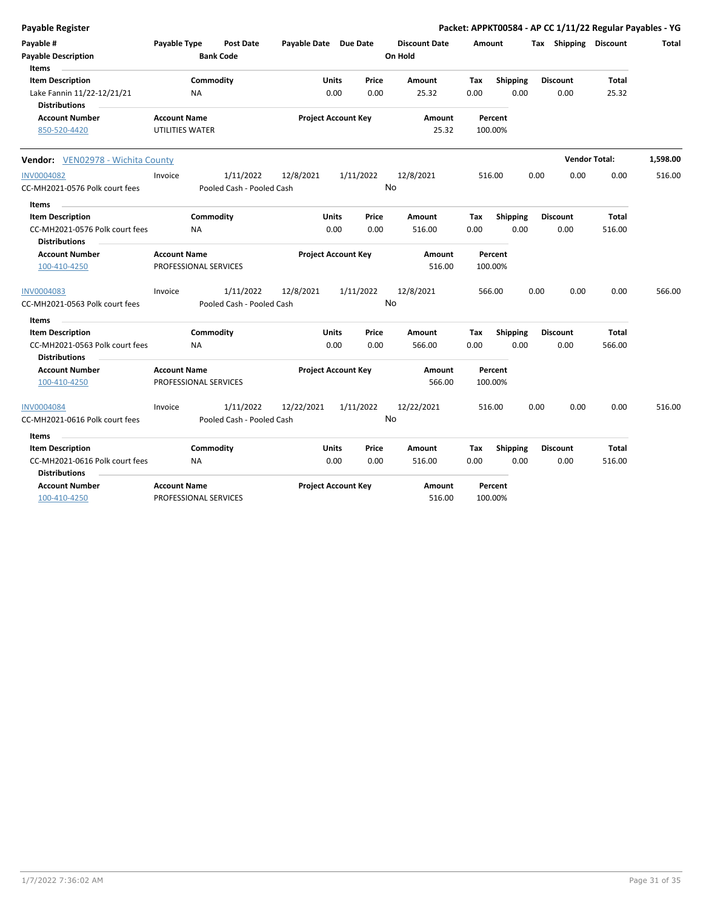| Payable Register                                                                  |                                              |                                        |                       |                            |                 |                                 |             |                         |      |                         | Packet: APPKT00584 - AP CC 1/11/22 Regular Payables - YG |          |
|-----------------------------------------------------------------------------------|----------------------------------------------|----------------------------------------|-----------------------|----------------------------|-----------------|---------------------------------|-------------|-------------------------|------|-------------------------|----------------------------------------------------------|----------|
| Payable #<br><b>Payable Description</b>                                           | Payable Type                                 | Post Date<br><b>Bank Code</b>          | Payable Date Due Date |                            |                 | <b>Discount Date</b><br>On Hold |             | Amount                  |      | Tax Shipping Discount   |                                                          | Total    |
| Items<br><b>Item Description</b>                                                  |                                              | Commodity                              |                       | <b>Units</b>               | Price           | Amount                          | Tax         | Shipping                |      | <b>Discount</b>         | <b>Total</b>                                             |          |
| Lake Fannin 11/22-12/21/21<br><b>Distributions</b>                                | ΝA                                           |                                        |                       | 0.00                       | 0.00            | 25.32                           | 0.00        | 0.00                    |      | 0.00                    | 25.32                                                    |          |
| <b>Account Number</b><br>850-520-4420                                             | <b>Account Name</b><br>UTILITIES WATER       |                                        |                       | <b>Project Account Key</b> |                 | Amount<br>25.32                 |             | Percent<br>100.00%      |      |                         |                                                          |          |
| Vendor: VEN02978 - Wichita County                                                 |                                              |                                        |                       |                            |                 |                                 |             |                         |      |                         | <b>Vendor Total:</b>                                     | 1,598.00 |
| <b>INV0004082</b>                                                                 | Invoice                                      | 1/11/2022                              | 12/8/2021             |                            | 1/11/2022       | 12/8/2021                       |             | 516.00                  | 0.00 | 0.00                    | 0.00                                                     | 516.00   |
| CC-MH2021-0576 Polk court fees                                                    |                                              | Pooled Cash - Pooled Cash              |                       |                            | <b>No</b>       |                                 |             |                         |      |                         |                                                          |          |
| <b>Items</b><br><b>Item Description</b>                                           |                                              | Commodity                              |                       | Units                      | Price           | Amount                          | Tax         | <b>Shipping</b>         |      | <b>Discount</b>         | Total                                                    |          |
| CC-MH2021-0576 Polk court fees<br><b>Distributions</b>                            | <b>NA</b>                                    |                                        |                       | 0.00                       | 0.00            | 516.00                          | 0.00        | 0.00                    |      | 0.00                    | 516.00                                                   |          |
| <b>Account Number</b>                                                             | <b>Account Name</b>                          |                                        |                       | <b>Project Account Key</b> |                 | Amount                          |             | Percent                 |      |                         |                                                          |          |
| 100-410-4250                                                                      | PROFESSIONAL SERVICES                        |                                        |                       |                            |                 | 516.00                          |             | 100.00%                 |      |                         |                                                          |          |
| <b>INV0004083</b><br>CC-MH2021-0563 Polk court fees                               | Invoice                                      | 1/11/2022<br>Pooled Cash - Pooled Cash | 12/8/2021             |                            | 1/11/2022<br>No | 12/8/2021                       |             | 566.00                  | 0.00 | 0.00                    | 0.00                                                     | 566.00   |
| Items                                                                             |                                              |                                        |                       |                            |                 |                                 |             |                         |      |                         |                                                          |          |
| <b>Item Description</b><br>CC-MH2021-0563 Polk court fees<br><b>Distributions</b> | <b>NA</b>                                    | Commodity                              |                       | Units<br>0.00              | Price<br>0.00   | Amount<br>566.00                | Tax<br>0.00 | <b>Shipping</b><br>0.00 |      | <b>Discount</b><br>0.00 | Total<br>566.00                                          |          |
| <b>Account Number</b><br>100-410-4250                                             | <b>Account Name</b><br>PROFESSIONAL SERVICES |                                        |                       | <b>Project Account Key</b> |                 | Amount<br>566.00                |             | Percent<br>100.00%      |      |                         |                                                          |          |
| <b>INV0004084</b>                                                                 | Invoice                                      | 1/11/2022                              | 12/22/2021            |                            | 1/11/2022       | 12/22/2021                      |             | 516.00                  | 0.00 | 0.00                    | 0.00                                                     | 516.00   |
| CC-MH2021-0616 Polk court fees                                                    |                                              | Pooled Cash - Pooled Cash              |                       |                            | No              |                                 |             |                         |      |                         |                                                          |          |
| Items                                                                             |                                              |                                        |                       |                            |                 |                                 |             |                         |      |                         |                                                          |          |
| <b>Item Description</b>                                                           |                                              | Commodity                              |                       | <b>Units</b>               | Price           | Amount                          | Tax         | <b>Shipping</b>         |      | <b>Discount</b>         | <b>Total</b>                                             |          |
| CC-MH2021-0616 Polk court fees<br><b>Distributions</b>                            | ΝA                                           |                                        |                       | 0.00                       | 0.00            | 516.00                          | 0.00        | 0.00                    |      | 0.00                    | 516.00                                                   |          |
| <b>Account Number</b>                                                             | <b>Account Name</b>                          |                                        |                       | <b>Project Account Key</b> |                 | Amount                          |             | Percent                 |      |                         |                                                          |          |
| 100-410-4250                                                                      | PROFESSIONAL SERVICES                        |                                        |                       |                            |                 | 516.00                          |             | 100.00%                 |      |                         |                                                          |          |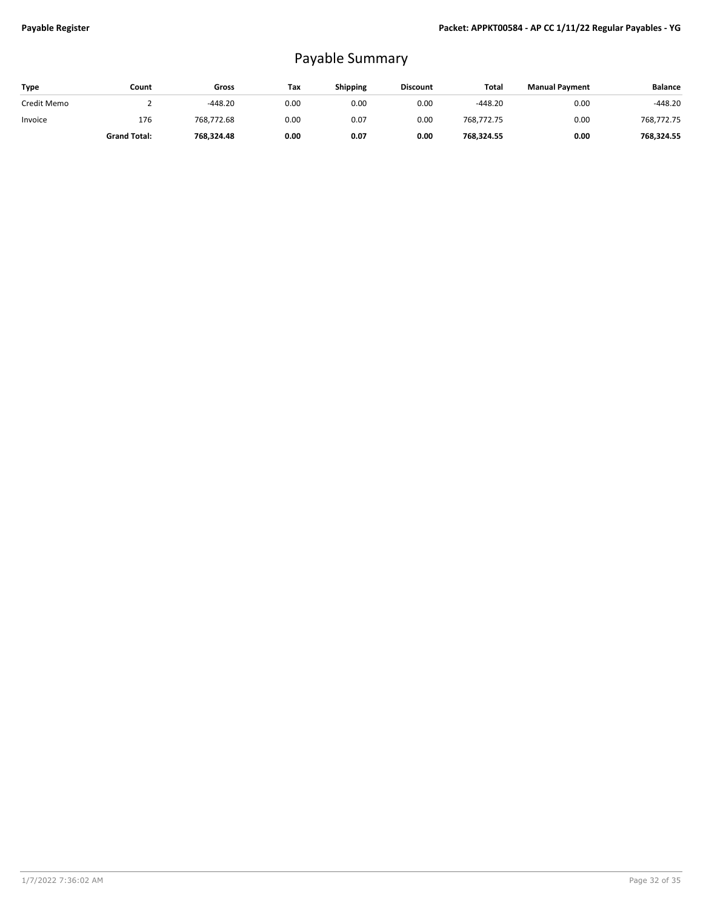## Payable Summary

| Type        | Count               | Gross      | Tax  | <b>Shipping</b> | <b>Discount</b> | Total      | <b>Manual Payment</b> | <b>Balance</b> |
|-------------|---------------------|------------|------|-----------------|-----------------|------------|-----------------------|----------------|
| Credit Memo |                     | $-448.20$  | 0.00 | 0.00            | 0.00            | $-448.20$  | 0.00                  | $-448.20$      |
| Invoice     | 176                 | 768.772.68 | 0.00 | 0.07            | 0.00            | 768.772.75 | 0.00                  | 768.772.75     |
|             | <b>Grand Total:</b> | 768.324.48 | 0.00 | 0.07            | 0.00            | 768,324.55 | 0.00                  | 768.324.55     |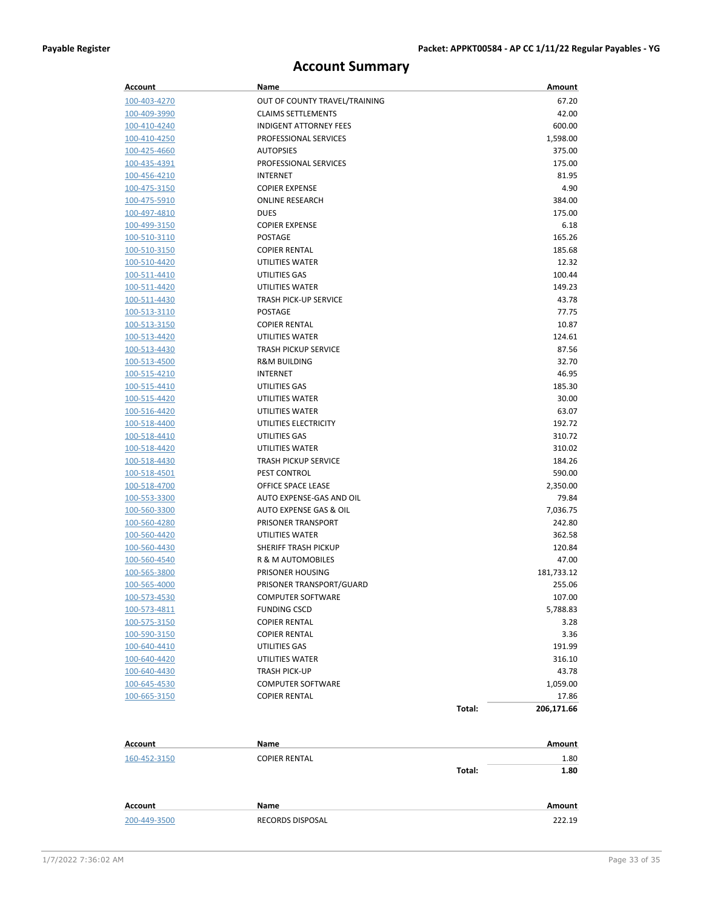### **Account Summary**

| Account                      | Name                             |        | Amount       |
|------------------------------|----------------------------------|--------|--------------|
| 100-403-4270                 | OUT OF COUNTY TRAVEL/TRAINING    |        | 67.20        |
| 100-409-3990                 | <b>CLAIMS SETTLEMENTS</b>        |        | 42.00        |
| 100-410-4240                 | <b>INDIGENT ATTORNEY FEES</b>    |        | 600.00       |
| 100-410-4250                 | PROFESSIONAL SERVICES            |        | 1,598.00     |
| 100-425-4660                 | <b>AUTOPSIES</b>                 |        | 375.00       |
| 100-435-4391                 | PROFESSIONAL SERVICES            |        | 175.00       |
| 100-456-4210                 | <b>INTERNET</b>                  |        | 81.95        |
| 100-475-3150                 | <b>COPIER EXPENSE</b>            |        | 4.90         |
| 100-475-5910                 | <b>ONLINE RESEARCH</b>           |        | 384.00       |
| <u>100-497-4810</u>          | <b>DUES</b>                      |        | 175.00       |
| 100-499-3150                 | <b>COPIER EXPENSE</b>            |        | 6.18         |
| 100-510-3110                 | <b>POSTAGE</b>                   |        | 165.26       |
| 100-510-3150                 | <b>COPIER RENTAL</b>             |        | 185.68       |
| 100-510-4420                 | UTILITIES WATER                  |        | 12.32        |
| <u>100-511-4410</u>          | UTILITIES GAS                    |        | 100.44       |
| 100-511-4420                 | UTILITIES WATER                  |        | 149.23       |
| 100-511-4430                 | <b>TRASH PICK-UP SERVICE</b>     |        | 43.78        |
| <u>100-513-3110</u>          | <b>POSTAGE</b>                   |        | 77.75        |
| 100-513-3150                 | <b>COPIER RENTAL</b>             |        | 10.87        |
| <u>100-513-4420</u>          | UTILITIES WATER                  |        | 124.61       |
| 100-513-4430                 | <b>TRASH PICKUP SERVICE</b>      |        | 87.56        |
| 100-513-4500                 | <b>R&amp;M BUILDING</b>          |        | 32.70        |
|                              | <b>INTERNET</b>                  |        | 46.95        |
| 100-515-4210                 |                                  |        | 185.30       |
| 100-515-4410                 | UTILITIES GAS<br>UTILITIES WATER |        | 30.00        |
| 100-515-4420<br>100-516-4420 | UTILITIES WATER                  |        | 63.07        |
| 100-518-4400                 | UTILITIES ELECTRICITY            |        | 192.72       |
| <u>100-518-4410</u>          | UTILITIES GAS                    |        | 310.72       |
| 100-518-4420                 | UTILITIES WATER                  |        | 310.02       |
| 100-518-4430                 | <b>TRASH PICKUP SERVICE</b>      |        | 184.26       |
| <u>100-518-4501</u>          | PEST CONTROL                     |        | 590.00       |
| 100-518-4700                 | OFFICE SPACE LEASE               |        | 2,350.00     |
| 100-553-3300                 | AUTO EXPENSE-GAS AND OIL         |        | 79.84        |
| 100-560-3300                 | AUTO EXPENSE GAS & OIL           |        | 7,036.75     |
| 100-560-4280                 | PRISONER TRANSPORT               |        | 242.80       |
| 100-560-4420                 | UTILITIES WATER                  |        | 362.58       |
| 100-560-4430                 | SHERIFF TRASH PICKUP             |        | 120.84       |
| 100-560-4540                 | R & M AUTOMOBILES                |        | 47.00        |
| 100-565-3800                 | PRISONER HOUSING                 |        | 181,733.12   |
| <u>100-565-4000</u>          | PRISONER TRANSPORT/GUARD         |        | 255.06       |
| 100-573-4530                 | <b>COMPUTER SOFTWARE</b>         |        | 107.00       |
| 100-573-4811                 | <b>FUNDING CSCD</b>              |        | 5,788.83     |
| 100-575-3150                 | <b>COPIER RENTAL</b>             |        |              |
| 100-590-3150                 | <b>COPIER RENTAL</b>             |        | 3.28<br>3.36 |
| 100-640-4410                 | UTILITIES GAS                    |        | 191.99       |
| 100-640-4420                 | UTILITIES WATER                  |        | 316.10       |
| 100-640-4430                 | <b>TRASH PICK-UP</b>             |        | 43.78        |
| 100-645-4530                 | <b>COMPUTER SOFTWARE</b>         |        | 1,059.00     |
| 100-665-3150                 | <b>COPIER RENTAL</b>             |        | 17.86        |
|                              |                                  | Total: | 206,171.66   |
|                              |                                  |        |              |
| <b>Account</b>               | Name                             |        | Amount       |
| 160-452-3150                 | <b>COPIER RENTAL</b>             |        | 1.80         |
|                              |                                  | Total: | 1.80         |
| Account                      | Name                             |        | Amount       |
| 200-449-3500                 | RECORDS DISPOSAL                 |        | 222.19       |
|                              |                                  |        |              |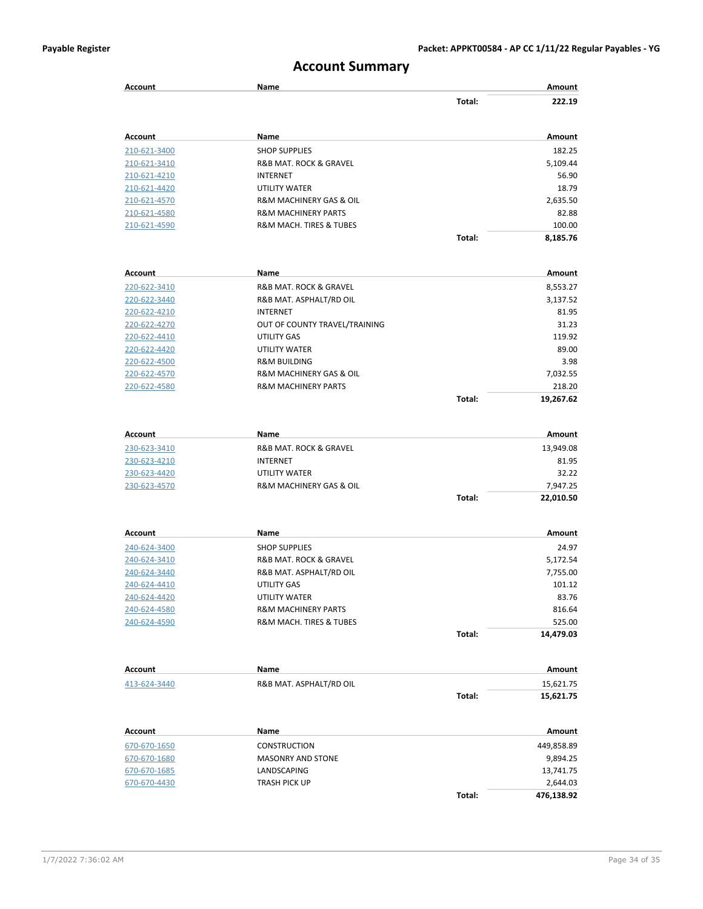### **Account Summary**

| <b>Account</b>               | Name                                   |        | Amount             |
|------------------------------|----------------------------------------|--------|--------------------|
|                              |                                        | Total: | 222.19             |
| <b>Account</b>               | Name                                   |        | Amount             |
| 210-621-3400                 | <b>SHOP SUPPLIES</b>                   |        | 182.25             |
| 210-621-3410                 | <b>R&amp;B MAT. ROCK &amp; GRAVEL</b>  |        | 5,109.44           |
| 210-621-4210                 | <b>INTERNET</b>                        |        | 56.90              |
| 210-621-4420                 | <b>UTILITY WATER</b>                   |        | 18.79              |
| 210-621-4570                 | R&M MACHINERY GAS & OIL                |        | 2,635.50           |
| 210-621-4580                 | <b>R&amp;M MACHINERY PARTS</b>         |        | 82.88              |
| 210-621-4590                 | R&M MACH. TIRES & TUBES                |        | 100.00             |
|                              |                                        | Total: | 8,185.76           |
| <b>Account</b>               | Name                                   |        | Amount             |
| 220-622-3410                 | R&B MAT. ROCK & GRAVEL                 |        | 8,553.27           |
| 220-622-3440                 | R&B MAT. ASPHALT/RD OIL                |        | 3,137.52           |
| 220-622-4210                 | <b>INTERNET</b>                        |        | 81.95              |
| 220-622-4270                 | OUT OF COUNTY TRAVEL/TRAINING          |        | 31.23              |
| 220-622-4410                 | UTILITY GAS                            |        | 119.92             |
| 220-622-4420                 | UTILITY WATER                          |        | 89.00              |
| 220-622-4500                 | <b>R&amp;M BUILDING</b>                |        | 3.98               |
| 220-622-4570                 | R&M MACHINERY GAS & OIL                |        | 7,032.55           |
| 220-622-4580                 | <b>R&amp;M MACHINERY PARTS</b>         |        | 218.20             |
|                              |                                        | Total: | 19,267.62          |
| Account                      | Name                                   |        | Amount             |
| 230-623-3410                 | R&B MAT. ROCK & GRAVEL                 |        | 13,949.08          |
| 230-623-4210                 | <b>INTERNET</b>                        |        | 81.95              |
| 230-623-4420                 | UTILITY WATER                          |        | 32.22              |
| 230-623-4570                 | R&M MACHINERY GAS & OIL                |        | 7,947.25           |
|                              |                                        | Total: | 22,010.50          |
|                              |                                        |        |                    |
| <b>Account</b>               | Name                                   |        | Amount             |
| 240-624-3400                 | <b>SHOP SUPPLIES</b>                   |        | 24.97              |
| 240-624-3410                 | R&B MAT. ROCK & GRAVEL                 |        | 5,172.54           |
| 240-624-3440<br>240-624-4410 | R&B MAT. ASPHALT/RD OIL<br>UTILITY GAS |        | 7,755.00<br>101.12 |
| 240-624-4420                 | UTILITY WATER                          |        | 83.76              |
| 240-624-4580                 | <b>R&amp;M MACHINERY PARTS</b>         |        | 816.64             |
| 240-624-4590                 | R&M MACH. TIRES & TUBES                |        | 525.00             |
|                              |                                        | Total: | 14,479.03          |
|                              |                                        |        |                    |
| <b>Account</b>               | Name                                   |        | Amount             |
| 413-624-3440                 | R&B MAT. ASPHALT/RD OIL                |        | 15,621.75          |
|                              |                                        | Total: | 15,621.75          |
| Account                      | Name                                   |        | Amount             |
| 670-670-1650                 | <b>CONSTRUCTION</b>                    |        | 449,858.89         |
| 670-670-1680                 | <b>MASONRY AND STONE</b>               |        | 9,894.25           |
| 670-670-1685                 | LANDSCAPING                            |        | 13,741.75          |
| 670-670-4430                 | TRASH PICK UP                          |        | 2,644.03           |
|                              |                                        | Total: | 476,138.92         |